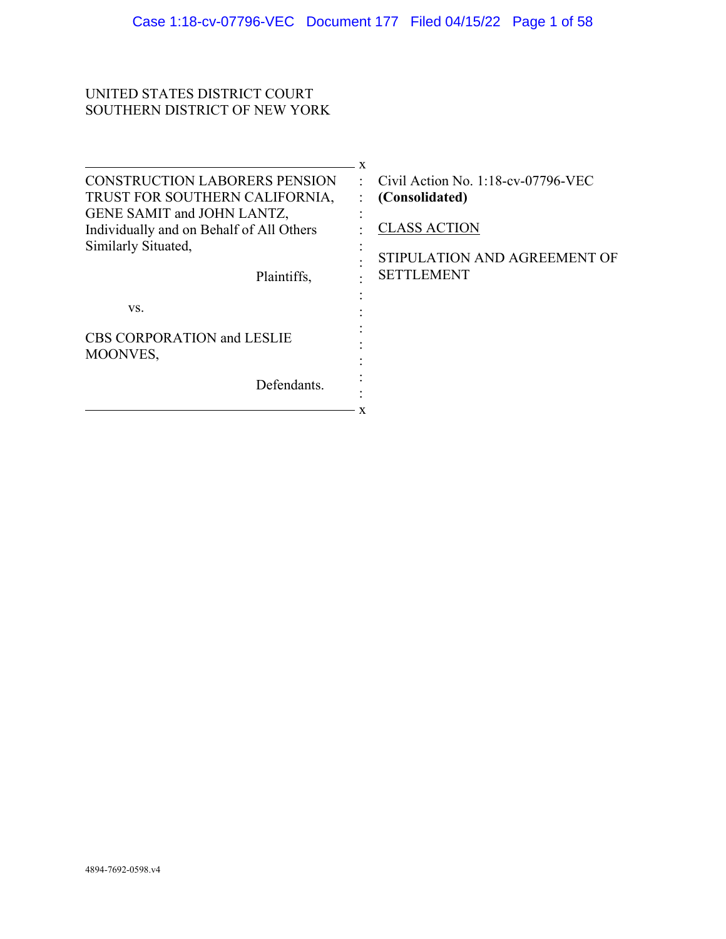# UNITED STATES DISTRICT COURT SOUTHERN DISTRICT OF NEW YORK

|                                                                        | X                                                            |
|------------------------------------------------------------------------|--------------------------------------------------------------|
| <b>CONSTRUCTION LABORERS PENSION</b><br>TRUST FOR SOUTHERN CALIFORNIA, | Civil Action No. $1:18$ -cv-07796-VEC<br>÷<br>(Consolidated) |
| GENE SAMIT and JOHN LANTZ,                                             |                                                              |
| Individually and on Behalf of All Others                               | <b>CLASS ACTION</b>                                          |
| Similarly Situated,<br>Plaintiffs,                                     | STIPULATION AND AGREEMENT OF<br><b>SETTLEMENT</b>            |
| VS.                                                                    |                                                              |
| <b>CBS CORPORATION and LESLIE</b><br>MOONVES,                          |                                                              |
| Defendants.                                                            |                                                              |
|                                                                        |                                                              |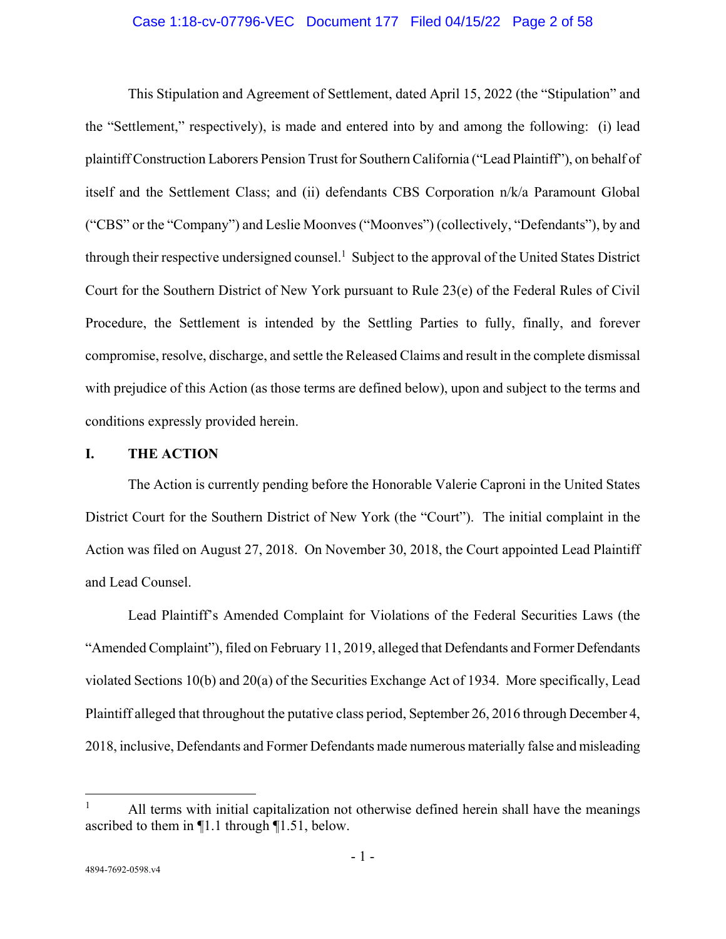## Case 1:18-cv-07796-VEC Document 177 Filed 04/15/22 Page 2 of 58

This Stipulation and Agreement of Settlement, dated April 15, 2022 (the "Stipulation" and the "Settlement," respectively), is made and entered into by and among the following: (i) lead plaintiff Construction Laborers Pension Trust for Southern California ("Lead Plaintiff"), on behalf of itself and the Settlement Class; and (ii) defendants CBS Corporation n/k/a Paramount Global ("CBS" or the "Company") and Leslie Moonves ("Moonves") (collectively, "Defendants"), by and through their respective undersigned counsel.<sup>1</sup> Subject to the approval of the United States District Court for the Southern District of New York pursuant to Rule 23(e) of the Federal Rules of Civil Procedure, the Settlement is intended by the Settling Parties to fully, finally, and forever compromise, resolve, discharge, and settle the Released Claims and result in the complete dismissal with prejudice of this Action (as those terms are defined below), upon and subject to the terms and conditions expressly provided herein.

#### **I. THE ACTION**

The Action is currently pending before the Honorable Valerie Caproni in the United States District Court for the Southern District of New York (the "Court"). The initial complaint in the Action was filed on August 27, 2018. On November 30, 2018, the Court appointed Lead Plaintiff and Lead Counsel.

Lead Plaintiff's Amended Complaint for Violations of the Federal Securities Laws (the "Amended Complaint"), filed on February 11, 2019, alleged that Defendants and Former Defendants violated Sections 10(b) and 20(a) of the Securities Exchange Act of 1934. More specifically, Lead Plaintiff alleged that throughout the putative class period, September 26, 2016 through December 4, 2018, inclusive, Defendants and Former Defendants made numerous materially false and misleading

 $\overline{a}$ 

<sup>1</sup> All terms with initial capitalization not otherwise defined herein shall have the meanings ascribed to them in ¶1.1 through ¶1.51, below.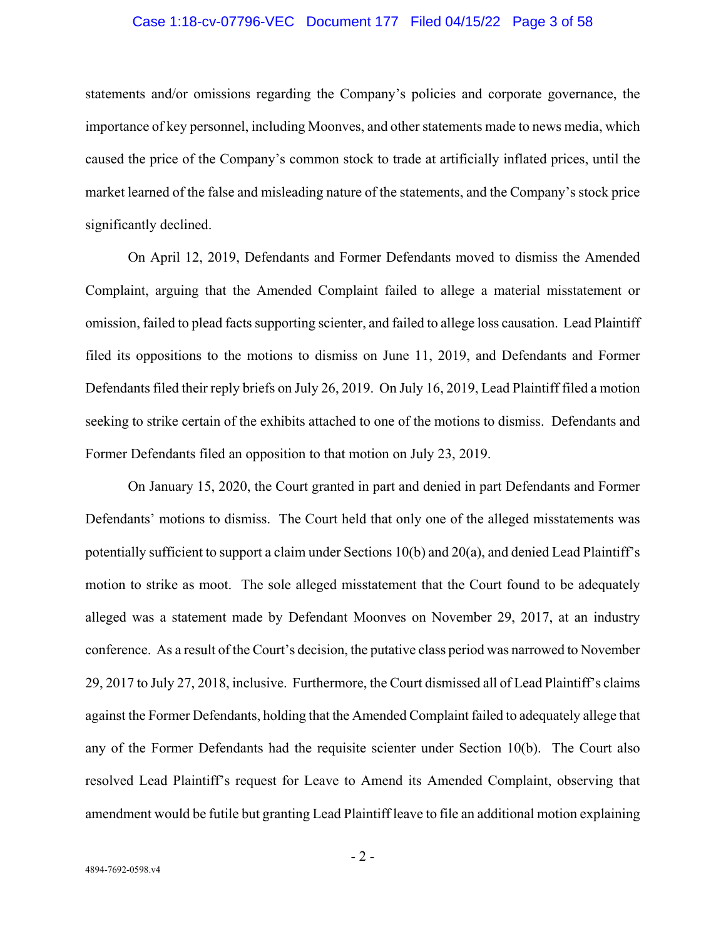### Case 1:18-cv-07796-VEC Document 177 Filed 04/15/22 Page 3 of 58

statements and/or omissions regarding the Company's policies and corporate governance, the importance of key personnel, including Moonves, and other statements made to news media, which caused the price of the Company's common stock to trade at artificially inflated prices, until the market learned of the false and misleading nature of the statements, and the Company's stock price significantly declined.

On April 12, 2019, Defendants and Former Defendants moved to dismiss the Amended Complaint, arguing that the Amended Complaint failed to allege a material misstatement or omission, failed to plead facts supporting scienter, and failed to allege loss causation. Lead Plaintiff filed its oppositions to the motions to dismiss on June 11, 2019, and Defendants and Former Defendants filed their reply briefs on July 26, 2019. On July 16, 2019, Lead Plaintiff filed a motion seeking to strike certain of the exhibits attached to one of the motions to dismiss. Defendants and Former Defendants filed an opposition to that motion on July 23, 2019.

On January 15, 2020, the Court granted in part and denied in part Defendants and Former Defendants' motions to dismiss. The Court held that only one of the alleged misstatements was potentially sufficient to support a claim under Sections 10(b) and 20(a), and denied Lead Plaintiff's motion to strike as moot. The sole alleged misstatement that the Court found to be adequately alleged was a statement made by Defendant Moonves on November 29, 2017, at an industry conference. As a result of the Court's decision, the putative class period was narrowed to November 29, 2017 to July 27, 2018, inclusive. Furthermore, the Court dismissed all of Lead Plaintiff's claims against the Former Defendants, holding that the Amended Complaint failed to adequately allege that any of the Former Defendants had the requisite scienter under Section 10(b). The Court also resolved Lead Plaintiff's request for Leave to Amend its Amended Complaint, observing that amendment would be futile but granting Lead Plaintiff leave to file an additional motion explaining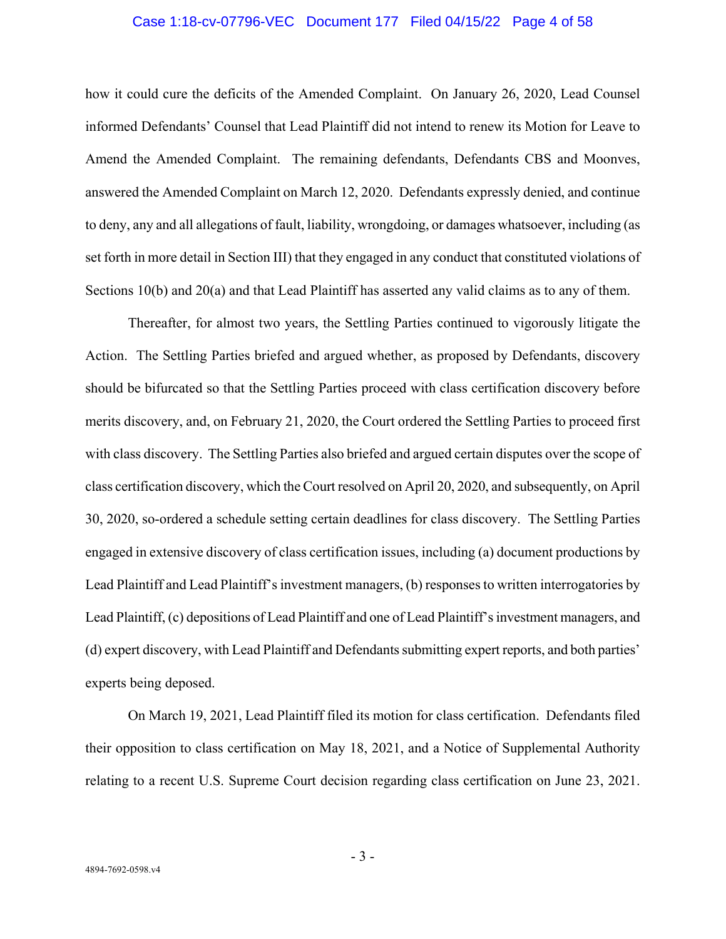### Case 1:18-cv-07796-VEC Document 177 Filed 04/15/22 Page 4 of 58

how it could cure the deficits of the Amended Complaint. On January 26, 2020, Lead Counsel informed Defendants' Counsel that Lead Plaintiff did not intend to renew its Motion for Leave to Amend the Amended Complaint. The remaining defendants, Defendants CBS and Moonves, answered the Amended Complaint on March 12, 2020. Defendants expressly denied, and continue to deny, any and all allegations of fault, liability, wrongdoing, or damages whatsoever, including (as set forth in more detail in Section III) that they engaged in any conduct that constituted violations of Sections 10(b) and 20(a) and that Lead Plaintiff has asserted any valid claims as to any of them.

Thereafter, for almost two years, the Settling Parties continued to vigorously litigate the Action. The Settling Parties briefed and argued whether, as proposed by Defendants, discovery should be bifurcated so that the Settling Parties proceed with class certification discovery before merits discovery, and, on February 21, 2020, the Court ordered the Settling Parties to proceed first with class discovery. The Settling Parties also briefed and argued certain disputes over the scope of class certification discovery, which the Court resolved on April 20, 2020, and subsequently, on April 30, 2020, so-ordered a schedule setting certain deadlines for class discovery. The Settling Parties engaged in extensive discovery of class certification issues, including (a) document productions by Lead Plaintiff and Lead Plaintiff's investment managers, (b) responses to written interrogatories by Lead Plaintiff, (c) depositions of Lead Plaintiff and one of Lead Plaintiff's investment managers, and (d) expert discovery, with Lead Plaintiff and Defendants submitting expert reports, and both parties' experts being deposed.

On March 19, 2021, Lead Plaintiff filed its motion for class certification. Defendants filed their opposition to class certification on May 18, 2021, and a Notice of Supplemental Authority relating to a recent U.S. Supreme Court decision regarding class certification on June 23, 2021.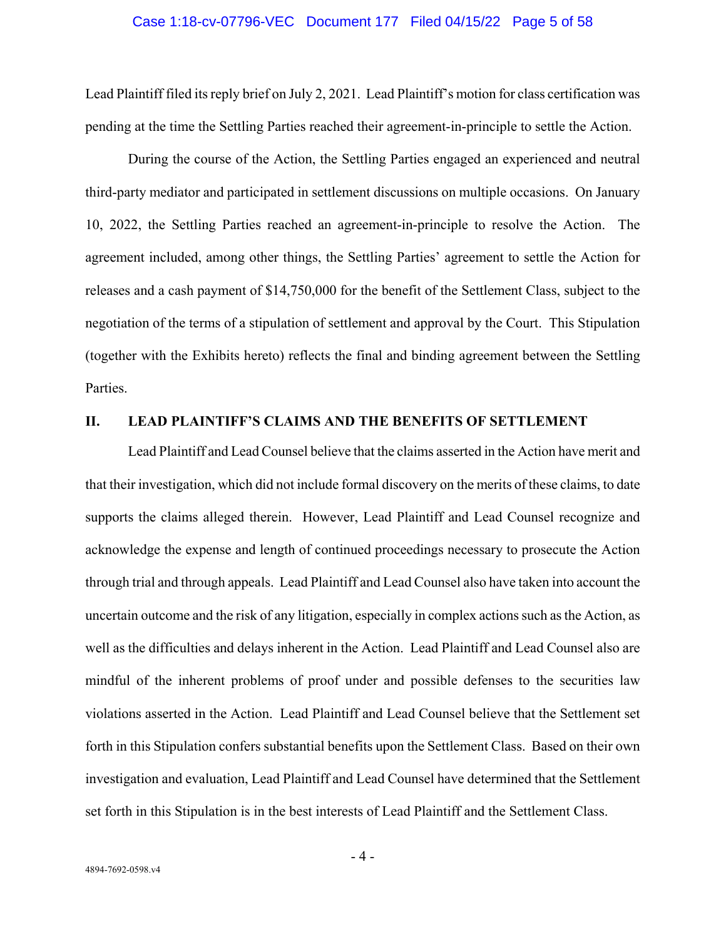#### Case 1:18-cv-07796-VEC Document 177 Filed 04/15/22 Page 5 of 58

Lead Plaintiff filed its reply brief on July 2, 2021. Lead Plaintiff's motion for class certification was pending at the time the Settling Parties reached their agreement-in-principle to settle the Action.

During the course of the Action, the Settling Parties engaged an experienced and neutral third-party mediator and participated in settlement discussions on multiple occasions. On January 10, 2022, the Settling Parties reached an agreement-in-principle to resolve the Action. The agreement included, among other things, the Settling Parties' agreement to settle the Action for releases and a cash payment of \$14,750,000 for the benefit of the Settlement Class, subject to the negotiation of the terms of a stipulation of settlement and approval by the Court. This Stipulation (together with the Exhibits hereto) reflects the final and binding agreement between the Settling Parties.

## **II. LEAD PLAINTIFF'S CLAIMS AND THE BENEFITS OF SETTLEMENT**

Lead Plaintiff and Lead Counsel believe that the claims asserted in the Action have merit and that their investigation, which did not include formal discovery on the merits of these claims, to date supports the claims alleged therein. However, Lead Plaintiff and Lead Counsel recognize and acknowledge the expense and length of continued proceedings necessary to prosecute the Action through trial and through appeals. Lead Plaintiff and Lead Counsel also have taken into account the uncertain outcome and the risk of any litigation, especially in complex actions such as the Action, as well as the difficulties and delays inherent in the Action. Lead Plaintiff and Lead Counsel also are mindful of the inherent problems of proof under and possible defenses to the securities law violations asserted in the Action. Lead Plaintiff and Lead Counsel believe that the Settlement set forth in this Stipulation confers substantial benefits upon the Settlement Class. Based on their own investigation and evaluation, Lead Plaintiff and Lead Counsel have determined that the Settlement set forth in this Stipulation is in the best interests of Lead Plaintiff and the Settlement Class.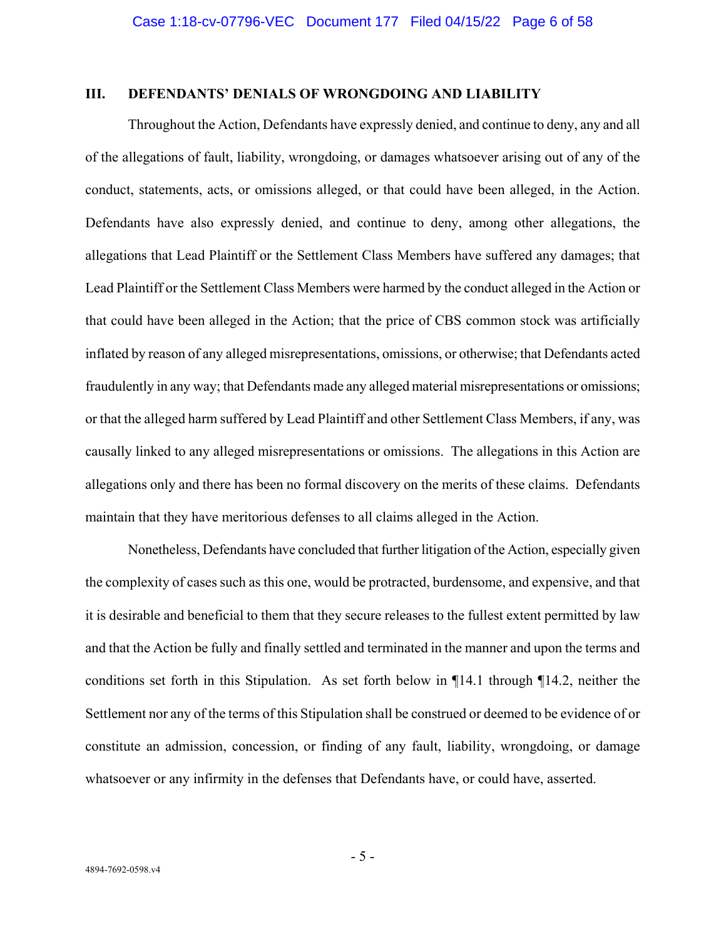## **III. DEFENDANTS' DENIALS OF WRONGDOING AND LIABILITY**

Throughout the Action, Defendants have expressly denied, and continue to deny, any and all of the allegations of fault, liability, wrongdoing, or damages whatsoever arising out of any of the conduct, statements, acts, or omissions alleged, or that could have been alleged, in the Action. Defendants have also expressly denied, and continue to deny, among other allegations, the allegations that Lead Plaintiff or the Settlement Class Members have suffered any damages; that Lead Plaintiff or the Settlement Class Members were harmed by the conduct alleged in the Action or that could have been alleged in the Action; that the price of CBS common stock was artificially inflated by reason of any alleged misrepresentations, omissions, or otherwise; that Defendants acted fraudulently in any way; that Defendants made any alleged material misrepresentations or omissions; or that the alleged harm suffered by Lead Plaintiff and other Settlement Class Members, if any, was causally linked to any alleged misrepresentations or omissions. The allegations in this Action are allegations only and there has been no formal discovery on the merits of these claims. Defendants maintain that they have meritorious defenses to all claims alleged in the Action.

Nonetheless, Defendants have concluded that further litigation of the Action, especially given the complexity of cases such as this one, would be protracted, burdensome, and expensive, and that it is desirable and beneficial to them that they secure releases to the fullest extent permitted by law and that the Action be fully and finally settled and terminated in the manner and upon the terms and conditions set forth in this Stipulation. As set forth below in ¶14.1 through ¶14.2, neither the Settlement nor any of the terms of this Stipulation shall be construed or deemed to be evidence of or constitute an admission, concession, or finding of any fault, liability, wrongdoing, or damage whatsoever or any infirmity in the defenses that Defendants have, or could have, asserted.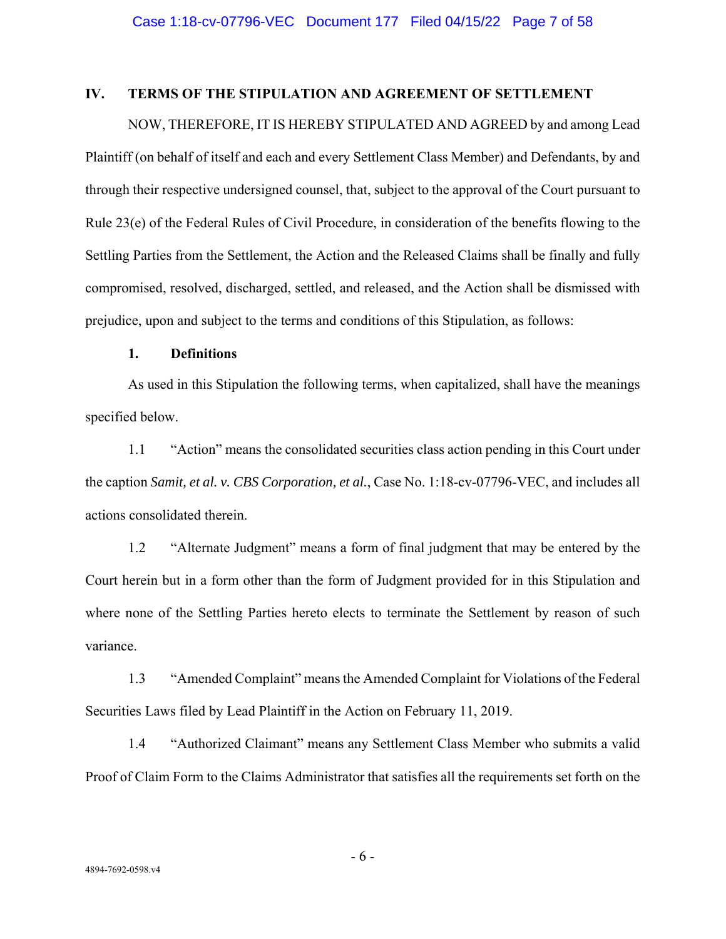# **IV. TERMS OF THE STIPULATION AND AGREEMENT OF SETTLEMENT**

NOW, THEREFORE, IT IS HEREBY STIPULATED AND AGREED by and among Lead Plaintiff (on behalf of itself and each and every Settlement Class Member) and Defendants, by and through their respective undersigned counsel, that, subject to the approval of the Court pursuant to Rule 23(e) of the Federal Rules of Civil Procedure, in consideration of the benefits flowing to the Settling Parties from the Settlement, the Action and the Released Claims shall be finally and fully compromised, resolved, discharged, settled, and released, and the Action shall be dismissed with prejudice, upon and subject to the terms and conditions of this Stipulation, as follows:

## **1. Definitions**

As used in this Stipulation the following terms, when capitalized, shall have the meanings specified below.

1.1 "Action" means the consolidated securities class action pending in this Court under the caption *Samit, et al. v. CBS Corporation, et al.*, Case No. 1:18-cv-07796-VEC, and includes all actions consolidated therein.

1.2 "Alternate Judgment" means a form of final judgment that may be entered by the Court herein but in a form other than the form of Judgment provided for in this Stipulation and where none of the Settling Parties hereto elects to terminate the Settlement by reason of such variance.

1.3 "Amended Complaint" means the Amended Complaint for Violations of the Federal Securities Laws filed by Lead Plaintiff in the Action on February 11, 2019.

1.4 "Authorized Claimant" means any Settlement Class Member who submits a valid Proof of Claim Form to the Claims Administrator that satisfies all the requirements set forth on the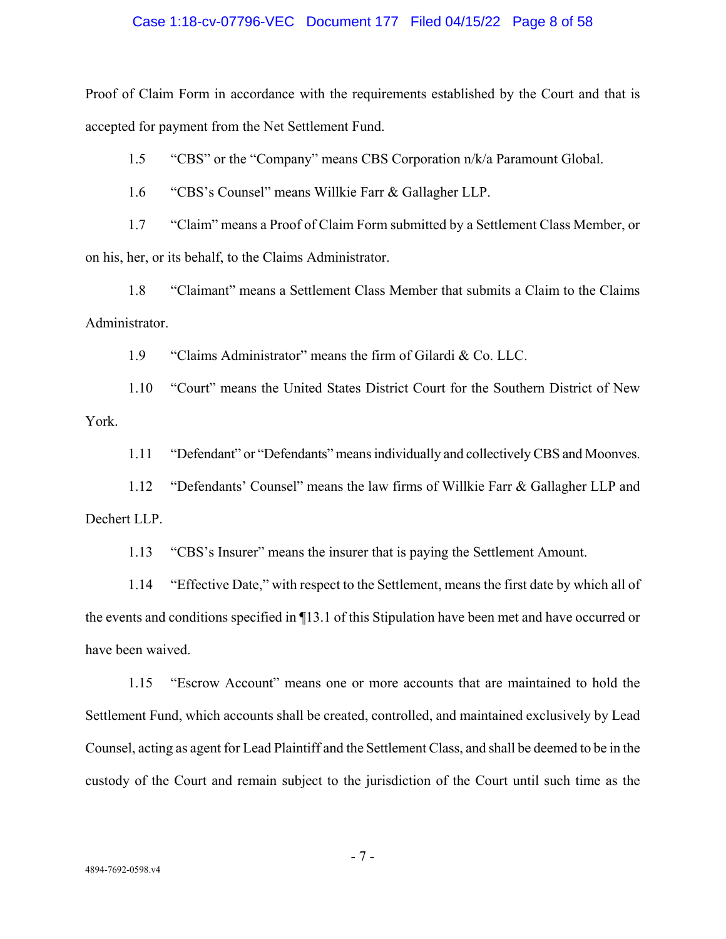### Case 1:18-cv-07796-VEC Document 177 Filed 04/15/22 Page 8 of 58

Proof of Claim Form in accordance with the requirements established by the Court and that is accepted for payment from the Net Settlement Fund.

1.5 "CBS" or the "Company" means CBS Corporation n/k/a Paramount Global.

1.6 "CBS's Counsel" means Willkie Farr & Gallagher LLP.

1.7 "Claim" means a Proof of Claim Form submitted by a Settlement Class Member, or on his, her, or its behalf, to the Claims Administrator.

1.8 "Claimant" means a Settlement Class Member that submits a Claim to the Claims Administrator.

1.9 "Claims Administrator" means the firm of Gilardi & Co. LLC.

1.10 "Court" means the United States District Court for the Southern District of New York.

1.11 "Defendant" or "Defendants" means individually and collectively CBS and Moonves.

1.12 "Defendants' Counsel" means the law firms of Willkie Farr & Gallagher LLP and Dechert LLP.

1.13 "CBS's Insurer" means the insurer that is paying the Settlement Amount.

1.14 "Effective Date," with respect to the Settlement, means the first date by which all of the events and conditions specified in ¶13.1 of this Stipulation have been met and have occurred or have been waived.

1.15 "Escrow Account" means one or more accounts that are maintained to hold the Settlement Fund, which accounts shall be created, controlled, and maintained exclusively by Lead Counsel, acting as agent for Lead Plaintiff and the Settlement Class, and shall be deemed to be in the custody of the Court and remain subject to the jurisdiction of the Court until such time as the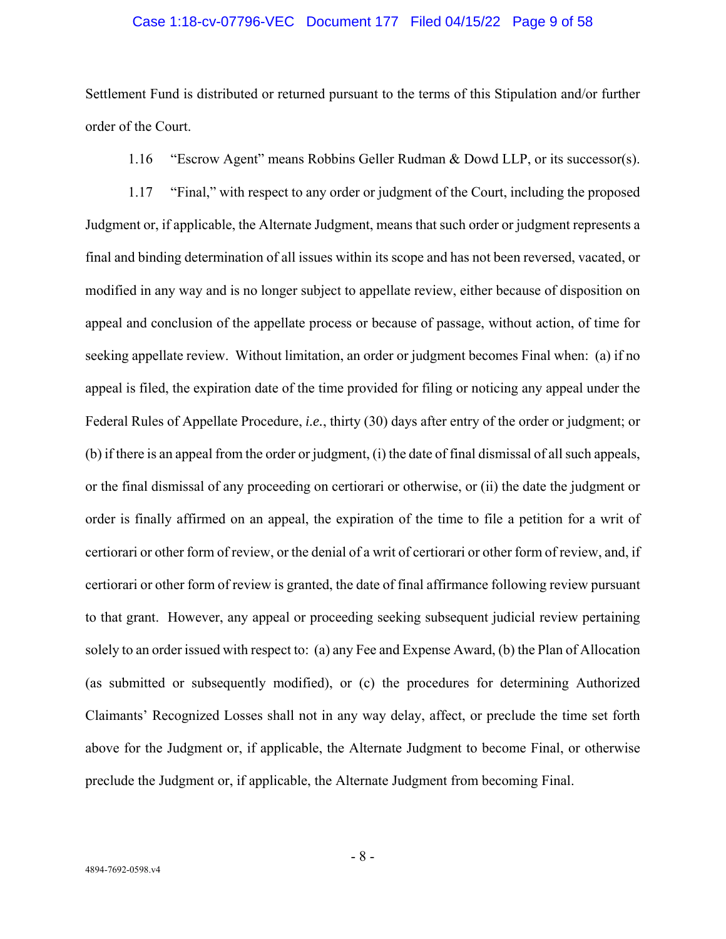### Case 1:18-cv-07796-VEC Document 177 Filed 04/15/22 Page 9 of 58

Settlement Fund is distributed or returned pursuant to the terms of this Stipulation and/or further order of the Court.

1.16 "Escrow Agent" means Robbins Geller Rudman & Dowd LLP, or its successor(s).

1.17 "Final," with respect to any order or judgment of the Court, including the proposed Judgment or, if applicable, the Alternate Judgment, means that such order or judgment represents a final and binding determination of all issues within its scope and has not been reversed, vacated, or modified in any way and is no longer subject to appellate review, either because of disposition on appeal and conclusion of the appellate process or because of passage, without action, of time for seeking appellate review. Without limitation, an order or judgment becomes Final when: (a) if no appeal is filed, the expiration date of the time provided for filing or noticing any appeal under the Federal Rules of Appellate Procedure, *i.e.*, thirty (30) days after entry of the order or judgment; or (b) if there is an appeal from the order or judgment, (i) the date of final dismissal of all such appeals, or the final dismissal of any proceeding on certiorari or otherwise, or (ii) the date the judgment or order is finally affirmed on an appeal, the expiration of the time to file a petition for a writ of certiorari or other form of review, or the denial of a writ of certiorari or other form of review, and, if certiorari or other form of review is granted, the date of final affirmance following review pursuant to that grant. However, any appeal or proceeding seeking subsequent judicial review pertaining solely to an order issued with respect to: (a) any Fee and Expense Award, (b) the Plan of Allocation (as submitted or subsequently modified), or (c) the procedures for determining Authorized Claimants' Recognized Losses shall not in any way delay, affect, or preclude the time set forth above for the Judgment or, if applicable, the Alternate Judgment to become Final, or otherwise preclude the Judgment or, if applicable, the Alternate Judgment from becoming Final.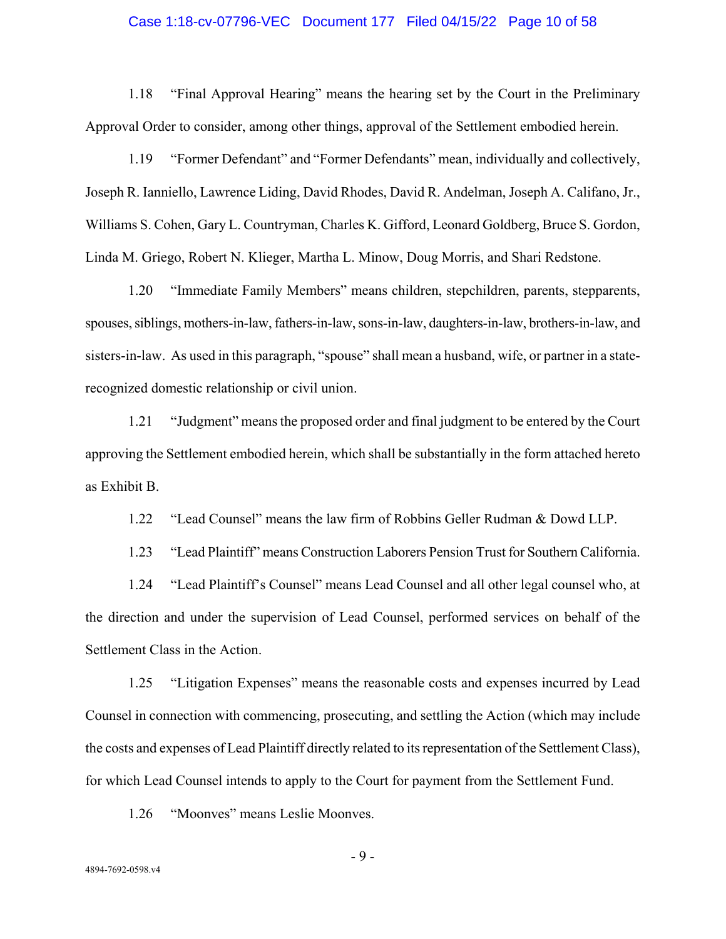#### Case 1:18-cv-07796-VEC Document 177 Filed 04/15/22 Page 10 of 58

1.18 "Final Approval Hearing" means the hearing set by the Court in the Preliminary Approval Order to consider, among other things, approval of the Settlement embodied herein.

1.19 "Former Defendant" and "Former Defendants" mean, individually and collectively, Joseph R. Ianniello, Lawrence Liding, David Rhodes, David R. Andelman, Joseph A. Califano, Jr., Williams S. Cohen, Gary L. Countryman, Charles K. Gifford, Leonard Goldberg, Bruce S. Gordon, Linda M. Griego, Robert N. Klieger, Martha L. Minow, Doug Morris, and Shari Redstone.

1.20 "Immediate Family Members" means children, stepchildren, parents, stepparents, spouses, siblings, mothers-in-law, fathers-in-law, sons-in-law, daughters-in-law, brothers-in-law, and sisters-in-law. As used in this paragraph, "spouse" shall mean a husband, wife, or partner in a staterecognized domestic relationship or civil union.

1.21 "Judgment" means the proposed order and final judgment to be entered by the Court approving the Settlement embodied herein, which shall be substantially in the form attached hereto as Exhibit B.

1.22 "Lead Counsel" means the law firm of Robbins Geller Rudman & Dowd LLP.

1.23 "Lead Plaintiff" means Construction Laborers Pension Trust for Southern California.

1.24 "Lead Plaintiff's Counsel" means Lead Counsel and all other legal counsel who, at the direction and under the supervision of Lead Counsel, performed services on behalf of the Settlement Class in the Action.

1.25 "Litigation Expenses" means the reasonable costs and expenses incurred by Lead Counsel in connection with commencing, prosecuting, and settling the Action (which may include the costs and expenses of Lead Plaintiff directly related to its representation of the Settlement Class), for which Lead Counsel intends to apply to the Court for payment from the Settlement Fund.

1.26 "Moonves" means Leslie Moonves.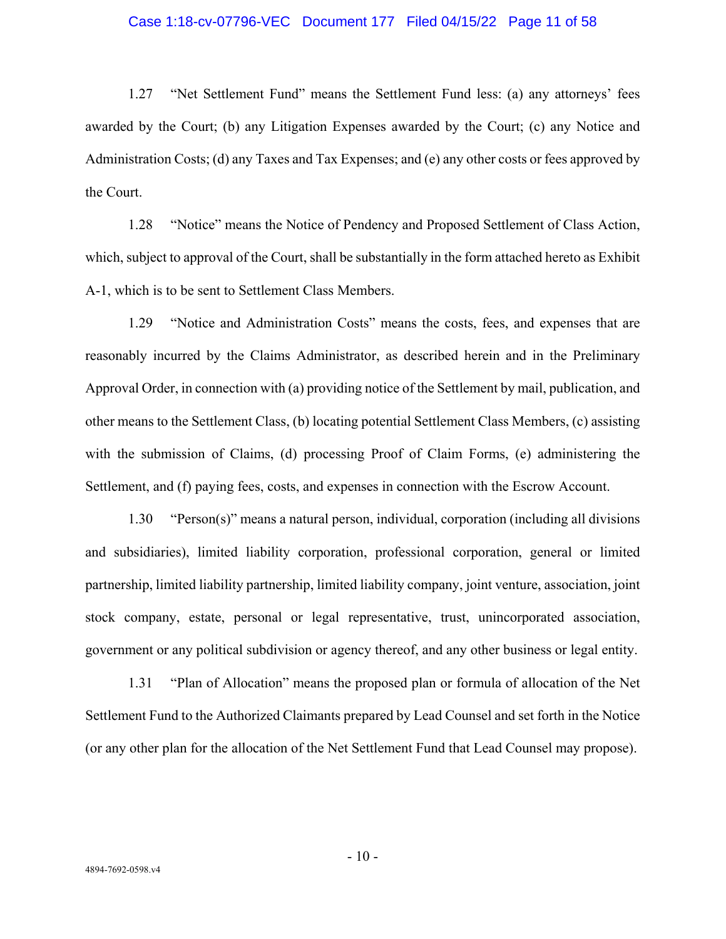#### Case 1:18-cv-07796-VEC Document 177 Filed 04/15/22 Page 11 of 58

1.27 "Net Settlement Fund" means the Settlement Fund less: (a) any attorneys' fees awarded by the Court; (b) any Litigation Expenses awarded by the Court; (c) any Notice and Administration Costs; (d) any Taxes and Tax Expenses; and (e) any other costs or fees approved by the Court.

1.28 "Notice" means the Notice of Pendency and Proposed Settlement of Class Action, which, subject to approval of the Court, shall be substantially in the form attached hereto as Exhibit A-1, which is to be sent to Settlement Class Members.

1.29 "Notice and Administration Costs" means the costs, fees, and expenses that are reasonably incurred by the Claims Administrator, as described herein and in the Preliminary Approval Order, in connection with (a) providing notice of the Settlement by mail, publication, and other means to the Settlement Class, (b) locating potential Settlement Class Members, (c) assisting with the submission of Claims, (d) processing Proof of Claim Forms, (e) administering the Settlement, and (f) paying fees, costs, and expenses in connection with the Escrow Account.

1.30 "Person(s)" means a natural person, individual, corporation (including all divisions and subsidiaries), limited liability corporation, professional corporation, general or limited partnership, limited liability partnership, limited liability company, joint venture, association, joint stock company, estate, personal or legal representative, trust, unincorporated association, government or any political subdivision or agency thereof, and any other business or legal entity.

1.31 "Plan of Allocation" means the proposed plan or formula of allocation of the Net Settlement Fund to the Authorized Claimants prepared by Lead Counsel and set forth in the Notice (or any other plan for the allocation of the Net Settlement Fund that Lead Counsel may propose).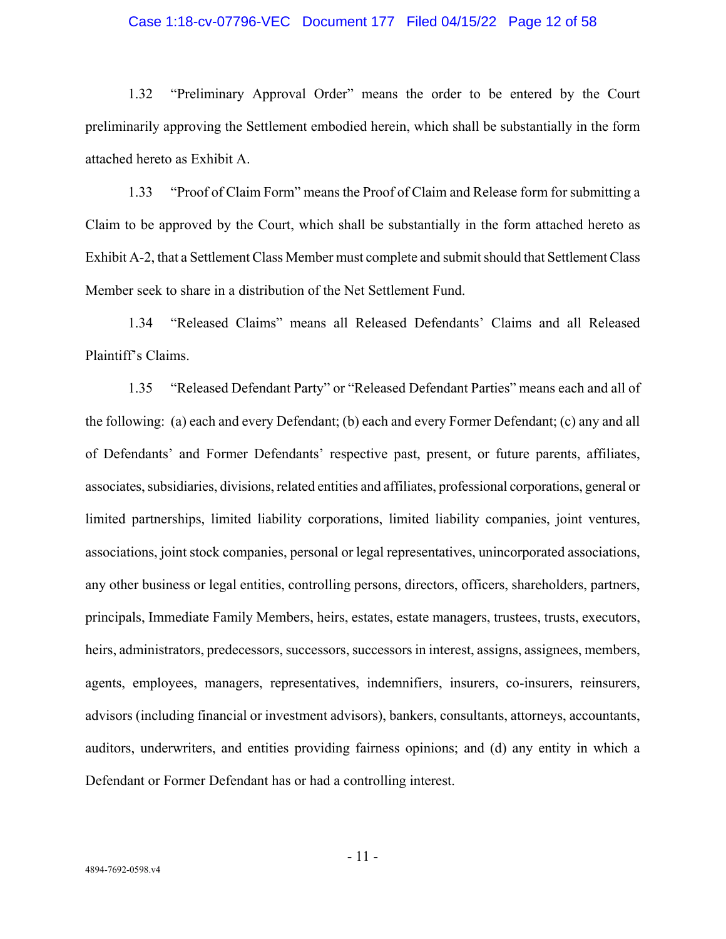### Case 1:18-cv-07796-VEC Document 177 Filed 04/15/22 Page 12 of 58

1.32 "Preliminary Approval Order" means the order to be entered by the Court preliminarily approving the Settlement embodied herein, which shall be substantially in the form attached hereto as Exhibit A.

1.33 "Proof of Claim Form" means the Proof of Claim and Release form for submitting a Claim to be approved by the Court, which shall be substantially in the form attached hereto as Exhibit A-2, that a Settlement Class Member must complete and submit should that Settlement Class Member seek to share in a distribution of the Net Settlement Fund.

1.34 "Released Claims" means all Released Defendants' Claims and all Released Plaintiff's Claims.

1.35 "Released Defendant Party" or "Released Defendant Parties" means each and all of the following: (a) each and every Defendant; (b) each and every Former Defendant; (c) any and all of Defendants' and Former Defendants' respective past, present, or future parents, affiliates, associates, subsidiaries, divisions, related entities and affiliates, professional corporations, general or limited partnerships, limited liability corporations, limited liability companies, joint ventures, associations, joint stock companies, personal or legal representatives, unincorporated associations, any other business or legal entities, controlling persons, directors, officers, shareholders, partners, principals, Immediate Family Members, heirs, estates, estate managers, trustees, trusts, executors, heirs, administrators, predecessors, successors, successors in interest, assigns, assignees, members, agents, employees, managers, representatives, indemnifiers, insurers, co-insurers, reinsurers, advisors (including financial or investment advisors), bankers, consultants, attorneys, accountants, auditors, underwriters, and entities providing fairness opinions; and (d) any entity in which a Defendant or Former Defendant has or had a controlling interest.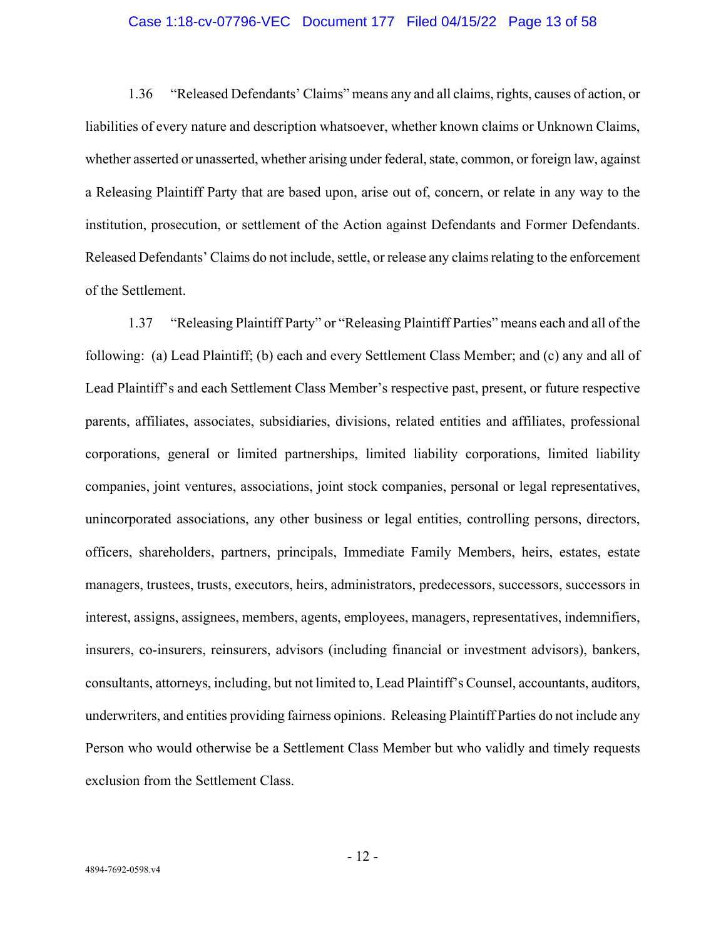### Case 1:18-cv-07796-VEC Document 177 Filed 04/15/22 Page 13 of 58

1.36 "Released Defendants' Claims" means any and all claims, rights, causes of action, or liabilities of every nature and description whatsoever, whether known claims or Unknown Claims, whether asserted or unasserted, whether arising under federal, state, common, or foreign law, against a Releasing Plaintiff Party that are based upon, arise out of, concern, or relate in any way to the institution, prosecution, or settlement of the Action against Defendants and Former Defendants. Released Defendants' Claims do not include, settle, or release any claims relating to the enforcement of the Settlement.

1.37 "Releasing Plaintiff Party" or "Releasing Plaintiff Parties" means each and all of the following: (a) Lead Plaintiff; (b) each and every Settlement Class Member; and (c) any and all of Lead Plaintiff's and each Settlement Class Member's respective past, present, or future respective parents, affiliates, associates, subsidiaries, divisions, related entities and affiliates, professional corporations, general or limited partnerships, limited liability corporations, limited liability companies, joint ventures, associations, joint stock companies, personal or legal representatives, unincorporated associations, any other business or legal entities, controlling persons, directors, officers, shareholders, partners, principals, Immediate Family Members, heirs, estates, estate managers, trustees, trusts, executors, heirs, administrators, predecessors, successors, successors in interest, assigns, assignees, members, agents, employees, managers, representatives, indemnifiers, insurers, co-insurers, reinsurers, advisors (including financial or investment advisors), bankers, consultants, attorneys, including, but not limited to, Lead Plaintiff's Counsel, accountants, auditors, underwriters, and entities providing fairness opinions. Releasing Plaintiff Parties do not include any Person who would otherwise be a Settlement Class Member but who validly and timely requests exclusion from the Settlement Class.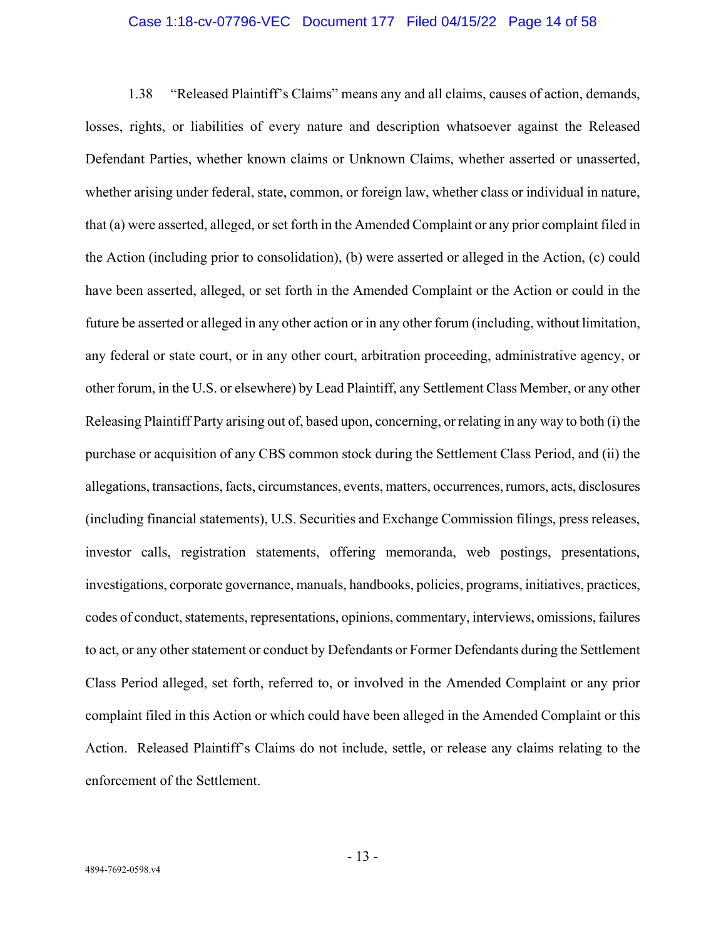#### Case 1:18-cv-07796-VEC Document 177 Filed 04/15/22 Page 14 of 58

1.38 "Released Plaintiff's Claims" means any and all claims, causes of action, demands, losses, rights, or liabilities of every nature and description whatsoever against the Released Defendant Parties, whether known claims or Unknown Claims, whether asserted or unasserted, whether arising under federal, state, common, or foreign law, whether class or individual in nature, that (a) were asserted, alleged, or set forth in the Amended Complaint or any prior complaint filed in the Action (including prior to consolidation), (b) were asserted or alleged in the Action, (c) could have been asserted, alleged, or set forth in the Amended Complaint or the Action or could in the future be asserted or alleged in any other action or in any other forum (including, without limitation, any federal or state court, or in any other court, arbitration proceeding, administrative agency, or other forum, in the U.S. or elsewhere) by Lead Plaintiff, any Settlement Class Member, or any other Releasing Plaintiff Party arising out of, based upon, concerning, or relating in any way to both (i) the purchase or acquisition of any CBS common stock during the Settlement Class Period, and (ii) the allegations, transactions, facts, circumstances, events, matters, occurrences, rumors, acts, disclosures (including financial statements), U.S. Securities and Exchange Commission filings, press releases, investor calls, registration statements, offering memoranda, web postings, presentations, investigations, corporate governance, manuals, handbooks, policies, programs, initiatives, practices, codes of conduct, statements, representations, opinions, commentary, interviews, omissions, failures to act, or any other statement or conduct by Defendants or Former Defendants during the Settlement Class Period alleged, set forth, referred to, or involved in the Amended Complaint or any prior complaint filed in this Action or which could have been alleged in the Amended Complaint or this Action. Released Plaintiff's Claims do not include, settle, or release any claims relating to the enforcement of the Settlement.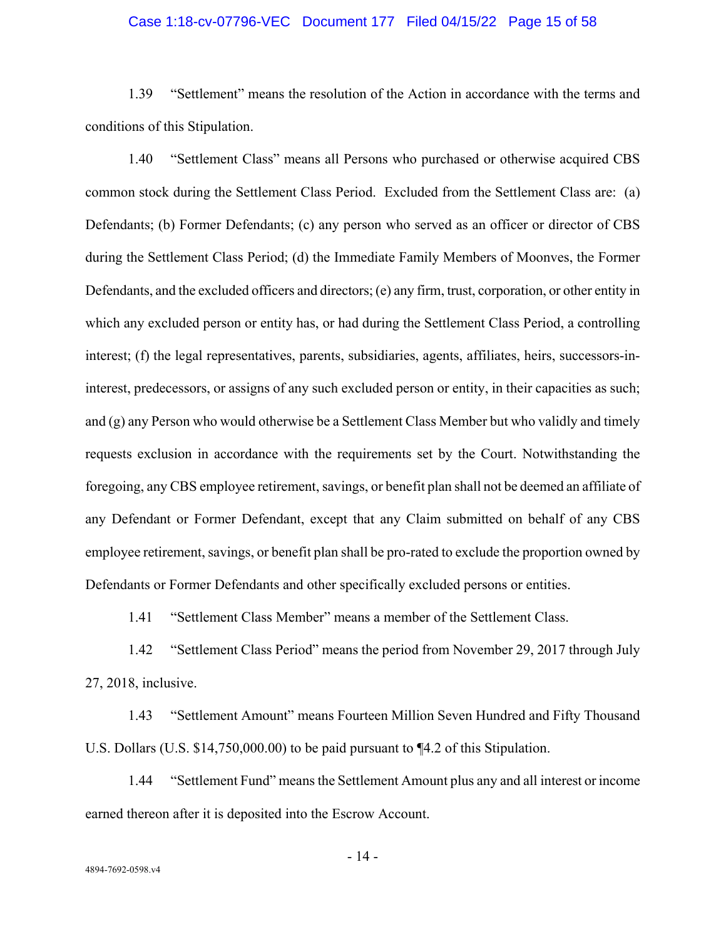### Case 1:18-cv-07796-VEC Document 177 Filed 04/15/22 Page 15 of 58

1.39 "Settlement" means the resolution of the Action in accordance with the terms and conditions of this Stipulation.

1.40 "Settlement Class" means all Persons who purchased or otherwise acquired CBS common stock during the Settlement Class Period. Excluded from the Settlement Class are: (a) Defendants; (b) Former Defendants; (c) any person who served as an officer or director of CBS during the Settlement Class Period; (d) the Immediate Family Members of Moonves, the Former Defendants, and the excluded officers and directors; (e) any firm, trust, corporation, or other entity in which any excluded person or entity has, or had during the Settlement Class Period, a controlling interest; (f) the legal representatives, parents, subsidiaries, agents, affiliates, heirs, successors-ininterest, predecessors, or assigns of any such excluded person or entity, in their capacities as such; and (g) any Person who would otherwise be a Settlement Class Member but who validly and timely requests exclusion in accordance with the requirements set by the Court. Notwithstanding the foregoing, any CBS employee retirement, savings, or benefit plan shall not be deemed an affiliate of any Defendant or Former Defendant, except that any Claim submitted on behalf of any CBS employee retirement, savings, or benefit plan shall be pro-rated to exclude the proportion owned by Defendants or Former Defendants and other specifically excluded persons or entities.

1.41 "Settlement Class Member" means a member of the Settlement Class.

1.42 "Settlement Class Period" means the period from November 29, 2017 through July 27, 2018, inclusive.

1.43 "Settlement Amount" means Fourteen Million Seven Hundred and Fifty Thousand U.S. Dollars (U.S. \$14,750,000.00) to be paid pursuant to ¶4.2 of this Stipulation.

1.44 "Settlement Fund" means the Settlement Amount plus any and all interest or income earned thereon after it is deposited into the Escrow Account.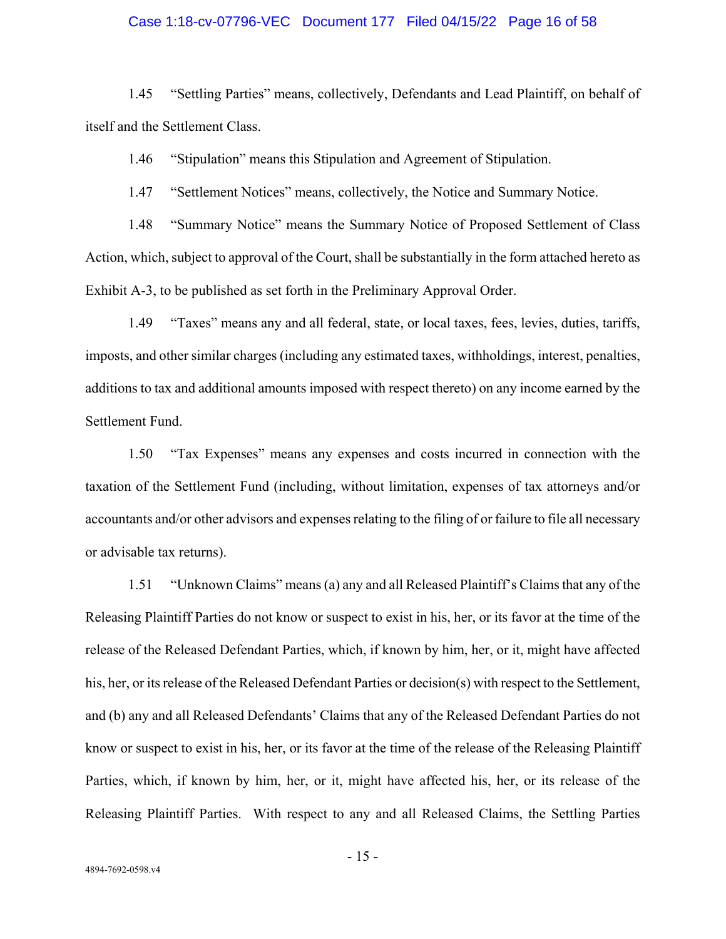#### Case 1:18-cv-07796-VEC Document 177 Filed 04/15/22 Page 16 of 58

1.45 "Settling Parties" means, collectively, Defendants and Lead Plaintiff, on behalf of itself and the Settlement Class.

1.46 "Stipulation" means this Stipulation and Agreement of Stipulation.

1.47 "Settlement Notices" means, collectively, the Notice and Summary Notice.

1.48 "Summary Notice" means the Summary Notice of Proposed Settlement of Class Action, which, subject to approval of the Court, shall be substantially in the form attached hereto as Exhibit A-3, to be published as set forth in the Preliminary Approval Order.

1.49 "Taxes" means any and all federal, state, or local taxes, fees, levies, duties, tariffs, imposts, and other similar charges (including any estimated taxes, withholdings, interest, penalties, additions to tax and additional amounts imposed with respect thereto) on any income earned by the Settlement Fund.

1.50 "Tax Expenses" means any expenses and costs incurred in connection with the taxation of the Settlement Fund (including, without limitation, expenses of tax attorneys and/or accountants and/or other advisors and expenses relating to the filing of or failure to file all necessary or advisable tax returns).

1.51 "Unknown Claims" means (a) any and all Released Plaintiff's Claims that any of the Releasing Plaintiff Parties do not know or suspect to exist in his, her, or its favor at the time of the release of the Released Defendant Parties, which, if known by him, her, or it, might have affected his, her, or its release of the Released Defendant Parties or decision(s) with respect to the Settlement, and (b) any and all Released Defendants' Claims that any of the Released Defendant Parties do not know or suspect to exist in his, her, or its favor at the time of the release of the Releasing Plaintiff Parties, which, if known by him, her, or it, might have affected his, her, or its release of the Releasing Plaintiff Parties. With respect to any and all Released Claims, the Settling Parties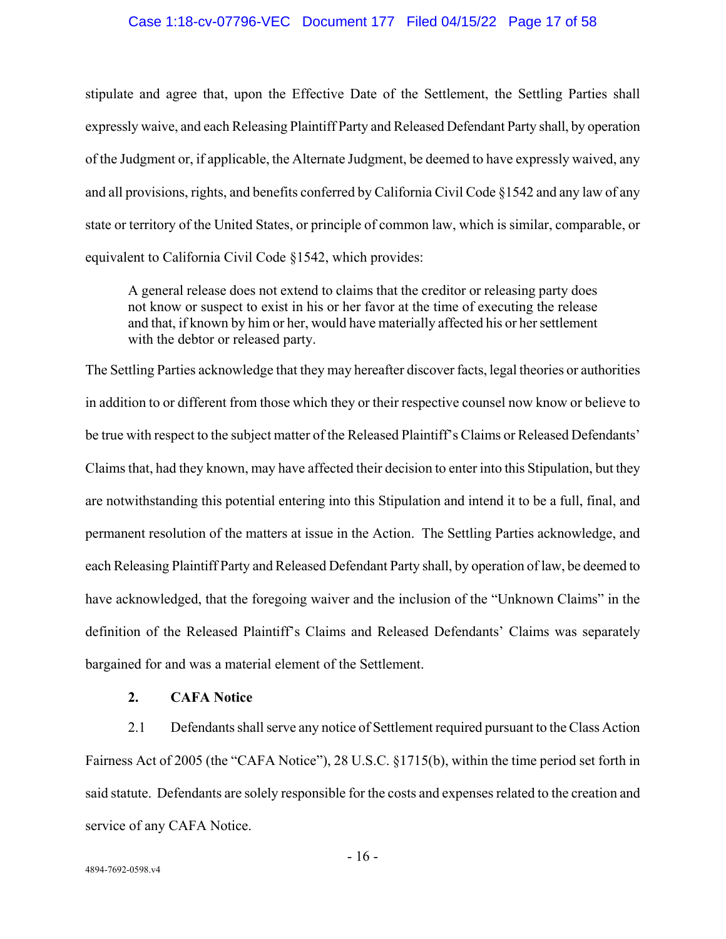### Case 1:18-cv-07796-VEC Document 177 Filed 04/15/22 Page 17 of 58

stipulate and agree that, upon the Effective Date of the Settlement, the Settling Parties shall expressly waive, and each Releasing Plaintiff Party and Released Defendant Party shall, by operation of the Judgment or, if applicable, the Alternate Judgment, be deemed to have expressly waived, any and all provisions, rights, and benefits conferred by California Civil Code §1542 and any law of any state or territory of the United States, or principle of common law, which is similar, comparable, or equivalent to California Civil Code §1542, which provides:

A general release does not extend to claims that the creditor or releasing party does not know or suspect to exist in his or her favor at the time of executing the release and that, if known by him or her, would have materially affected his or her settlement with the debtor or released party.

The Settling Parties acknowledge that they may hereafter discover facts, legal theories or authorities in addition to or different from those which they or their respective counsel now know or believe to be true with respect to the subject matter of the Released Plaintiff's Claims or Released Defendants' Claims that, had they known, may have affected their decision to enter into this Stipulation, but they are notwithstanding this potential entering into this Stipulation and intend it to be a full, final, and permanent resolution of the matters at issue in the Action. The Settling Parties acknowledge, and each Releasing Plaintiff Party and Released Defendant Party shall, by operation of law, be deemed to have acknowledged, that the foregoing waiver and the inclusion of the "Unknown Claims" in the definition of the Released Plaintiff's Claims and Released Defendants' Claims was separately bargained for and was a material element of the Settlement.

## **2. CAFA Notice**

2.1 Defendants shall serve any notice of Settlement required pursuant to the Class Action Fairness Act of 2005 (the "CAFA Notice"), 28 U.S.C. §1715(b), within the time period set forth in said statute. Defendants are solely responsible for the costs and expenses related to the creation and service of any CAFA Notice.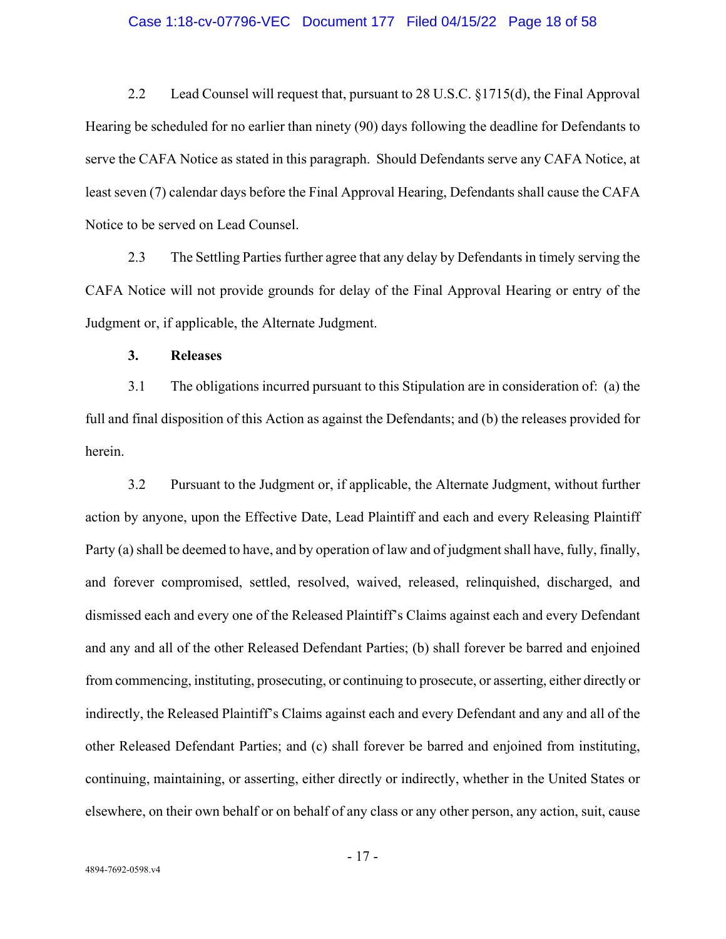#### Case 1:18-cv-07796-VEC Document 177 Filed 04/15/22 Page 18 of 58

2.2 Lead Counsel will request that, pursuant to 28 U.S.C. §1715(d), the Final Approval Hearing be scheduled for no earlier than ninety (90) days following the deadline for Defendants to serve the CAFA Notice as stated in this paragraph. Should Defendants serve any CAFA Notice, at least seven (7) calendar days before the Final Approval Hearing, Defendants shall cause the CAFA Notice to be served on Lead Counsel.

2.3 The Settling Parties further agree that any delay by Defendants in timely serving the CAFA Notice will not provide grounds for delay of the Final Approval Hearing or entry of the Judgment or, if applicable, the Alternate Judgment.

**3. Releases** 

3.1 The obligations incurred pursuant to this Stipulation are in consideration of: (a) the full and final disposition of this Action as against the Defendants; and (b) the releases provided for herein.

3.2 Pursuant to the Judgment or, if applicable, the Alternate Judgment, without further action by anyone, upon the Effective Date, Lead Plaintiff and each and every Releasing Plaintiff Party (a) shall be deemed to have, and by operation of law and of judgment shall have, fully, finally, and forever compromised, settled, resolved, waived, released, relinquished, discharged, and dismissed each and every one of the Released Plaintiff's Claims against each and every Defendant and any and all of the other Released Defendant Parties; (b) shall forever be barred and enjoined from commencing, instituting, prosecuting, or continuing to prosecute, or asserting, either directly or indirectly, the Released Plaintiff's Claims against each and every Defendant and any and all of the other Released Defendant Parties; and (c) shall forever be barred and enjoined from instituting, continuing, maintaining, or asserting, either directly or indirectly, whether in the United States or elsewhere, on their own behalf or on behalf of any class or any other person, any action, suit, cause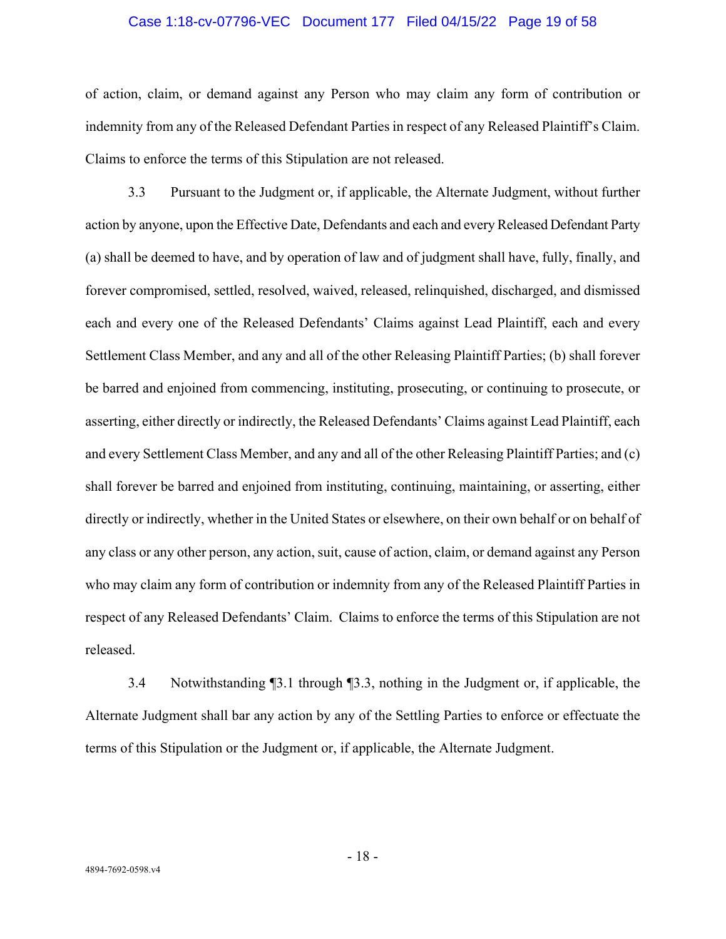#### Case 1:18-cv-07796-VEC Document 177 Filed 04/15/22 Page 19 of 58

of action, claim, or demand against any Person who may claim any form of contribution or indemnity from any of the Released Defendant Parties in respect of any Released Plaintiff's Claim. Claims to enforce the terms of this Stipulation are not released.

3.3 Pursuant to the Judgment or, if applicable, the Alternate Judgment, without further action by anyone, upon the Effective Date, Defendants and each and every Released Defendant Party (a) shall be deemed to have, and by operation of law and of judgment shall have, fully, finally, and forever compromised, settled, resolved, waived, released, relinquished, discharged, and dismissed each and every one of the Released Defendants' Claims against Lead Plaintiff, each and every Settlement Class Member, and any and all of the other Releasing Plaintiff Parties; (b) shall forever be barred and enjoined from commencing, instituting, prosecuting, or continuing to prosecute, or asserting, either directly or indirectly, the Released Defendants' Claims against Lead Plaintiff, each and every Settlement Class Member, and any and all of the other Releasing Plaintiff Parties; and (c) shall forever be barred and enjoined from instituting, continuing, maintaining, or asserting, either directly or indirectly, whether in the United States or elsewhere, on their own behalf or on behalf of any class or any other person, any action, suit, cause of action, claim, or demand against any Person who may claim any form of contribution or indemnity from any of the Released Plaintiff Parties in respect of any Released Defendants' Claim. Claims to enforce the terms of this Stipulation are not released.

3.4 Notwithstanding ¶3.1 through ¶3.3, nothing in the Judgment or, if applicable, the Alternate Judgment shall bar any action by any of the Settling Parties to enforce or effectuate the terms of this Stipulation or the Judgment or, if applicable, the Alternate Judgment.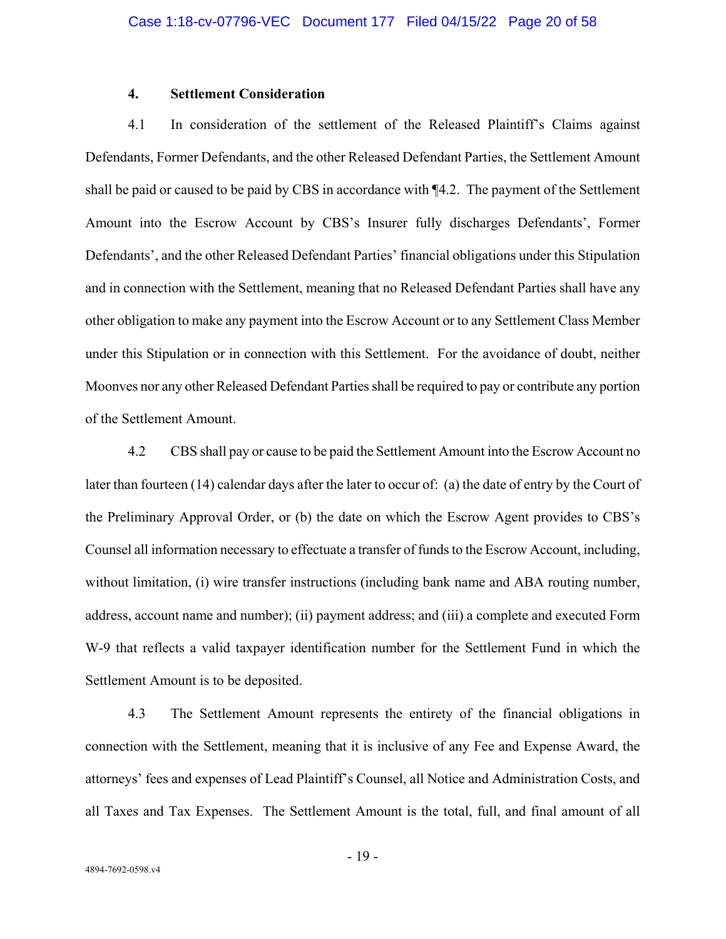## **4. Settlement Consideration**

4.1 In consideration of the settlement of the Released Plaintiff's Claims against Defendants, Former Defendants, and the other Released Defendant Parties, the Settlement Amount shall be paid or caused to be paid by CBS in accordance with ¶4.2. The payment of the Settlement Amount into the Escrow Account by CBS's Insurer fully discharges Defendants', Former Defendants', and the other Released Defendant Parties' financial obligations under this Stipulation and in connection with the Settlement, meaning that no Released Defendant Parties shall have any other obligation to make any payment into the Escrow Account or to any Settlement Class Member under this Stipulation or in connection with this Settlement. For the avoidance of doubt, neither Moonves nor any other Released Defendant Parties shall be required to pay or contribute any portion of the Settlement Amount.

4.2 CBS shall pay or cause to be paid the Settlement Amount into the Escrow Account no later than fourteen (14) calendar days after the later to occur of: (a) the date of entry by the Court of the Preliminary Approval Order, or (b) the date on which the Escrow Agent provides to CBS's Counsel all information necessary to effectuate a transfer of funds to the Escrow Account, including, without limitation, (i) wire transfer instructions (including bank name and ABA routing number, address, account name and number); (ii) payment address; and (iii) a complete and executed Form W-9 that reflects a valid taxpayer identification number for the Settlement Fund in which the Settlement Amount is to be deposited.

4.3 The Settlement Amount represents the entirety of the financial obligations in connection with the Settlement, meaning that it is inclusive of any Fee and Expense Award, the attorneys' fees and expenses of Lead Plaintiff's Counsel, all Notice and Administration Costs, and all Taxes and Tax Expenses. The Settlement Amount is the total, full, and final amount of all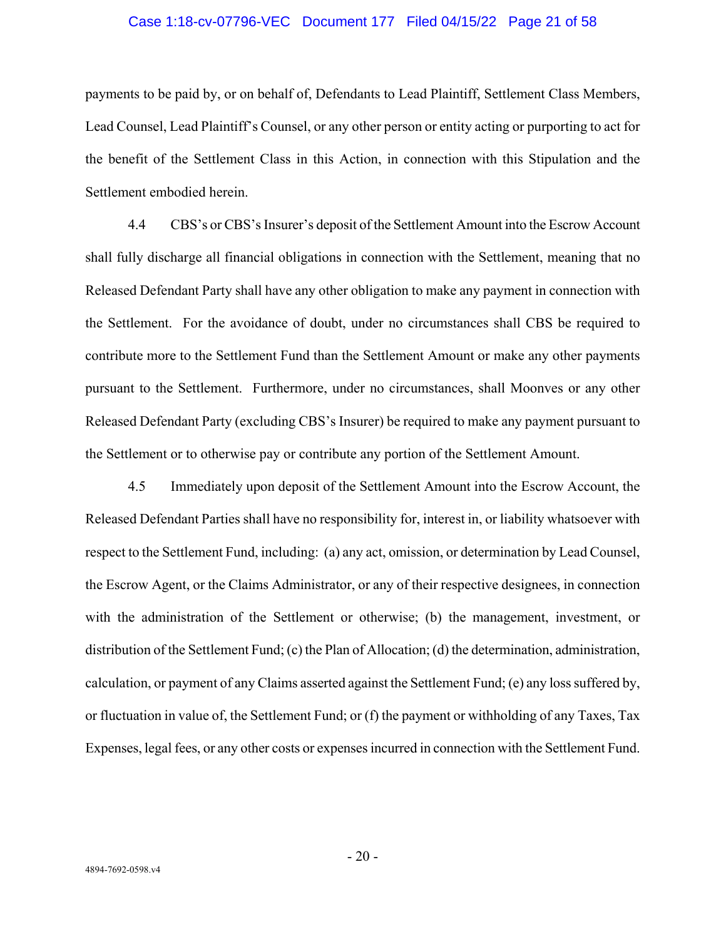#### Case 1:18-cv-07796-VEC Document 177 Filed 04/15/22 Page 21 of 58

payments to be paid by, or on behalf of, Defendants to Lead Plaintiff, Settlement Class Members, Lead Counsel, Lead Plaintiff's Counsel, or any other person or entity acting or purporting to act for the benefit of the Settlement Class in this Action, in connection with this Stipulation and the Settlement embodied herein.

4.4 CBS's or CBS's Insurer's deposit of the Settlement Amount into the Escrow Account shall fully discharge all financial obligations in connection with the Settlement, meaning that no Released Defendant Party shall have any other obligation to make any payment in connection with the Settlement. For the avoidance of doubt, under no circumstances shall CBS be required to contribute more to the Settlement Fund than the Settlement Amount or make any other payments pursuant to the Settlement. Furthermore, under no circumstances, shall Moonves or any other Released Defendant Party (excluding CBS's Insurer) be required to make any payment pursuant to the Settlement or to otherwise pay or contribute any portion of the Settlement Amount.

4.5 Immediately upon deposit of the Settlement Amount into the Escrow Account, the Released Defendant Parties shall have no responsibility for, interest in, or liability whatsoever with respect to the Settlement Fund, including: (a) any act, omission, or determination by Lead Counsel, the Escrow Agent, or the Claims Administrator, or any of their respective designees, in connection with the administration of the Settlement or otherwise; (b) the management, investment, or distribution of the Settlement Fund; (c) the Plan of Allocation; (d) the determination, administration, calculation, or payment of any Claims asserted against the Settlement Fund; (e) any loss suffered by, or fluctuation in value of, the Settlement Fund; or (f) the payment or withholding of any Taxes, Tax Expenses, legal fees, or any other costs or expenses incurred in connection with the Settlement Fund.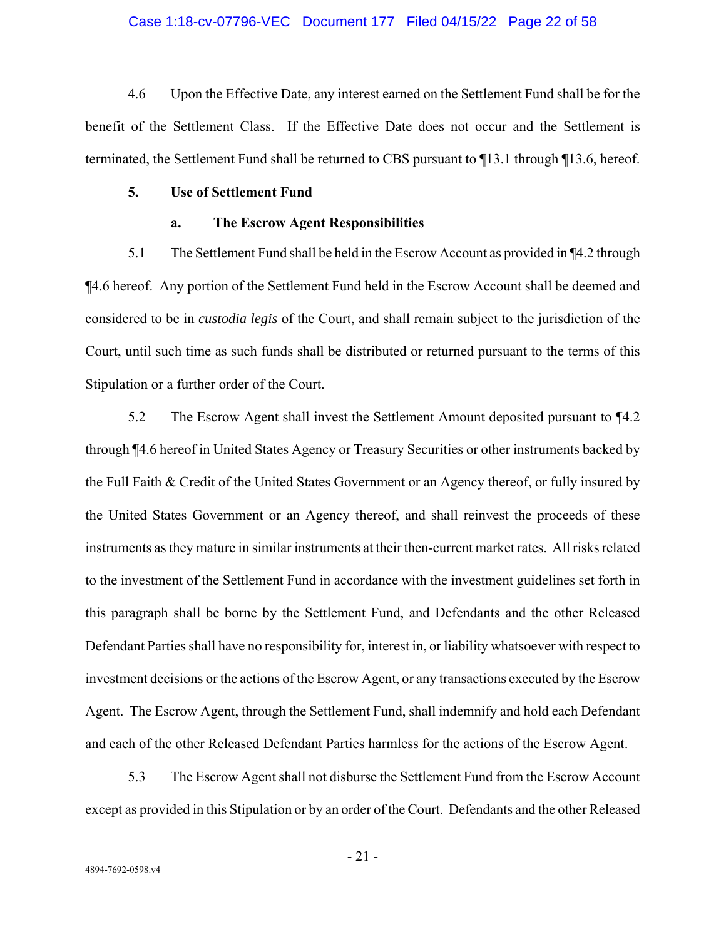#### Case 1:18-cv-07796-VEC Document 177 Filed 04/15/22 Page 22 of 58

4.6 Upon the Effective Date, any interest earned on the Settlement Fund shall be for the benefit of the Settlement Class. If the Effective Date does not occur and the Settlement is terminated, the Settlement Fund shall be returned to CBS pursuant to ¶13.1 through ¶13.6, hereof.

## **5. Use of Settlement Fund**

#### **a. The Escrow Agent Responsibilities**

5.1 The Settlement Fund shall be held in the Escrow Account as provided in ¶4.2 through ¶4.6 hereof. Any portion of the Settlement Fund held in the Escrow Account shall be deemed and considered to be in *custodia legis* of the Court, and shall remain subject to the jurisdiction of the Court, until such time as such funds shall be distributed or returned pursuant to the terms of this Stipulation or a further order of the Court.

5.2 The Escrow Agent shall invest the Settlement Amount deposited pursuant to ¶4.2 through ¶4.6 hereof in United States Agency or Treasury Securities or other instruments backed by the Full Faith & Credit of the United States Government or an Agency thereof, or fully insured by the United States Government or an Agency thereof, and shall reinvest the proceeds of these instruments as they mature in similar instruments at their then-current market rates. All risks related to the investment of the Settlement Fund in accordance with the investment guidelines set forth in this paragraph shall be borne by the Settlement Fund, and Defendants and the other Released Defendant Parties shall have no responsibility for, interest in, or liability whatsoever with respect to investment decisions or the actions of the Escrow Agent, or any transactions executed by the Escrow Agent. The Escrow Agent, through the Settlement Fund, shall indemnify and hold each Defendant and each of the other Released Defendant Parties harmless for the actions of the Escrow Agent.

5.3 The Escrow Agent shall not disburse the Settlement Fund from the Escrow Account except as provided in this Stipulation or by an order of the Court. Defendants and the other Released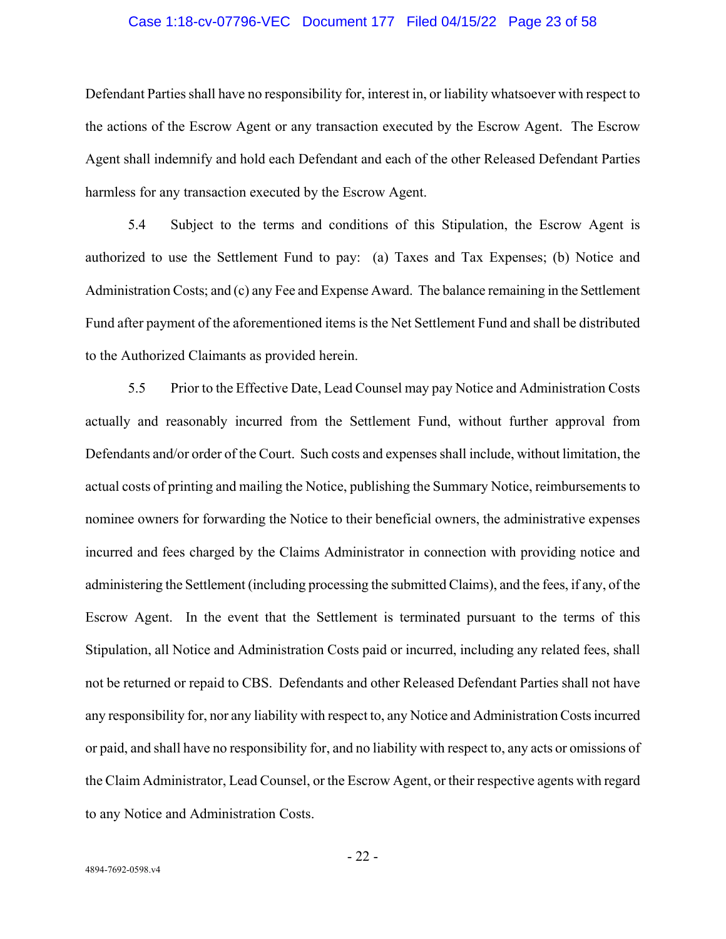#### Case 1:18-cv-07796-VEC Document 177 Filed 04/15/22 Page 23 of 58

Defendant Parties shall have no responsibility for, interest in, or liability whatsoever with respect to the actions of the Escrow Agent or any transaction executed by the Escrow Agent. The Escrow Agent shall indemnify and hold each Defendant and each of the other Released Defendant Parties harmless for any transaction executed by the Escrow Agent.

5.4 Subject to the terms and conditions of this Stipulation, the Escrow Agent is authorized to use the Settlement Fund to pay: (a) Taxes and Tax Expenses; (b) Notice and Administration Costs; and (c) any Fee and Expense Award. The balance remaining in the Settlement Fund after payment of the aforementioned items is the Net Settlement Fund and shall be distributed to the Authorized Claimants as provided herein.

5.5 Prior to the Effective Date, Lead Counsel may pay Notice and Administration Costs actually and reasonably incurred from the Settlement Fund, without further approval from Defendants and/or order of the Court. Such costs and expenses shall include, without limitation, the actual costs of printing and mailing the Notice, publishing the Summary Notice, reimbursements to nominee owners for forwarding the Notice to their beneficial owners, the administrative expenses incurred and fees charged by the Claims Administrator in connection with providing notice and administering the Settlement (including processing the submitted Claims), and the fees, if any, of the Escrow Agent. In the event that the Settlement is terminated pursuant to the terms of this Stipulation, all Notice and Administration Costs paid or incurred, including any related fees, shall not be returned or repaid to CBS. Defendants and other Released Defendant Parties shall not have any responsibility for, nor any liability with respect to, any Notice and Administration Costs incurred or paid, and shall have no responsibility for, and no liability with respect to, any acts or omissions of the Claim Administrator, Lead Counsel, or the Escrow Agent, or their respective agents with regard to any Notice and Administration Costs.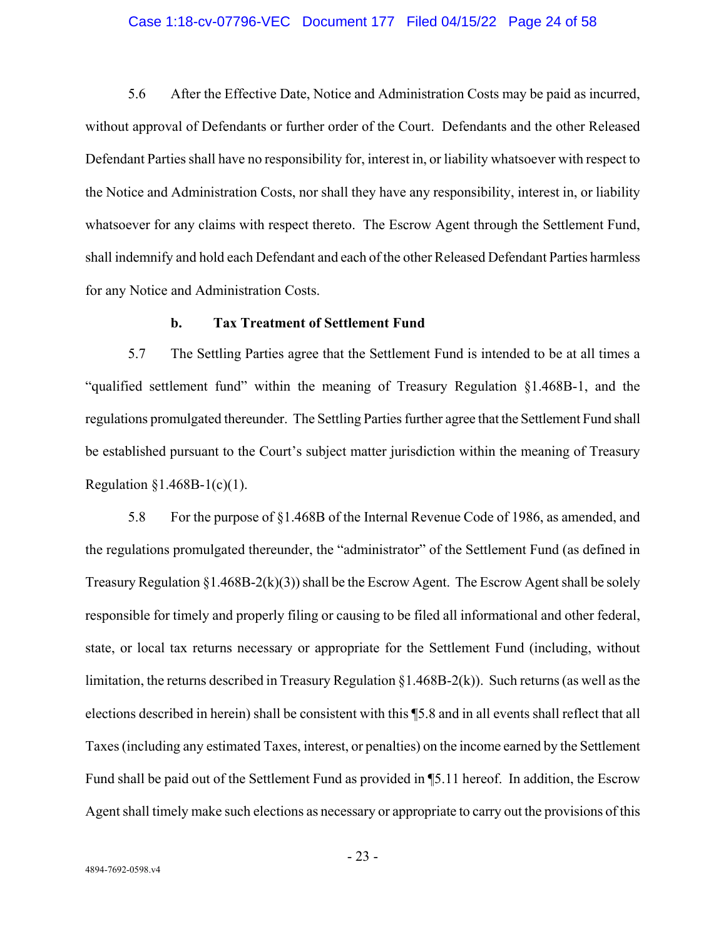#### Case 1:18-cv-07796-VEC Document 177 Filed 04/15/22 Page 24 of 58

5.6 After the Effective Date, Notice and Administration Costs may be paid as incurred, without approval of Defendants or further order of the Court. Defendants and the other Released Defendant Parties shall have no responsibility for, interest in, or liability whatsoever with respect to the Notice and Administration Costs, nor shall they have any responsibility, interest in, or liability whatsoever for any claims with respect thereto. The Escrow Agent through the Settlement Fund, shall indemnify and hold each Defendant and each of the other Released Defendant Parties harmless for any Notice and Administration Costs.

#### **b. Tax Treatment of Settlement Fund**

5.7 The Settling Parties agree that the Settlement Fund is intended to be at all times a "qualified settlement fund" within the meaning of Treasury Regulation §1.468B-1, and the regulations promulgated thereunder. The Settling Parties further agree that the Settlement Fund shall be established pursuant to the Court's subject matter jurisdiction within the meaning of Treasury Regulation §1.468B-1(c)(1).

5.8 For the purpose of §1.468B of the Internal Revenue Code of 1986, as amended, and the regulations promulgated thereunder, the "administrator" of the Settlement Fund (as defined in Treasury Regulation §1.468B-2(k)(3)) shall be the Escrow Agent. The Escrow Agent shall be solely responsible for timely and properly filing or causing to be filed all informational and other federal, state, or local tax returns necessary or appropriate for the Settlement Fund (including, without limitation, the returns described in Treasury Regulation §1.468B-2(k)). Such returns (as well as the elections described in herein) shall be consistent with this ¶5.8 and in all events shall reflect that all Taxes (including any estimated Taxes, interest, or penalties) on the income earned by the Settlement Fund shall be paid out of the Settlement Fund as provided in ¶5.11 hereof. In addition, the Escrow Agent shall timely make such elections as necessary or appropriate to carry out the provisions of this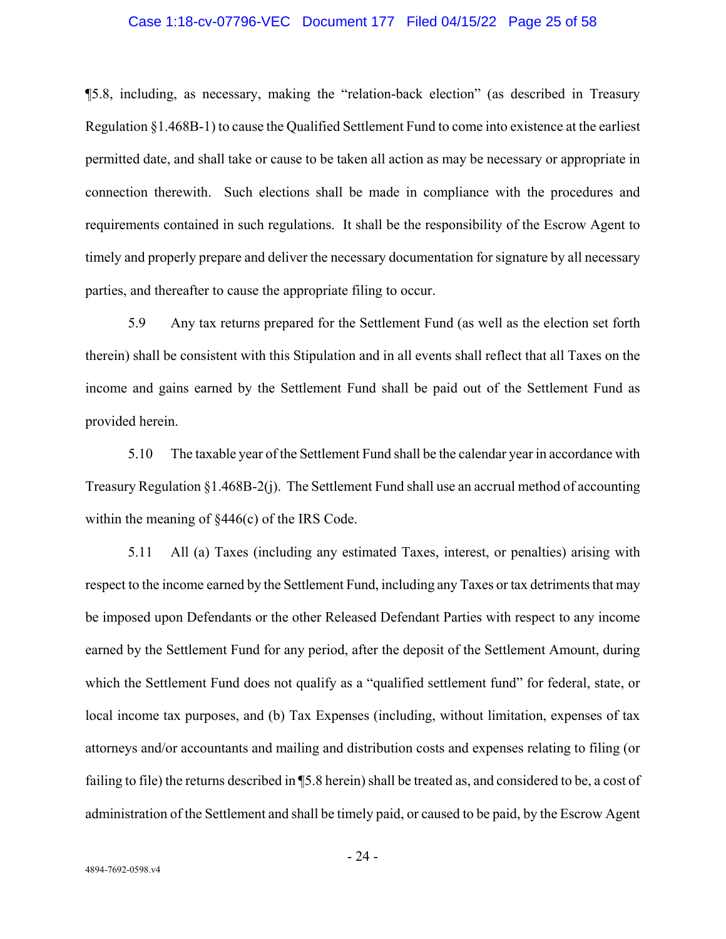#### Case 1:18-cv-07796-VEC Document 177 Filed 04/15/22 Page 25 of 58

¶5.8, including, as necessary, making the "relation-back election" (as described in Treasury Regulation §1.468B-1) to cause the Qualified Settlement Fund to come into existence at the earliest permitted date, and shall take or cause to be taken all action as may be necessary or appropriate in connection therewith. Such elections shall be made in compliance with the procedures and requirements contained in such regulations. It shall be the responsibility of the Escrow Agent to timely and properly prepare and deliver the necessary documentation for signature by all necessary parties, and thereafter to cause the appropriate filing to occur.

5.9 Any tax returns prepared for the Settlement Fund (as well as the election set forth therein) shall be consistent with this Stipulation and in all events shall reflect that all Taxes on the income and gains earned by the Settlement Fund shall be paid out of the Settlement Fund as provided herein.

5.10 The taxable year of the Settlement Fund shall be the calendar year in accordance with Treasury Regulation §1.468B-2(j). The Settlement Fund shall use an accrual method of accounting within the meaning of  $\S 446(c)$  of the IRS Code.

5.11 All (a) Taxes (including any estimated Taxes, interest, or penalties) arising with respect to the income earned by the Settlement Fund, including any Taxes or tax detriments that may be imposed upon Defendants or the other Released Defendant Parties with respect to any income earned by the Settlement Fund for any period, after the deposit of the Settlement Amount, during which the Settlement Fund does not qualify as a "qualified settlement fund" for federal, state, or local income tax purposes, and (b) Tax Expenses (including, without limitation, expenses of tax attorneys and/or accountants and mailing and distribution costs and expenses relating to filing (or failing to file) the returns described in ¶5.8 herein) shall be treated as, and considered to be, a cost of administration of the Settlement and shall be timely paid, or caused to be paid, by the Escrow Agent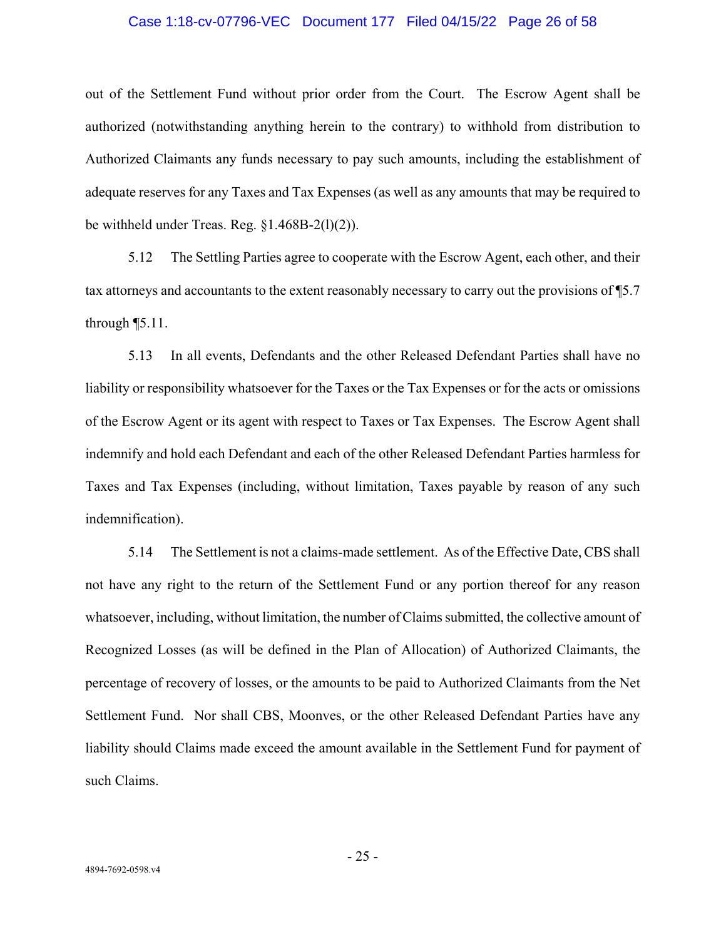### Case 1:18-cv-07796-VEC Document 177 Filed 04/15/22 Page 26 of 58

out of the Settlement Fund without prior order from the Court. The Escrow Agent shall be authorized (notwithstanding anything herein to the contrary) to withhold from distribution to Authorized Claimants any funds necessary to pay such amounts, including the establishment of adequate reserves for any Taxes and Tax Expenses (as well as any amounts that may be required to be withheld under Treas. Reg. §1.468B-2(l)(2)).

5.12 The Settling Parties agree to cooperate with the Escrow Agent, each other, and their tax attorneys and accountants to the extent reasonably necessary to carry out the provisions of ¶5.7 through ¶5.11.

5.13 In all events, Defendants and the other Released Defendant Parties shall have no liability or responsibility whatsoever for the Taxes or the Tax Expenses or for the acts or omissions of the Escrow Agent or its agent with respect to Taxes or Tax Expenses. The Escrow Agent shall indemnify and hold each Defendant and each of the other Released Defendant Parties harmless for Taxes and Tax Expenses (including, without limitation, Taxes payable by reason of any such indemnification).

5.14 The Settlement is not a claims-made settlement. As of the Effective Date, CBS shall not have any right to the return of the Settlement Fund or any portion thereof for any reason whatsoever, including, without limitation, the number of Claims submitted, the collective amount of Recognized Losses (as will be defined in the Plan of Allocation) of Authorized Claimants, the percentage of recovery of losses, or the amounts to be paid to Authorized Claimants from the Net Settlement Fund. Nor shall CBS, Moonves, or the other Released Defendant Parties have any liability should Claims made exceed the amount available in the Settlement Fund for payment of such Claims.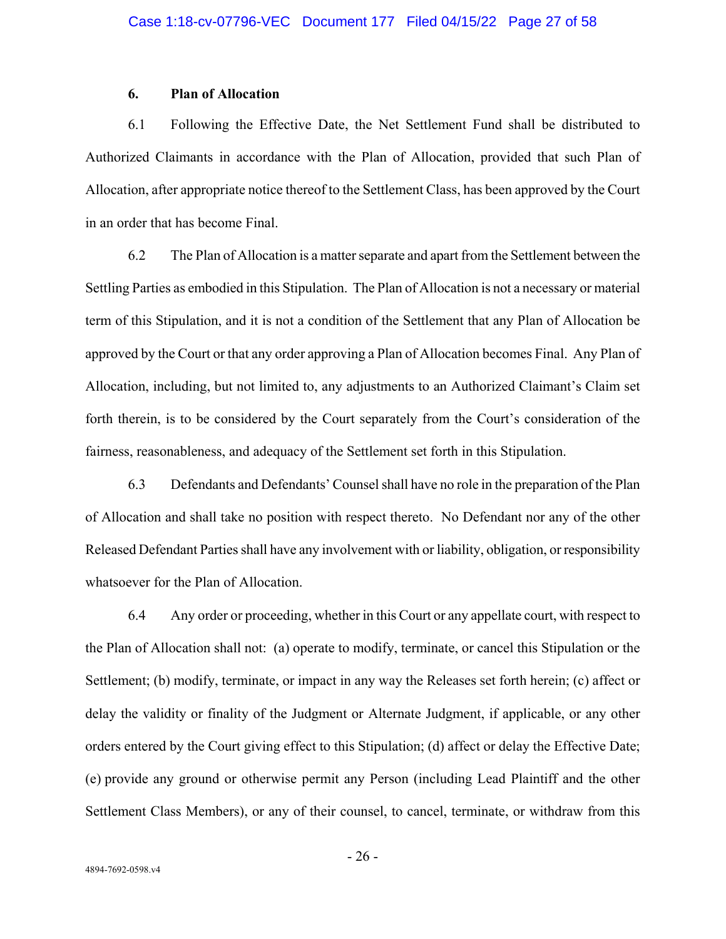## **6. Plan of Allocation**

6.1 Following the Effective Date, the Net Settlement Fund shall be distributed to Authorized Claimants in accordance with the Plan of Allocation, provided that such Plan of Allocation, after appropriate notice thereof to the Settlement Class, has been approved by the Court in an order that has become Final.

6.2 The Plan of Allocation is a matter separate and apart from the Settlement between the Settling Parties as embodied in this Stipulation. The Plan of Allocation is not a necessary or material term of this Stipulation, and it is not a condition of the Settlement that any Plan of Allocation be approved by the Court or that any order approving a Plan of Allocation becomes Final. Any Plan of Allocation, including, but not limited to, any adjustments to an Authorized Claimant's Claim set forth therein, is to be considered by the Court separately from the Court's consideration of the fairness, reasonableness, and adequacy of the Settlement set forth in this Stipulation.

6.3 Defendants and Defendants' Counsel shall have no role in the preparation of the Plan of Allocation and shall take no position with respect thereto. No Defendant nor any of the other Released Defendant Parties shall have any involvement with or liability, obligation, or responsibility whatsoever for the Plan of Allocation.

6.4 Any order or proceeding, whether in this Court or any appellate court, with respect to the Plan of Allocation shall not: (a) operate to modify, terminate, or cancel this Stipulation or the Settlement; (b) modify, terminate, or impact in any way the Releases set forth herein; (c) affect or delay the validity or finality of the Judgment or Alternate Judgment, if applicable, or any other orders entered by the Court giving effect to this Stipulation; (d) affect or delay the Effective Date; (e) provide any ground or otherwise permit any Person (including Lead Plaintiff and the other Settlement Class Members), or any of their counsel, to cancel, terminate, or withdraw from this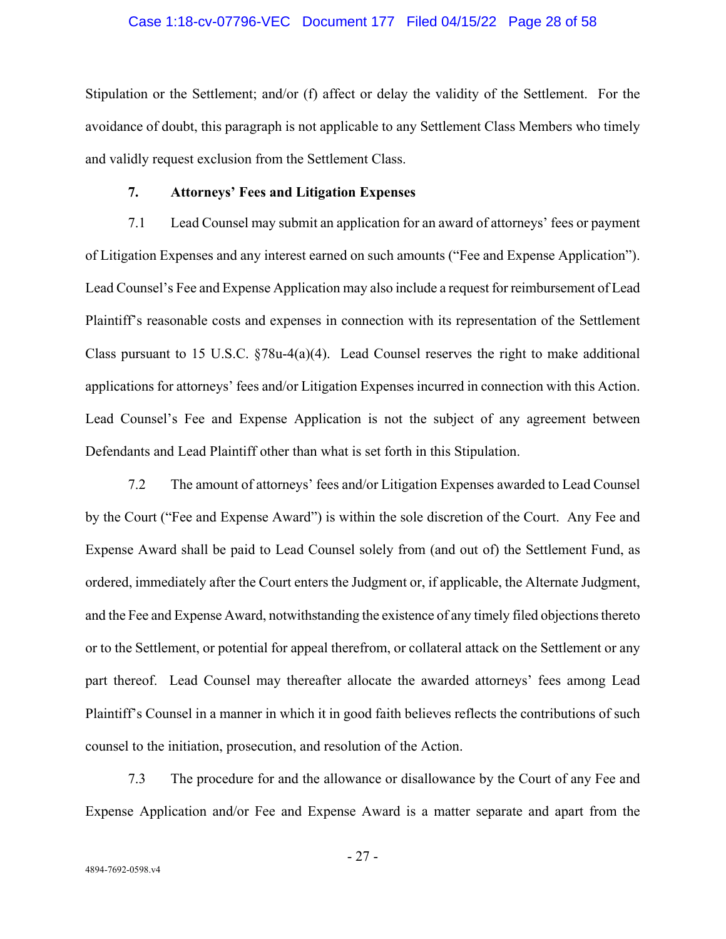#### Case 1:18-cv-07796-VEC Document 177 Filed 04/15/22 Page 28 of 58

Stipulation or the Settlement; and/or (f) affect or delay the validity of the Settlement. For the avoidance of doubt, this paragraph is not applicable to any Settlement Class Members who timely and validly request exclusion from the Settlement Class.

## **7. Attorneys' Fees and Litigation Expenses**

7.1 Lead Counsel may submit an application for an award of attorneys' fees or payment of Litigation Expenses and any interest earned on such amounts ("Fee and Expense Application"). Lead Counsel's Fee and Expense Application may also include a request for reimbursement of Lead Plaintiff's reasonable costs and expenses in connection with its representation of the Settlement Class pursuant to 15 U.S.C.  $\frac{878u-4(a)(4)}{2}$ . Lead Counsel reserves the right to make additional applications for attorneys' fees and/or Litigation Expenses incurred in connection with this Action. Lead Counsel's Fee and Expense Application is not the subject of any agreement between Defendants and Lead Plaintiff other than what is set forth in this Stipulation.

7.2 The amount of attorneys' fees and/or Litigation Expenses awarded to Lead Counsel by the Court ("Fee and Expense Award") is within the sole discretion of the Court. Any Fee and Expense Award shall be paid to Lead Counsel solely from (and out of) the Settlement Fund, as ordered, immediately after the Court enters the Judgment or, if applicable, the Alternate Judgment, and the Fee and Expense Award, notwithstanding the existence of any timely filed objections thereto or to the Settlement, or potential for appeal therefrom, or collateral attack on the Settlement or any part thereof. Lead Counsel may thereafter allocate the awarded attorneys' fees among Lead Plaintiff's Counsel in a manner in which it in good faith believes reflects the contributions of such counsel to the initiation, prosecution, and resolution of the Action.

7.3 The procedure for and the allowance or disallowance by the Court of any Fee and Expense Application and/or Fee and Expense Award is a matter separate and apart from the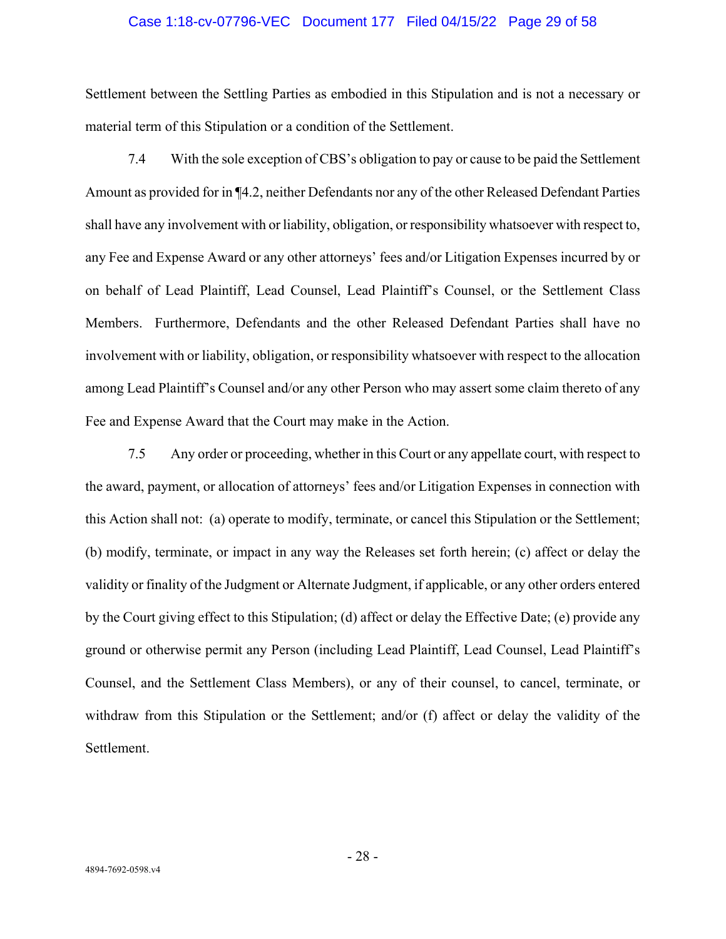#### Case 1:18-cv-07796-VEC Document 177 Filed 04/15/22 Page 29 of 58

Settlement between the Settling Parties as embodied in this Stipulation and is not a necessary or material term of this Stipulation or a condition of the Settlement.

7.4 With the sole exception of CBS's obligation to pay or cause to be paid the Settlement Amount as provided for in ¶4.2, neither Defendants nor any of the other Released Defendant Parties shall have any involvement with or liability, obligation, or responsibility whatsoever with respect to, any Fee and Expense Award or any other attorneys' fees and/or Litigation Expenses incurred by or on behalf of Lead Plaintiff, Lead Counsel, Lead Plaintiff's Counsel, or the Settlement Class Members. Furthermore, Defendants and the other Released Defendant Parties shall have no involvement with or liability, obligation, or responsibility whatsoever with respect to the allocation among Lead Plaintiff's Counsel and/or any other Person who may assert some claim thereto of any Fee and Expense Award that the Court may make in the Action.

7.5 Any order or proceeding, whether in this Court or any appellate court, with respect to the award, payment, or allocation of attorneys' fees and/or Litigation Expenses in connection with this Action shall not: (a) operate to modify, terminate, or cancel this Stipulation or the Settlement; (b) modify, terminate, or impact in any way the Releases set forth herein; (c) affect or delay the validity or finality of the Judgment or Alternate Judgment, if applicable, or any other orders entered by the Court giving effect to this Stipulation; (d) affect or delay the Effective Date; (e) provide any ground or otherwise permit any Person (including Lead Plaintiff, Lead Counsel, Lead Plaintiff's Counsel, and the Settlement Class Members), or any of their counsel, to cancel, terminate, or withdraw from this Stipulation or the Settlement; and/or (f) affect or delay the validity of the Settlement.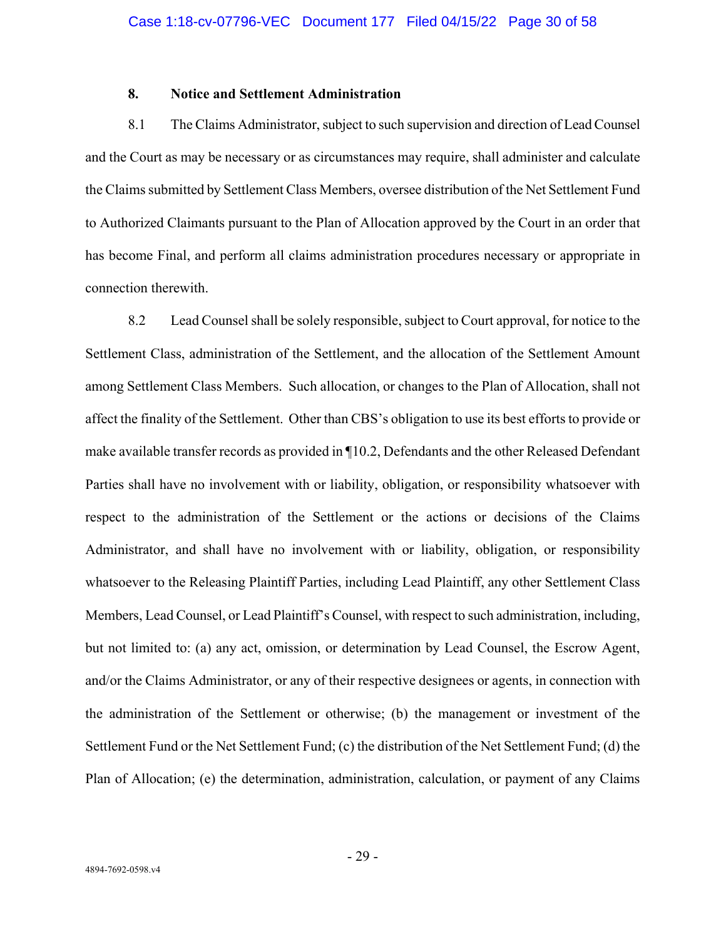## **8. Notice and Settlement Administration**

8.1 The Claims Administrator, subject to such supervision and direction of Lead Counsel and the Court as may be necessary or as circumstances may require, shall administer and calculate the Claims submitted by Settlement Class Members, oversee distribution of the Net Settlement Fund to Authorized Claimants pursuant to the Plan of Allocation approved by the Court in an order that has become Final, and perform all claims administration procedures necessary or appropriate in connection therewith.

8.2 Lead Counsel shall be solely responsible, subject to Court approval, for notice to the Settlement Class, administration of the Settlement, and the allocation of the Settlement Amount among Settlement Class Members. Such allocation, or changes to the Plan of Allocation, shall not affect the finality of the Settlement. Other than CBS's obligation to use its best efforts to provide or make available transfer records as provided in ¶10.2, Defendants and the other Released Defendant Parties shall have no involvement with or liability, obligation, or responsibility whatsoever with respect to the administration of the Settlement or the actions or decisions of the Claims Administrator, and shall have no involvement with or liability, obligation, or responsibility whatsoever to the Releasing Plaintiff Parties, including Lead Plaintiff, any other Settlement Class Members, Lead Counsel, or Lead Plaintiff's Counsel, with respect to such administration, including, but not limited to: (a) any act, omission, or determination by Lead Counsel, the Escrow Agent, and/or the Claims Administrator, or any of their respective designees or agents, in connection with the administration of the Settlement or otherwise; (b) the management or investment of the Settlement Fund or the Net Settlement Fund; (c) the distribution of the Net Settlement Fund; (d) the Plan of Allocation; (e) the determination, administration, calculation, or payment of any Claims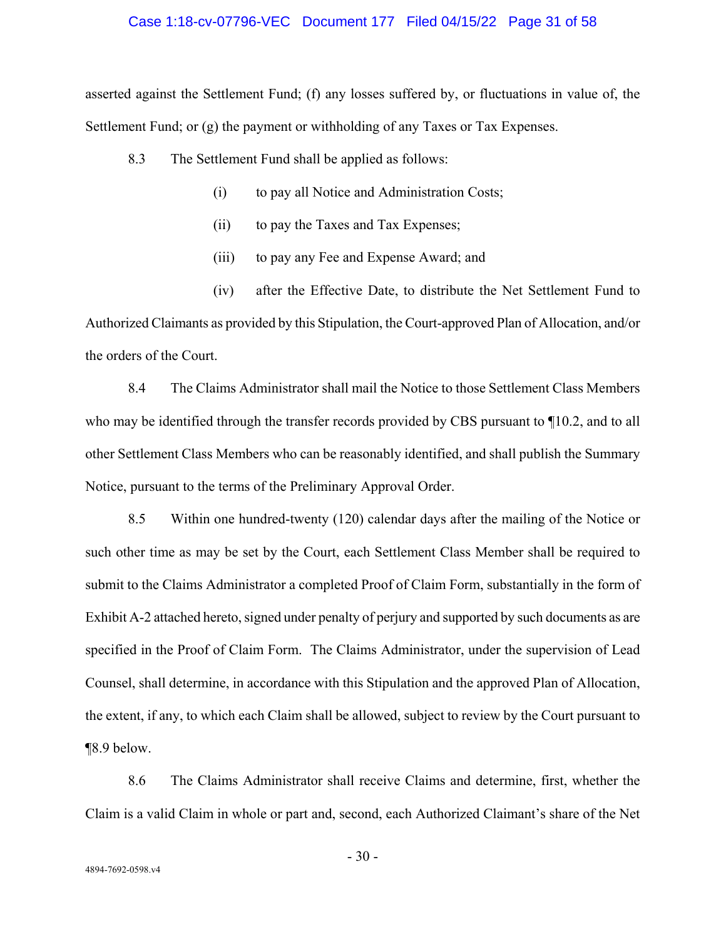#### Case 1:18-cv-07796-VEC Document 177 Filed 04/15/22 Page 31 of 58

asserted against the Settlement Fund; (f) any losses suffered by, or fluctuations in value of, the Settlement Fund; or (g) the payment or withholding of any Taxes or Tax Expenses.

- 8.3 The Settlement Fund shall be applied as follows:
	- (i) to pay all Notice and Administration Costs;
	- (ii) to pay the Taxes and Tax Expenses;
	- (iii) to pay any Fee and Expense Award; and

(iv) after the Effective Date, to distribute the Net Settlement Fund to Authorized Claimants as provided by this Stipulation, the Court-approved Plan of Allocation, and/or the orders of the Court.

8.4 The Claims Administrator shall mail the Notice to those Settlement Class Members who may be identified through the transfer records provided by CBS pursuant to ¶10.2, and to all other Settlement Class Members who can be reasonably identified, and shall publish the Summary Notice, pursuant to the terms of the Preliminary Approval Order.

8.5 Within one hundred-twenty (120) calendar days after the mailing of the Notice or such other time as may be set by the Court, each Settlement Class Member shall be required to submit to the Claims Administrator a completed Proof of Claim Form, substantially in the form of Exhibit A-2 attached hereto, signed under penalty of perjury and supported by such documents as are specified in the Proof of Claim Form. The Claims Administrator, under the supervision of Lead Counsel, shall determine, in accordance with this Stipulation and the approved Plan of Allocation, the extent, if any, to which each Claim shall be allowed, subject to review by the Court pursuant to ¶8.9 below.

8.6 The Claims Administrator shall receive Claims and determine, first, whether the Claim is a valid Claim in whole or part and, second, each Authorized Claimant's share of the Net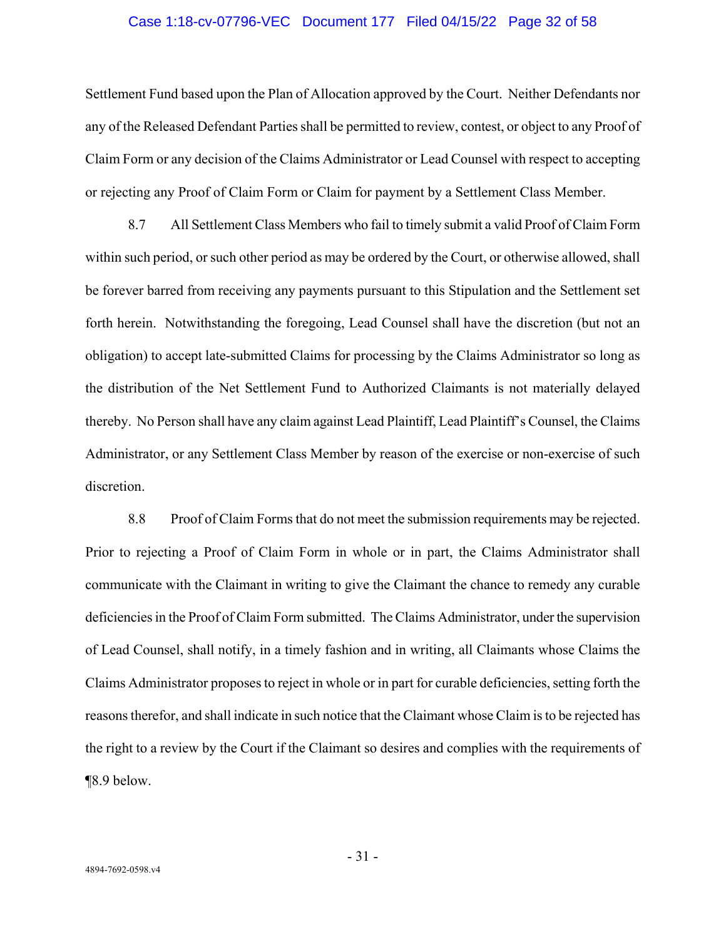#### Case 1:18-cv-07796-VEC Document 177 Filed 04/15/22 Page 32 of 58

Settlement Fund based upon the Plan of Allocation approved by the Court. Neither Defendants nor any of the Released Defendant Parties shall be permitted to review, contest, or object to any Proof of Claim Form or any decision of the Claims Administrator or Lead Counsel with respect to accepting or rejecting any Proof of Claim Form or Claim for payment by a Settlement Class Member.

8.7 All Settlement Class Members who fail to timely submit a valid Proof of Claim Form within such period, or such other period as may be ordered by the Court, or otherwise allowed, shall be forever barred from receiving any payments pursuant to this Stipulation and the Settlement set forth herein. Notwithstanding the foregoing, Lead Counsel shall have the discretion (but not an obligation) to accept late-submitted Claims for processing by the Claims Administrator so long as the distribution of the Net Settlement Fund to Authorized Claimants is not materially delayed thereby. No Person shall have any claim against Lead Plaintiff, Lead Plaintiff's Counsel, the Claims Administrator, or any Settlement Class Member by reason of the exercise or non-exercise of such discretion.

8.8 Proof of Claim Forms that do not meet the submission requirements may be rejected. Prior to rejecting a Proof of Claim Form in whole or in part, the Claims Administrator shall communicate with the Claimant in writing to give the Claimant the chance to remedy any curable deficiencies in the Proof of Claim Form submitted. The Claims Administrator, under the supervision of Lead Counsel, shall notify, in a timely fashion and in writing, all Claimants whose Claims the Claims Administrator proposes to reject in whole or in part for curable deficiencies, setting forth the reasons therefor, and shall indicate in such notice that the Claimant whose Claim is to be rejected has the right to a review by the Court if the Claimant so desires and complies with the requirements of ¶8.9 below.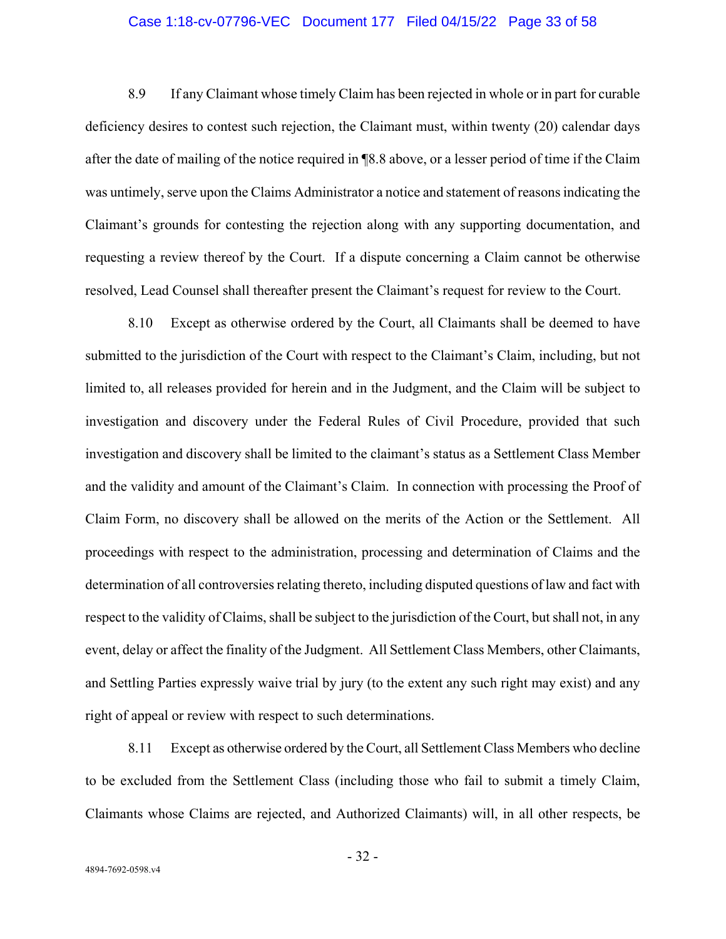### Case 1:18-cv-07796-VEC Document 177 Filed 04/15/22 Page 33 of 58

8.9 If any Claimant whose timely Claim has been rejected in whole or in part for curable deficiency desires to contest such rejection, the Claimant must, within twenty (20) calendar days after the date of mailing of the notice required in ¶8.8 above, or a lesser period of time if the Claim was untimely, serve upon the Claims Administrator a notice and statement of reasons indicating the Claimant's grounds for contesting the rejection along with any supporting documentation, and requesting a review thereof by the Court. If a dispute concerning a Claim cannot be otherwise resolved, Lead Counsel shall thereafter present the Claimant's request for review to the Court.

8.10 Except as otherwise ordered by the Court, all Claimants shall be deemed to have submitted to the jurisdiction of the Court with respect to the Claimant's Claim, including, but not limited to, all releases provided for herein and in the Judgment, and the Claim will be subject to investigation and discovery under the Federal Rules of Civil Procedure, provided that such investigation and discovery shall be limited to the claimant's status as a Settlement Class Member and the validity and amount of the Claimant's Claim. In connection with processing the Proof of Claim Form, no discovery shall be allowed on the merits of the Action or the Settlement. All proceedings with respect to the administration, processing and determination of Claims and the determination of all controversies relating thereto, including disputed questions of law and fact with respect to the validity of Claims, shall be subject to the jurisdiction of the Court, but shall not, in any event, delay or affect the finality of the Judgment. All Settlement Class Members, other Claimants, and Settling Parties expressly waive trial by jury (to the extent any such right may exist) and any right of appeal or review with respect to such determinations.

8.11 Except as otherwise ordered by the Court, all Settlement Class Members who decline to be excluded from the Settlement Class (including those who fail to submit a timely Claim, Claimants whose Claims are rejected, and Authorized Claimants) will, in all other respects, be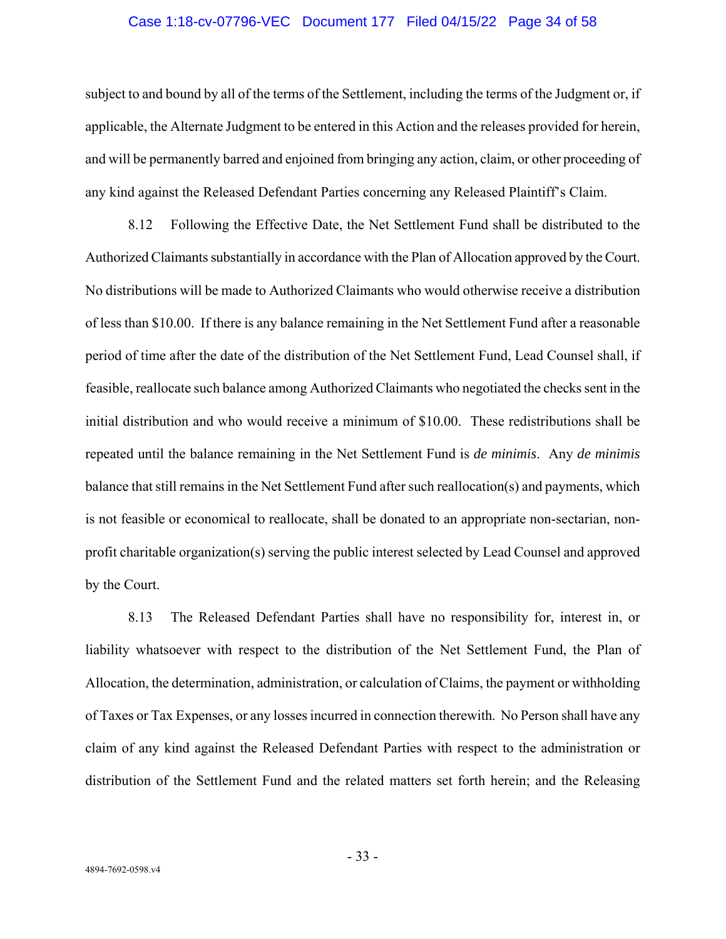#### Case 1:18-cv-07796-VEC Document 177 Filed 04/15/22 Page 34 of 58

subject to and bound by all of the terms of the Settlement, including the terms of the Judgment or, if applicable, the Alternate Judgment to be entered in this Action and the releases provided for herein, and will be permanently barred and enjoined from bringing any action, claim, or other proceeding of any kind against the Released Defendant Parties concerning any Released Plaintiff's Claim.

8.12 Following the Effective Date, the Net Settlement Fund shall be distributed to the Authorized Claimants substantially in accordance with the Plan of Allocation approved by the Court. No distributions will be made to Authorized Claimants who would otherwise receive a distribution of less than \$10.00. If there is any balance remaining in the Net Settlement Fund after a reasonable period of time after the date of the distribution of the Net Settlement Fund, Lead Counsel shall, if feasible, reallocate such balance among Authorized Claimants who negotiated the checks sent in the initial distribution and who would receive a minimum of \$10.00. These redistributions shall be repeated until the balance remaining in the Net Settlement Fund is *de minimis*. Any *de minimis* balance that still remains in the Net Settlement Fund after such reallocation(s) and payments, which is not feasible or economical to reallocate, shall be donated to an appropriate non-sectarian, nonprofit charitable organization(s) serving the public interest selected by Lead Counsel and approved by the Court.

8.13 The Released Defendant Parties shall have no responsibility for, interest in, or liability whatsoever with respect to the distribution of the Net Settlement Fund, the Plan of Allocation, the determination, administration, or calculation of Claims, the payment or withholding of Taxes or Tax Expenses, or any losses incurred in connection therewith. No Person shall have any claim of any kind against the Released Defendant Parties with respect to the administration or distribution of the Settlement Fund and the related matters set forth herein; and the Releasing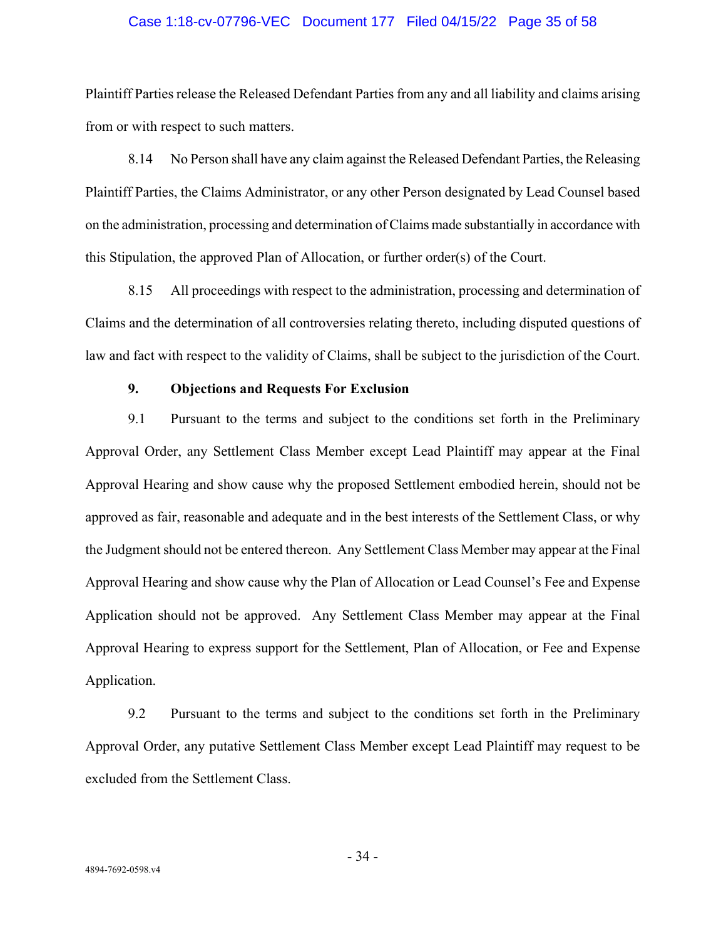#### Case 1:18-cv-07796-VEC Document 177 Filed 04/15/22 Page 35 of 58

Plaintiff Parties release the Released Defendant Parties from any and all liability and claims arising from or with respect to such matters.

8.14 No Person shall have any claim against the Released Defendant Parties, the Releasing Plaintiff Parties, the Claims Administrator, or any other Person designated by Lead Counsel based on the administration, processing and determination of Claims made substantially in accordance with this Stipulation, the approved Plan of Allocation, or further order(s) of the Court.

8.15 All proceedings with respect to the administration, processing and determination of Claims and the determination of all controversies relating thereto, including disputed questions of law and fact with respect to the validity of Claims, shall be subject to the jurisdiction of the Court.

## **9. Objections and Requests For Exclusion**

9.1 Pursuant to the terms and subject to the conditions set forth in the Preliminary Approval Order, any Settlement Class Member except Lead Plaintiff may appear at the Final Approval Hearing and show cause why the proposed Settlement embodied herein, should not be approved as fair, reasonable and adequate and in the best interests of the Settlement Class, or why the Judgment should not be entered thereon. Any Settlement Class Member may appear at the Final Approval Hearing and show cause why the Plan of Allocation or Lead Counsel's Fee and Expense Application should not be approved. Any Settlement Class Member may appear at the Final Approval Hearing to express support for the Settlement, Plan of Allocation, or Fee and Expense Application.

9.2 Pursuant to the terms and subject to the conditions set forth in the Preliminary Approval Order, any putative Settlement Class Member except Lead Plaintiff may request to be excluded from the Settlement Class.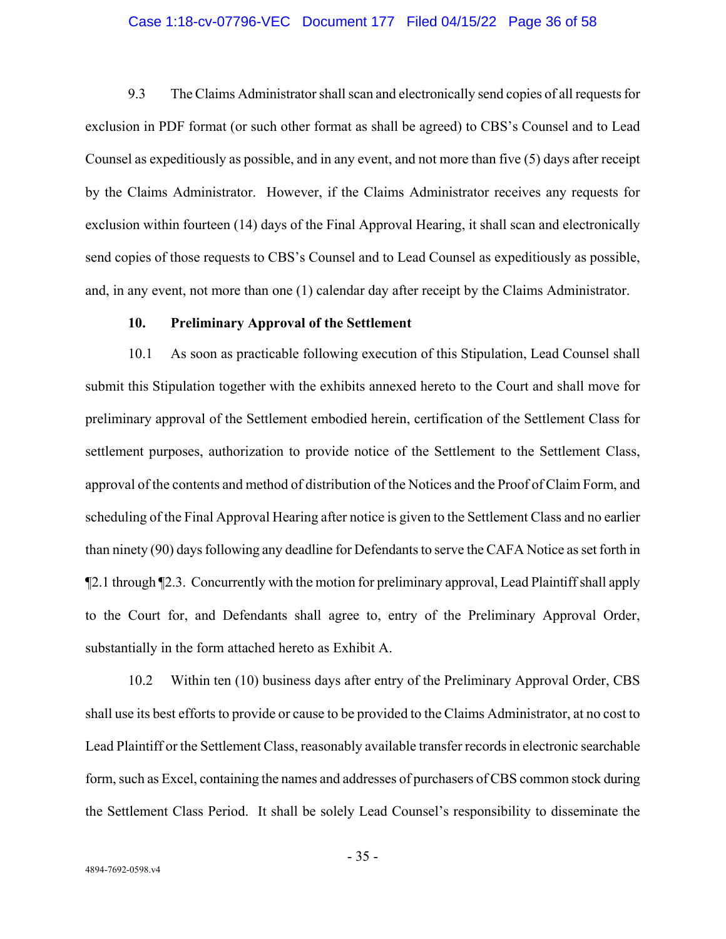### Case 1:18-cv-07796-VEC Document 177 Filed 04/15/22 Page 36 of 58

9.3 The Claims Administrator shall scan and electronically send copies of all requests for exclusion in PDF format (or such other format as shall be agreed) to CBS's Counsel and to Lead Counsel as expeditiously as possible, and in any event, and not more than five (5) days after receipt by the Claims Administrator. However, if the Claims Administrator receives any requests for exclusion within fourteen (14) days of the Final Approval Hearing, it shall scan and electronically send copies of those requests to CBS's Counsel and to Lead Counsel as expeditiously as possible, and, in any event, not more than one (1) calendar day after receipt by the Claims Administrator.

#### **10. Preliminary Approval of the Settlement**

10.1 As soon as practicable following execution of this Stipulation, Lead Counsel shall submit this Stipulation together with the exhibits annexed hereto to the Court and shall move for preliminary approval of the Settlement embodied herein, certification of the Settlement Class for settlement purposes, authorization to provide notice of the Settlement to the Settlement Class, approval of the contents and method of distribution of the Notices and the Proof of Claim Form, and scheduling of the Final Approval Hearing after notice is given to the Settlement Class and no earlier than ninety (90) days following any deadline for Defendants to serve the CAFA Notice as set forth in ¶2.1 through ¶2.3. Concurrently with the motion for preliminary approval, Lead Plaintiff shall apply to the Court for, and Defendants shall agree to, entry of the Preliminary Approval Order, substantially in the form attached hereto as Exhibit A.

10.2 Within ten (10) business days after entry of the Preliminary Approval Order, CBS shall use its best efforts to provide or cause to be provided to the Claims Administrator, at no cost to Lead Plaintiff or the Settlement Class, reasonably available transfer records in electronic searchable form, such as Excel, containing the names and addresses of purchasers of CBS common stock during the Settlement Class Period. It shall be solely Lead Counsel's responsibility to disseminate the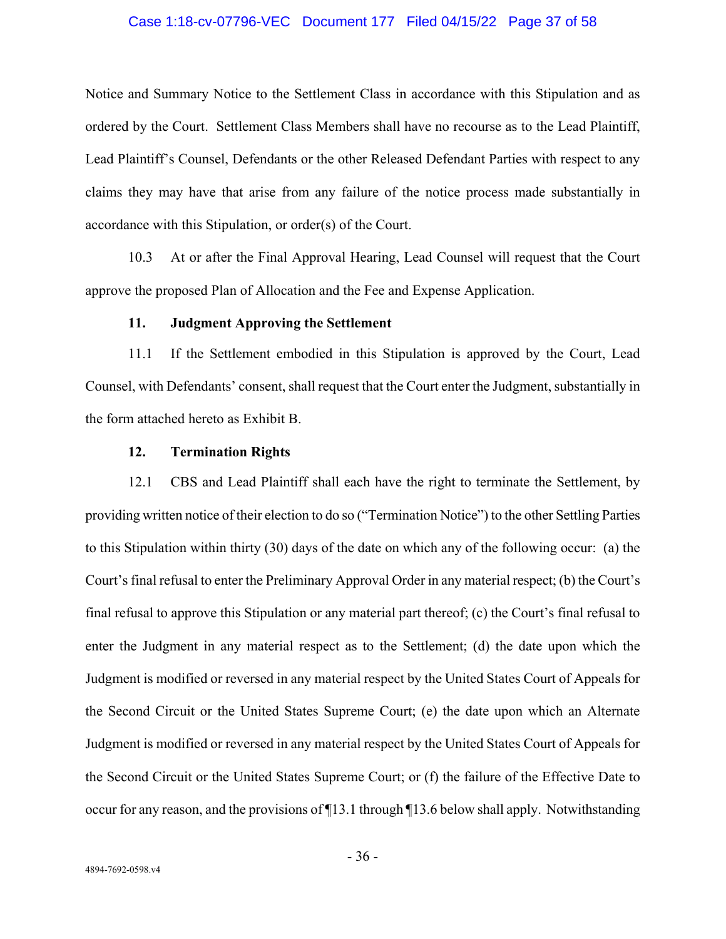### Case 1:18-cv-07796-VEC Document 177 Filed 04/15/22 Page 37 of 58

Notice and Summary Notice to the Settlement Class in accordance with this Stipulation and as ordered by the Court. Settlement Class Members shall have no recourse as to the Lead Plaintiff, Lead Plaintiff's Counsel, Defendants or the other Released Defendant Parties with respect to any claims they may have that arise from any failure of the notice process made substantially in accordance with this Stipulation, or order(s) of the Court.

10.3 At or after the Final Approval Hearing, Lead Counsel will request that the Court approve the proposed Plan of Allocation and the Fee and Expense Application.

#### **11. Judgment Approving the Settlement**

11.1 If the Settlement embodied in this Stipulation is approved by the Court, Lead Counsel, with Defendants' consent, shall request that the Court enter the Judgment, substantially in the form attached hereto as Exhibit B.

## **12. Termination Rights**

12.1 CBS and Lead Plaintiff shall each have the right to terminate the Settlement, by providing written notice of their election to do so ("Termination Notice") to the other Settling Parties to this Stipulation within thirty (30) days of the date on which any of the following occur: (a) the Court's final refusal to enter the Preliminary Approval Order in any material respect; (b) the Court's final refusal to approve this Stipulation or any material part thereof; (c) the Court's final refusal to enter the Judgment in any material respect as to the Settlement; (d) the date upon which the Judgment is modified or reversed in any material respect by the United States Court of Appeals for the Second Circuit or the United States Supreme Court; (e) the date upon which an Alternate Judgment is modified or reversed in any material respect by the United States Court of Appeals for the Second Circuit or the United States Supreme Court; or (f) the failure of the Effective Date to occur for any reason, and the provisions of ¶13.1 through ¶13.6 below shall apply. Notwithstanding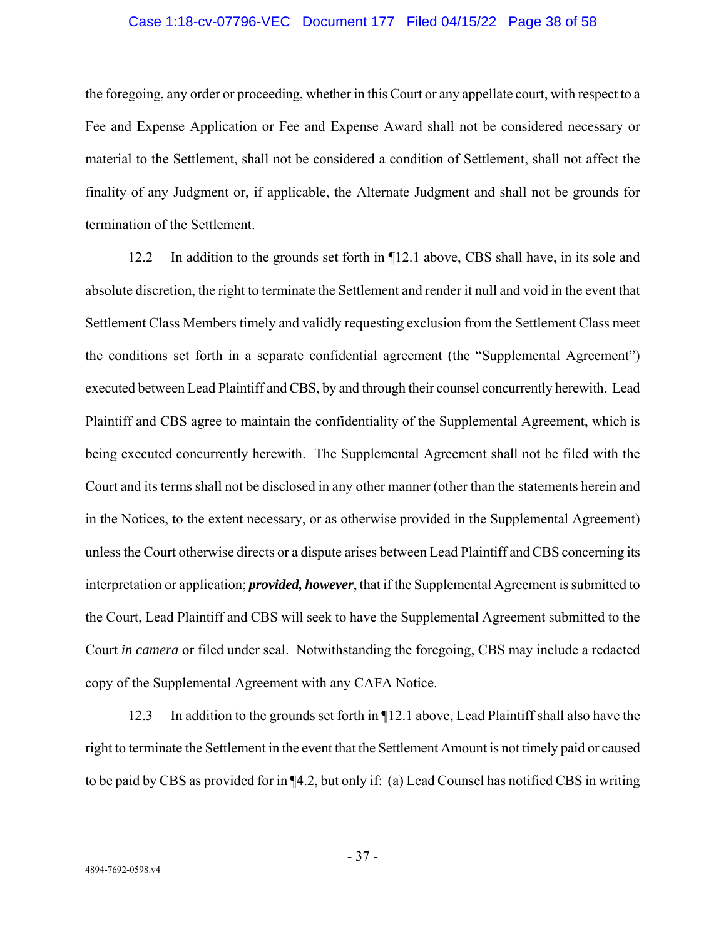#### Case 1:18-cv-07796-VEC Document 177 Filed 04/15/22 Page 38 of 58

the foregoing, any order or proceeding, whether in this Court or any appellate court, with respect to a Fee and Expense Application or Fee and Expense Award shall not be considered necessary or material to the Settlement, shall not be considered a condition of Settlement, shall not affect the finality of any Judgment or, if applicable, the Alternate Judgment and shall not be grounds for termination of the Settlement.

12.2 In addition to the grounds set forth in ¶12.1 above, CBS shall have, in its sole and absolute discretion, the right to terminate the Settlement and render it null and void in the event that Settlement Class Members timely and validly requesting exclusion from the Settlement Class meet the conditions set forth in a separate confidential agreement (the "Supplemental Agreement") executed between Lead Plaintiff and CBS, by and through their counsel concurrently herewith. Lead Plaintiff and CBS agree to maintain the confidentiality of the Supplemental Agreement, which is being executed concurrently herewith. The Supplemental Agreement shall not be filed with the Court and its terms shall not be disclosed in any other manner (other than the statements herein and in the Notices, to the extent necessary, or as otherwise provided in the Supplemental Agreement) unless the Court otherwise directs or a dispute arises between Lead Plaintiff and CBS concerning its interpretation or application; *provided, however*, that if the Supplemental Agreement is submitted to the Court, Lead Plaintiff and CBS will seek to have the Supplemental Agreement submitted to the Court *in camera* or filed under seal. Notwithstanding the foregoing, CBS may include a redacted copy of the Supplemental Agreement with any CAFA Notice.

12.3 In addition to the grounds set forth in ¶12.1 above, Lead Plaintiff shall also have the right to terminate the Settlement in the event that the Settlement Amount is not timely paid or caused to be paid by CBS as provided for in ¶4.2, but only if: (a) Lead Counsel has notified CBS in writing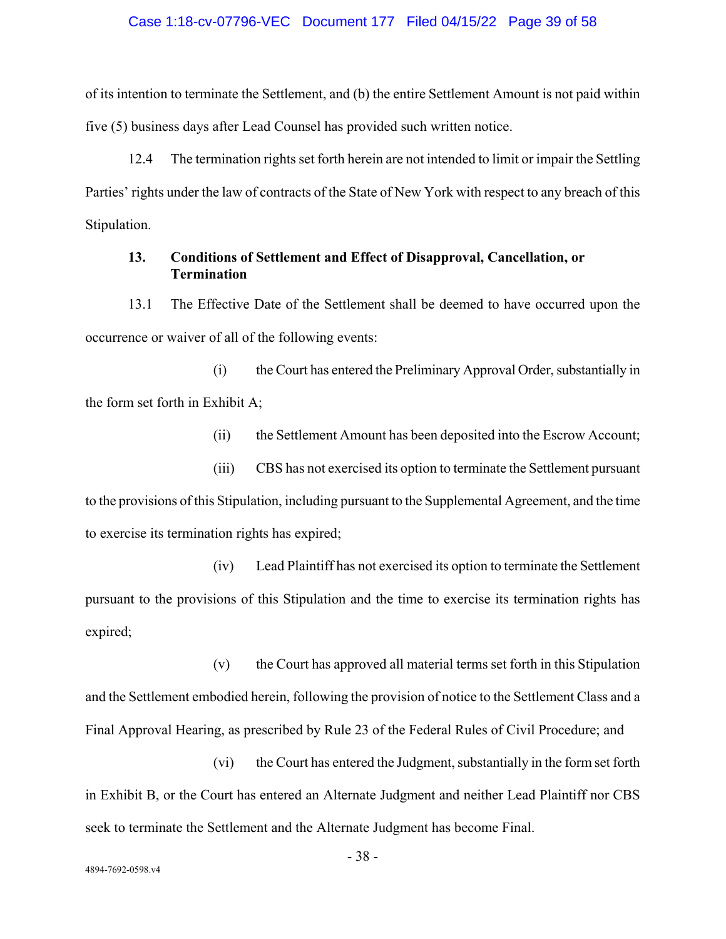#### Case 1:18-cv-07796-VEC Document 177 Filed 04/15/22 Page 39 of 58

of its intention to terminate the Settlement, and (b) the entire Settlement Amount is not paid within five (5) business days after Lead Counsel has provided such written notice.

12.4 The termination rights set forth herein are not intended to limit or impair the Settling Parties' rights under the law of contracts of the State of New York with respect to any breach of this Stipulation.

## **13. Conditions of Settlement and Effect of Disapproval, Cancellation, or Termination**

13.1 The Effective Date of the Settlement shall be deemed to have occurred upon the occurrence or waiver of all of the following events:

(i) the Court has entered the Preliminary Approval Order, substantially in the form set forth in Exhibit A;

(ii) the Settlement Amount has been deposited into the Escrow Account;

(iii) CBS has not exercised its option to terminate the Settlement pursuant to the provisions of this Stipulation, including pursuant to the Supplemental Agreement, and the time to exercise its termination rights has expired;

(iv) Lead Plaintiff has not exercised its option to terminate the Settlement pursuant to the provisions of this Stipulation and the time to exercise its termination rights has expired;

(v) the Court has approved all material terms set forth in this Stipulation and the Settlement embodied herein, following the provision of notice to the Settlement Class and a Final Approval Hearing, as prescribed by Rule 23 of the Federal Rules of Civil Procedure; and

(vi) the Court has entered the Judgment, substantially in the form set forth in Exhibit B, or the Court has entered an Alternate Judgment and neither Lead Plaintiff nor CBS seek to terminate the Settlement and the Alternate Judgment has become Final.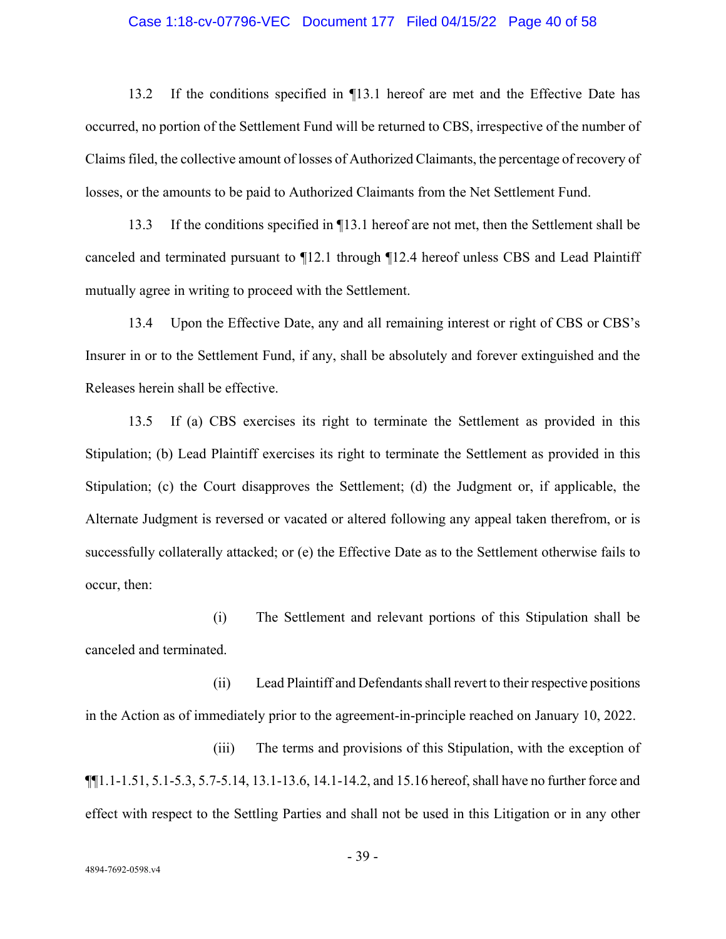#### Case 1:18-cv-07796-VEC Document 177 Filed 04/15/22 Page 40 of 58

13.2 If the conditions specified in ¶13.1 hereof are met and the Effective Date has occurred, no portion of the Settlement Fund will be returned to CBS, irrespective of the number of Claims filed, the collective amount of losses of Authorized Claimants, the percentage of recovery of losses, or the amounts to be paid to Authorized Claimants from the Net Settlement Fund.

13.3 If the conditions specified in ¶13.1 hereof are not met, then the Settlement shall be canceled and terminated pursuant to ¶12.1 through ¶12.4 hereof unless CBS and Lead Plaintiff mutually agree in writing to proceed with the Settlement.

13.4 Upon the Effective Date, any and all remaining interest or right of CBS or CBS's Insurer in or to the Settlement Fund, if any, shall be absolutely and forever extinguished and the Releases herein shall be effective.

13.5 If (a) CBS exercises its right to terminate the Settlement as provided in this Stipulation; (b) Lead Plaintiff exercises its right to terminate the Settlement as provided in this Stipulation; (c) the Court disapproves the Settlement; (d) the Judgment or, if applicable, the Alternate Judgment is reversed or vacated or altered following any appeal taken therefrom, or is successfully collaterally attacked; or (e) the Effective Date as to the Settlement otherwise fails to occur, then:

(i) The Settlement and relevant portions of this Stipulation shall be canceled and terminated.

(ii) Lead Plaintiff and Defendants shall revert to their respective positions in the Action as of immediately prior to the agreement-in-principle reached on January 10, 2022.

(iii) The terms and provisions of this Stipulation, with the exception of ¶¶1.1-1.51, 5.1-5.3, 5.7-5.14, 13.1-13.6, 14.1-14.2, and 15.16 hereof, shall have no further force and effect with respect to the Settling Parties and shall not be used in this Litigation or in any other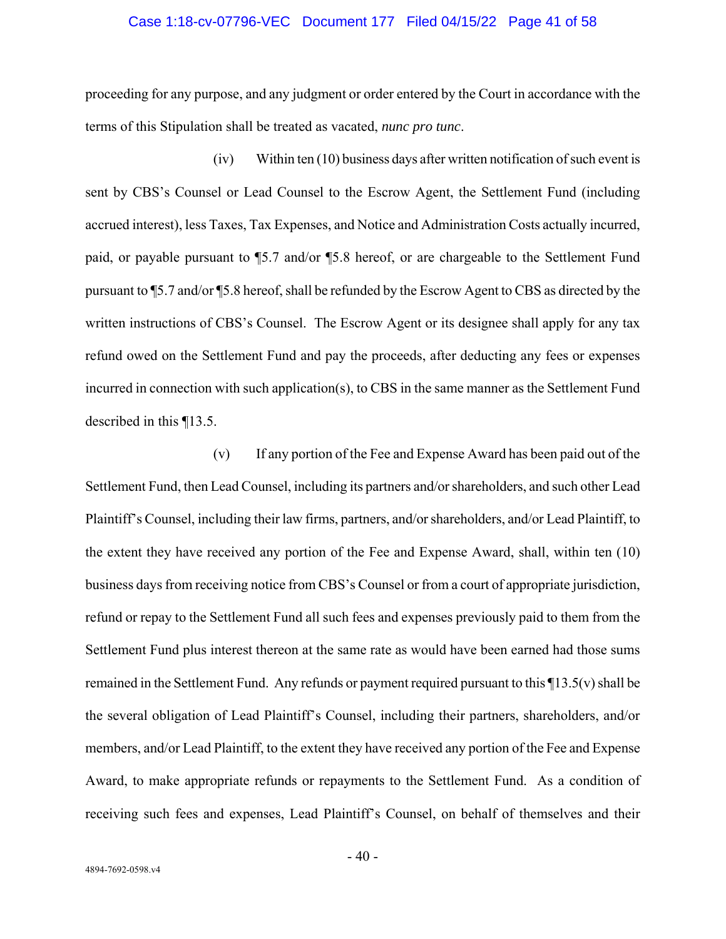#### Case 1:18-cv-07796-VEC Document 177 Filed 04/15/22 Page 41 of 58

proceeding for any purpose, and any judgment or order entered by the Court in accordance with the terms of this Stipulation shall be treated as vacated, *nunc pro tunc*.

(iv) Within ten (10) business days after written notification of such event is sent by CBS's Counsel or Lead Counsel to the Escrow Agent, the Settlement Fund (including accrued interest), less Taxes, Tax Expenses, and Notice and Administration Costs actually incurred, paid, or payable pursuant to ¶5.7 and/or ¶5.8 hereof, or are chargeable to the Settlement Fund pursuant to ¶5.7 and/or ¶5.8 hereof, shall be refunded by the Escrow Agent to CBS as directed by the written instructions of CBS's Counsel. The Escrow Agent or its designee shall apply for any tax refund owed on the Settlement Fund and pay the proceeds, after deducting any fees or expenses incurred in connection with such application(s), to CBS in the same manner as the Settlement Fund described in this ¶13.5.

(v) If any portion of the Fee and Expense Award has been paid out of the Settlement Fund, then Lead Counsel, including its partners and/or shareholders, and such other Lead Plaintiff's Counsel, including their law firms, partners, and/or shareholders, and/or Lead Plaintiff, to the extent they have received any portion of the Fee and Expense Award, shall, within ten (10) business days from receiving notice from CBS's Counsel or from a court of appropriate jurisdiction, refund or repay to the Settlement Fund all such fees and expenses previously paid to them from the Settlement Fund plus interest thereon at the same rate as would have been earned had those sums remained in the Settlement Fund. Any refunds or payment required pursuant to this ¶13.5(v) shall be the several obligation of Lead Plaintiff's Counsel, including their partners, shareholders, and/or members, and/or Lead Plaintiff, to the extent they have received any portion of the Fee and Expense Award, to make appropriate refunds or repayments to the Settlement Fund. As a condition of receiving such fees and expenses, Lead Plaintiff's Counsel, on behalf of themselves and their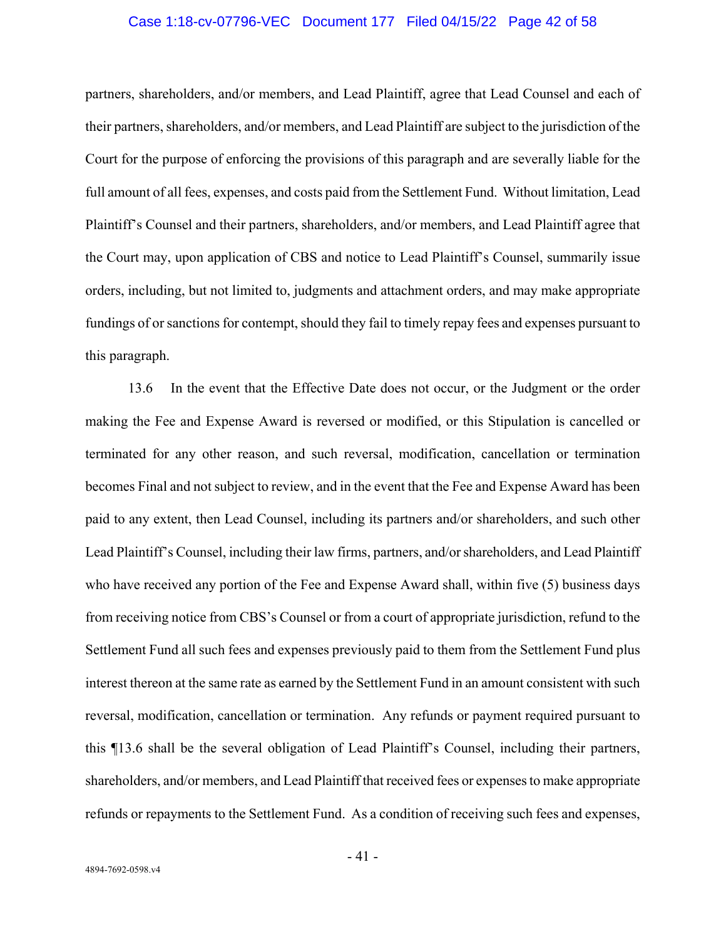#### Case 1:18-cv-07796-VEC Document 177 Filed 04/15/22 Page 42 of 58

partners, shareholders, and/or members, and Lead Plaintiff, agree that Lead Counsel and each of their partners, shareholders, and/or members, and Lead Plaintiff are subject to the jurisdiction of the Court for the purpose of enforcing the provisions of this paragraph and are severally liable for the full amount of all fees, expenses, and costs paid from the Settlement Fund. Without limitation, Lead Plaintiff's Counsel and their partners, shareholders, and/or members, and Lead Plaintiff agree that the Court may, upon application of CBS and notice to Lead Plaintiff's Counsel, summarily issue orders, including, but not limited to, judgments and attachment orders, and may make appropriate fundings of or sanctions for contempt, should they fail to timely repay fees and expenses pursuant to this paragraph.

13.6 In the event that the Effective Date does not occur, or the Judgment or the order making the Fee and Expense Award is reversed or modified, or this Stipulation is cancelled or terminated for any other reason, and such reversal, modification, cancellation or termination becomes Final and not subject to review, and in the event that the Fee and Expense Award has been paid to any extent, then Lead Counsel, including its partners and/or shareholders, and such other Lead Plaintiff's Counsel, including their law firms, partners, and/or shareholders, and Lead Plaintiff who have received any portion of the Fee and Expense Award shall, within five (5) business days from receiving notice from CBS's Counsel or from a court of appropriate jurisdiction, refund to the Settlement Fund all such fees and expenses previously paid to them from the Settlement Fund plus interest thereon at the same rate as earned by the Settlement Fund in an amount consistent with such reversal, modification, cancellation or termination. Any refunds or payment required pursuant to this ¶13.6 shall be the several obligation of Lead Plaintiff's Counsel, including their partners, shareholders, and/or members, and Lead Plaintiff that received fees or expenses to make appropriate refunds or repayments to the Settlement Fund. As a condition of receiving such fees and expenses,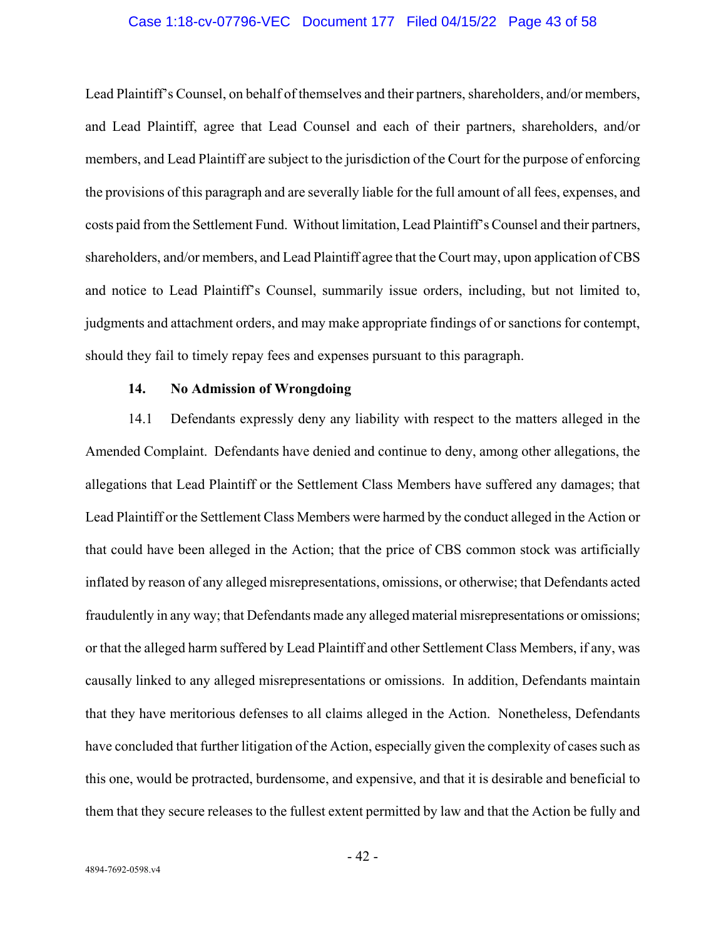#### Case 1:18-cv-07796-VEC Document 177 Filed 04/15/22 Page 43 of 58

Lead Plaintiff's Counsel, on behalf of themselves and their partners, shareholders, and/or members, and Lead Plaintiff, agree that Lead Counsel and each of their partners, shareholders, and/or members, and Lead Plaintiff are subject to the jurisdiction of the Court for the purpose of enforcing the provisions of this paragraph and are severally liable for the full amount of all fees, expenses, and costs paid from the Settlement Fund. Without limitation, Lead Plaintiff's Counsel and their partners, shareholders, and/or members, and Lead Plaintiff agree that the Court may, upon application of CBS and notice to Lead Plaintiff's Counsel, summarily issue orders, including, but not limited to, judgments and attachment orders, and may make appropriate findings of or sanctions for contempt, should they fail to timely repay fees and expenses pursuant to this paragraph.

## **14. No Admission of Wrongdoing**

14.1 Defendants expressly deny any liability with respect to the matters alleged in the Amended Complaint. Defendants have denied and continue to deny, among other allegations, the allegations that Lead Plaintiff or the Settlement Class Members have suffered any damages; that Lead Plaintiff or the Settlement Class Members were harmed by the conduct alleged in the Action or that could have been alleged in the Action; that the price of CBS common stock was artificially inflated by reason of any alleged misrepresentations, omissions, or otherwise; that Defendants acted fraudulently in any way; that Defendants made any alleged material misrepresentations or omissions; or that the alleged harm suffered by Lead Plaintiff and other Settlement Class Members, if any, was causally linked to any alleged misrepresentations or omissions. In addition, Defendants maintain that they have meritorious defenses to all claims alleged in the Action. Nonetheless, Defendants have concluded that further litigation of the Action, especially given the complexity of cases such as this one, would be protracted, burdensome, and expensive, and that it is desirable and beneficial to them that they secure releases to the fullest extent permitted by law and that the Action be fully and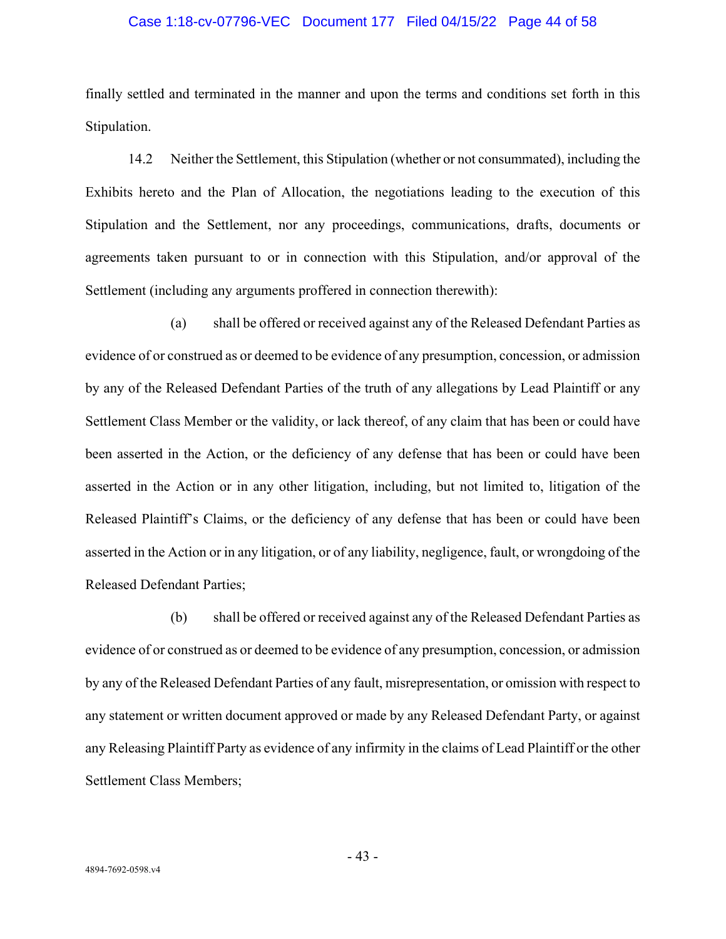### Case 1:18-cv-07796-VEC Document 177 Filed 04/15/22 Page 44 of 58

finally settled and terminated in the manner and upon the terms and conditions set forth in this Stipulation.

14.2 Neither the Settlement, this Stipulation (whether or not consummated), including the Exhibits hereto and the Plan of Allocation, the negotiations leading to the execution of this Stipulation and the Settlement, nor any proceedings, communications, drafts, documents or agreements taken pursuant to or in connection with this Stipulation, and/or approval of the Settlement (including any arguments proffered in connection therewith):

(a) shall be offered or received against any of the Released Defendant Parties as evidence of or construed as or deemed to be evidence of any presumption, concession, or admission by any of the Released Defendant Parties of the truth of any allegations by Lead Plaintiff or any Settlement Class Member or the validity, or lack thereof, of any claim that has been or could have been asserted in the Action, or the deficiency of any defense that has been or could have been asserted in the Action or in any other litigation, including, but not limited to, litigation of the Released Plaintiff's Claims, or the deficiency of any defense that has been or could have been asserted in the Action or in any litigation, or of any liability, negligence, fault, or wrongdoing of the Released Defendant Parties;

(b) shall be offered or received against any of the Released Defendant Parties as evidence of or construed as or deemed to be evidence of any presumption, concession, or admission by any of the Released Defendant Parties of any fault, misrepresentation, or omission with respect to any statement or written document approved or made by any Released Defendant Party, or against any Releasing Plaintiff Party as evidence of any infirmity in the claims of Lead Plaintiff or the other Settlement Class Members;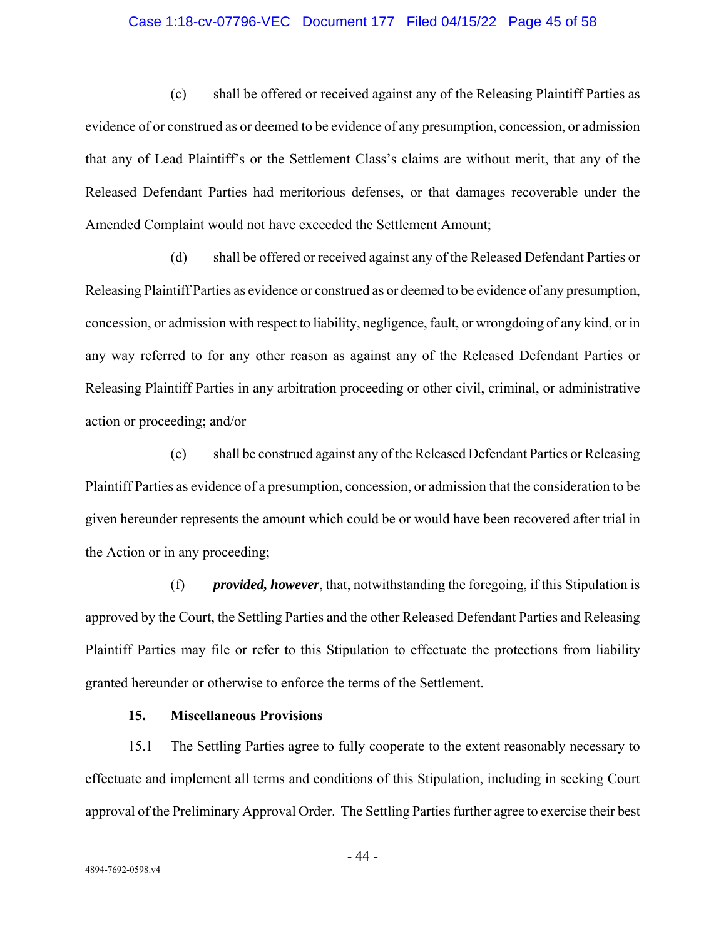#### Case 1:18-cv-07796-VEC Document 177 Filed 04/15/22 Page 45 of 58

(c) shall be offered or received against any of the Releasing Plaintiff Parties as evidence of or construed as or deemed to be evidence of any presumption, concession, or admission that any of Lead Plaintiff's or the Settlement Class's claims are without merit, that any of the Released Defendant Parties had meritorious defenses, or that damages recoverable under the Amended Complaint would not have exceeded the Settlement Amount;

(d) shall be offered or received against any of the Released Defendant Parties or Releasing Plaintiff Parties as evidence or construed as or deemed to be evidence of any presumption, concession, or admission with respect to liability, negligence, fault, or wrongdoing of any kind, or in any way referred to for any other reason as against any of the Released Defendant Parties or Releasing Plaintiff Parties in any arbitration proceeding or other civil, criminal, or administrative action or proceeding; and/or

(e) shall be construed against any of the Released Defendant Parties or Releasing Plaintiff Parties as evidence of a presumption, concession, or admission that the consideration to be given hereunder represents the amount which could be or would have been recovered after trial in the Action or in any proceeding;

(f) *provided, however*, that, notwithstanding the foregoing, if this Stipulation is approved by the Court, the Settling Parties and the other Released Defendant Parties and Releasing Plaintiff Parties may file or refer to this Stipulation to effectuate the protections from liability granted hereunder or otherwise to enforce the terms of the Settlement.

### **15. Miscellaneous Provisions**

15.1 The Settling Parties agree to fully cooperate to the extent reasonably necessary to effectuate and implement all terms and conditions of this Stipulation, including in seeking Court approval of the Preliminary Approval Order. The Settling Parties further agree to exercise their best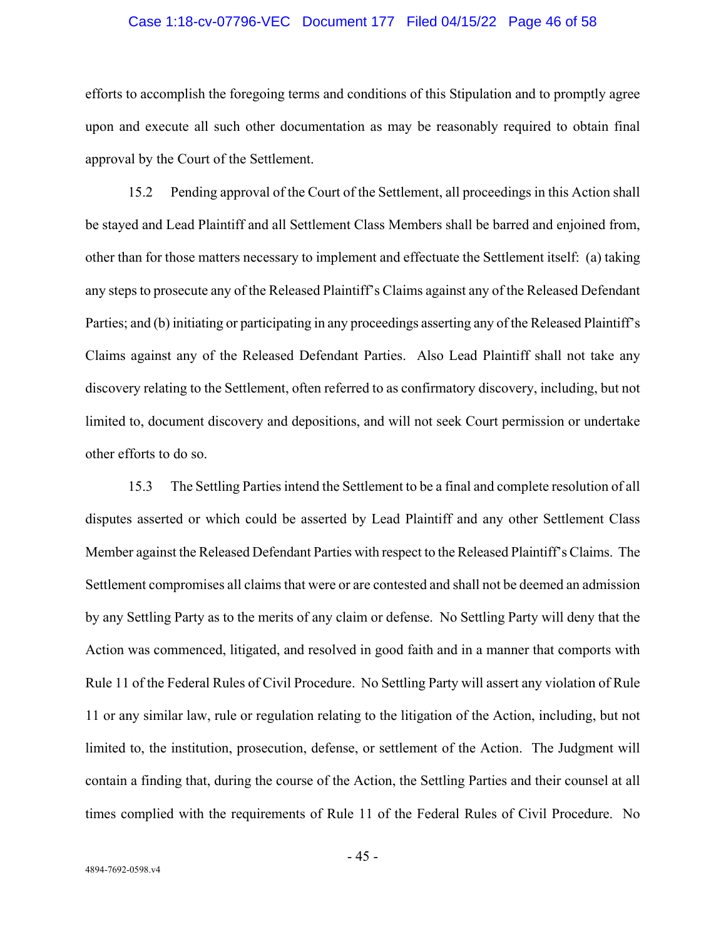#### Case 1:18-cv-07796-VEC Document 177 Filed 04/15/22 Page 46 of 58

efforts to accomplish the foregoing terms and conditions of this Stipulation and to promptly agree upon and execute all such other documentation as may be reasonably required to obtain final approval by the Court of the Settlement.

15.2 Pending approval of the Court of the Settlement, all proceedings in this Action shall be stayed and Lead Plaintiff and all Settlement Class Members shall be barred and enjoined from, other than for those matters necessary to implement and effectuate the Settlement itself: (a) taking any steps to prosecute any of the Released Plaintiff's Claims against any of the Released Defendant Parties; and (b) initiating or participating in any proceedings asserting any of the Released Plaintiff's Claims against any of the Released Defendant Parties. Also Lead Plaintiff shall not take any discovery relating to the Settlement, often referred to as confirmatory discovery, including, but not limited to, document discovery and depositions, and will not seek Court permission or undertake other efforts to do so.

15.3 The Settling Parties intend the Settlement to be a final and complete resolution of all disputes asserted or which could be asserted by Lead Plaintiff and any other Settlement Class Member against the Released Defendant Parties with respect to the Released Plaintiff's Claims. The Settlement compromises all claims that were or are contested and shall not be deemed an admission by any Settling Party as to the merits of any claim or defense. No Settling Party will deny that the Action was commenced, litigated, and resolved in good faith and in a manner that comports with Rule 11 of the Federal Rules of Civil Procedure. No Settling Party will assert any violation of Rule 11 or any similar law, rule or regulation relating to the litigation of the Action, including, but not limited to, the institution, prosecution, defense, or settlement of the Action. The Judgment will contain a finding that, during the course of the Action, the Settling Parties and their counsel at all times complied with the requirements of Rule 11 of the Federal Rules of Civil Procedure. No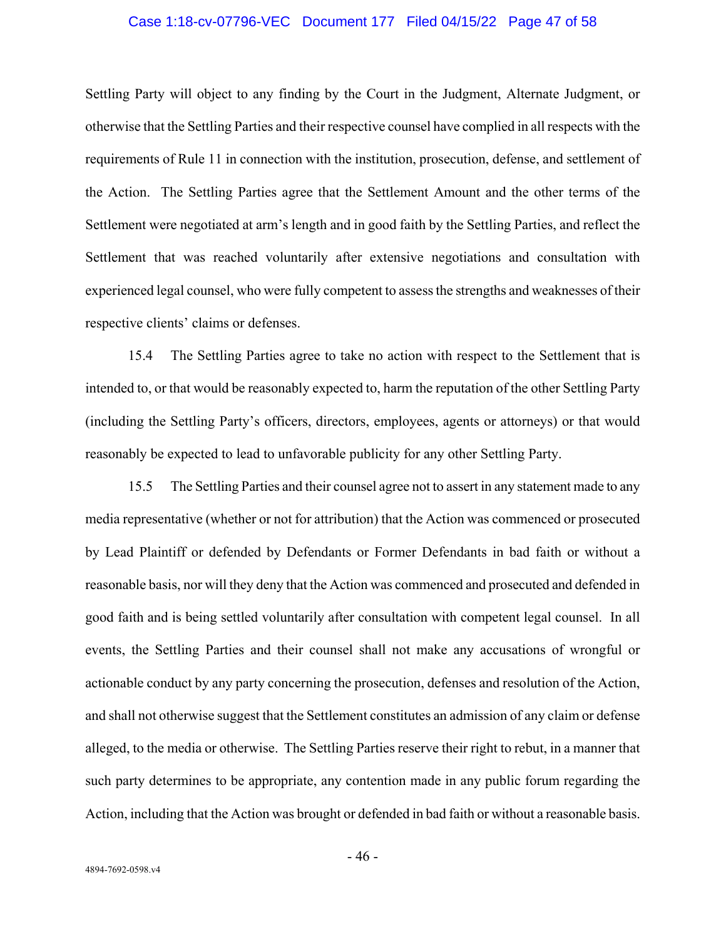#### Case 1:18-cv-07796-VEC Document 177 Filed 04/15/22 Page 47 of 58

Settling Party will object to any finding by the Court in the Judgment, Alternate Judgment, or otherwise that the Settling Parties and their respective counsel have complied in all respects with the requirements of Rule 11 in connection with the institution, prosecution, defense, and settlement of the Action. The Settling Parties agree that the Settlement Amount and the other terms of the Settlement were negotiated at arm's length and in good faith by the Settling Parties, and reflect the Settlement that was reached voluntarily after extensive negotiations and consultation with experienced legal counsel, who were fully competent to assess the strengths and weaknesses of their respective clients' claims or defenses.

15.4 The Settling Parties agree to take no action with respect to the Settlement that is intended to, or that would be reasonably expected to, harm the reputation of the other Settling Party (including the Settling Party's officers, directors, employees, agents or attorneys) or that would reasonably be expected to lead to unfavorable publicity for any other Settling Party.

15.5 The Settling Parties and their counsel agree not to assert in any statement made to any media representative (whether or not for attribution) that the Action was commenced or prosecuted by Lead Plaintiff or defended by Defendants or Former Defendants in bad faith or without a reasonable basis, nor will they deny that the Action was commenced and prosecuted and defended in good faith and is being settled voluntarily after consultation with competent legal counsel. In all events, the Settling Parties and their counsel shall not make any accusations of wrongful or actionable conduct by any party concerning the prosecution, defenses and resolution of the Action, and shall not otherwise suggest that the Settlement constitutes an admission of any claim or defense alleged, to the media or otherwise. The Settling Parties reserve their right to rebut, in a manner that such party determines to be appropriate, any contention made in any public forum regarding the Action, including that the Action was brought or defended in bad faith or without a reasonable basis.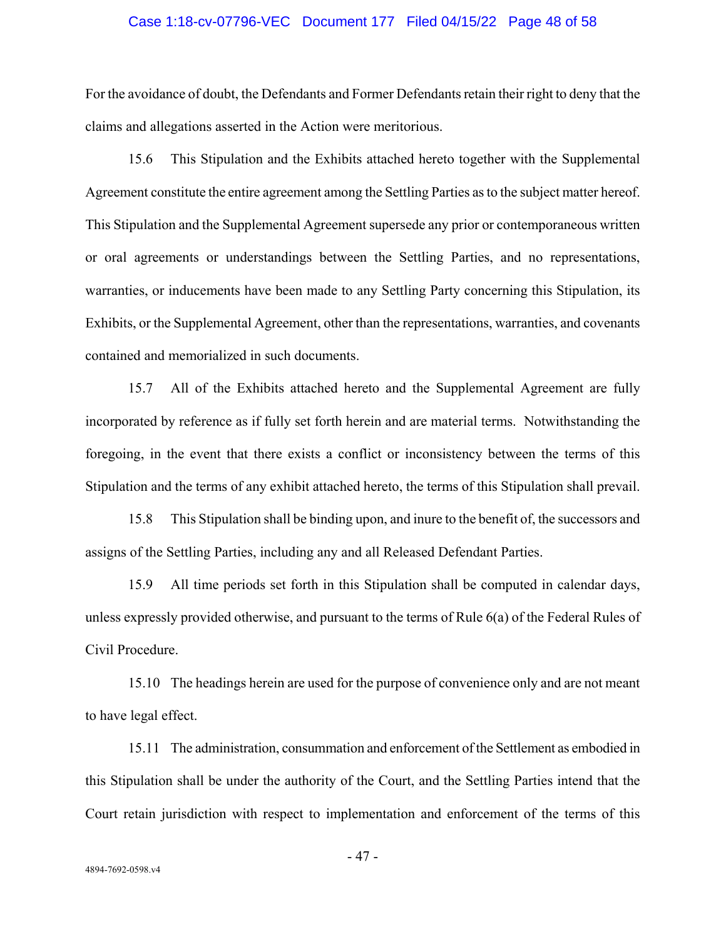#### Case 1:18-cv-07796-VEC Document 177 Filed 04/15/22 Page 48 of 58

For the avoidance of doubt, the Defendants and Former Defendants retain their right to deny that the claims and allegations asserted in the Action were meritorious.

15.6 This Stipulation and the Exhibits attached hereto together with the Supplemental Agreement constitute the entire agreement among the Settling Parties as to the subject matter hereof. This Stipulation and the Supplemental Agreement supersede any prior or contemporaneous written or oral agreements or understandings between the Settling Parties, and no representations, warranties, or inducements have been made to any Settling Party concerning this Stipulation, its Exhibits, or the Supplemental Agreement, other than the representations, warranties, and covenants contained and memorialized in such documents.

15.7 All of the Exhibits attached hereto and the Supplemental Agreement are fully incorporated by reference as if fully set forth herein and are material terms. Notwithstanding the foregoing, in the event that there exists a conflict or inconsistency between the terms of this Stipulation and the terms of any exhibit attached hereto, the terms of this Stipulation shall prevail.

15.8 This Stipulation shall be binding upon, and inure to the benefit of, the successors and assigns of the Settling Parties, including any and all Released Defendant Parties.

15.9 All time periods set forth in this Stipulation shall be computed in calendar days, unless expressly provided otherwise, and pursuant to the terms of Rule 6(a) of the Federal Rules of Civil Procedure.

15.10 The headings herein are used for the purpose of convenience only and are not meant to have legal effect.

15.11 The administration, consummation and enforcement of the Settlement as embodied in this Stipulation shall be under the authority of the Court, and the Settling Parties intend that the Court retain jurisdiction with respect to implementation and enforcement of the terms of this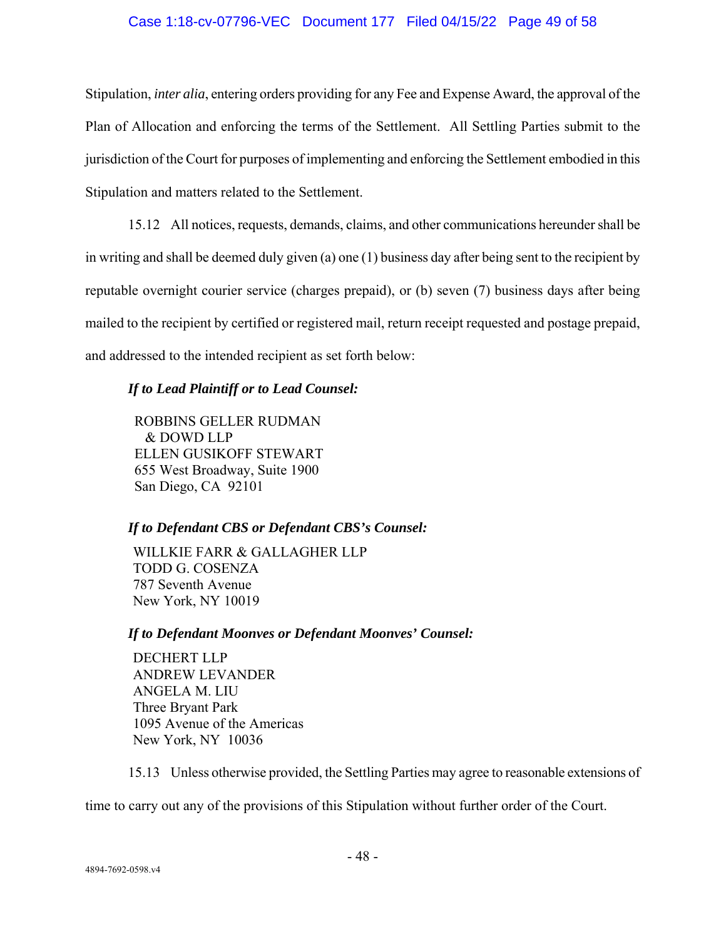## Case 1:18-cv-07796-VEC Document 177 Filed 04/15/22 Page 49 of 58

Stipulation, *inter alia*, entering orders providing for any Fee and Expense Award, the approval of the Plan of Allocation and enforcing the terms of the Settlement. All Settling Parties submit to the jurisdiction of the Court for purposes of implementing and enforcing the Settlement embodied in this Stipulation and matters related to the Settlement.

15.12 All notices, requests, demands, claims, and other communications hereunder shall be in writing and shall be deemed duly given (a) one (1) business day after being sent to the recipient by reputable overnight courier service (charges prepaid), or (b) seven (7) business days after being mailed to the recipient by certified or registered mail, return receipt requested and postage prepaid, and addressed to the intended recipient as set forth below:

## *If to Lead Plaintiff or to Lead Counsel:*

ROBBINS GELLER RUDMAN & DOWD LLP ELLEN GUSIKOFF STEWART 655 West Broadway, Suite 1900 San Diego, CA 92101

## *If to Defendant CBS or Defendant CBS's Counsel:*

WILLKIE FARR & GALLAGHER LLP TODD G. COSENZA 787 Seventh Avenue New York, NY 10019

## *If to Defendant Moonves or Defendant Moonves' Counsel:*

DECHERT LLP ANDREW LEVANDER ANGELA M. LIU Three Bryant Park 1095 Avenue of the Americas New York, NY 10036

15.13 Unless otherwise provided, the Settling Parties may agree to reasonable extensions of

time to carry out any of the provisions of this Stipulation without further order of the Court.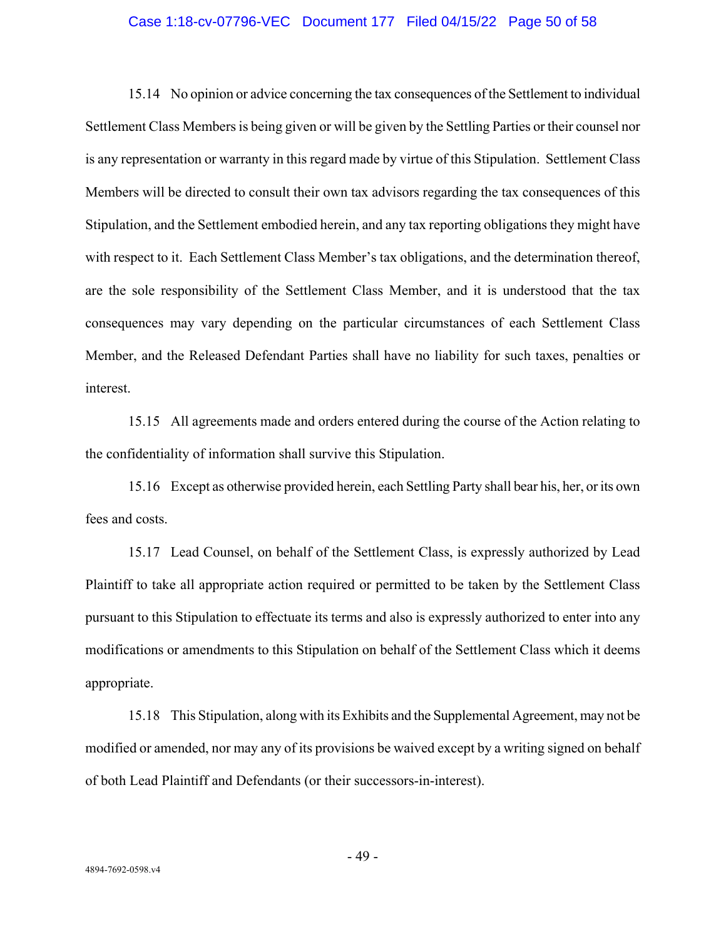#### Case 1:18-cv-07796-VEC Document 177 Filed 04/15/22 Page 50 of 58

15.14 No opinion or advice concerning the tax consequences of the Settlement to individual Settlement Class Members is being given or will be given by the Settling Parties or their counsel nor is any representation or warranty in this regard made by virtue of this Stipulation. Settlement Class Members will be directed to consult their own tax advisors regarding the tax consequences of this Stipulation, and the Settlement embodied herein, and any tax reporting obligations they might have with respect to it. Each Settlement Class Member's tax obligations, and the determination thereof, are the sole responsibility of the Settlement Class Member, and it is understood that the tax consequences may vary depending on the particular circumstances of each Settlement Class Member, and the Released Defendant Parties shall have no liability for such taxes, penalties or interest.

15.15 All agreements made and orders entered during the course of the Action relating to the confidentiality of information shall survive this Stipulation.

15.16 Except as otherwise provided herein, each Settling Party shall bear his, her, or its own fees and costs.

15.17 Lead Counsel, on behalf of the Settlement Class, is expressly authorized by Lead Plaintiff to take all appropriate action required or permitted to be taken by the Settlement Class pursuant to this Stipulation to effectuate its terms and also is expressly authorized to enter into any modifications or amendments to this Stipulation on behalf of the Settlement Class which it deems appropriate.

15.18 This Stipulation, along with its Exhibits and the Supplemental Agreement, may not be modified or amended, nor may any of its provisions be waived except by a writing signed on behalf of both Lead Plaintiff and Defendants (or their successors-in-interest).

- 49 -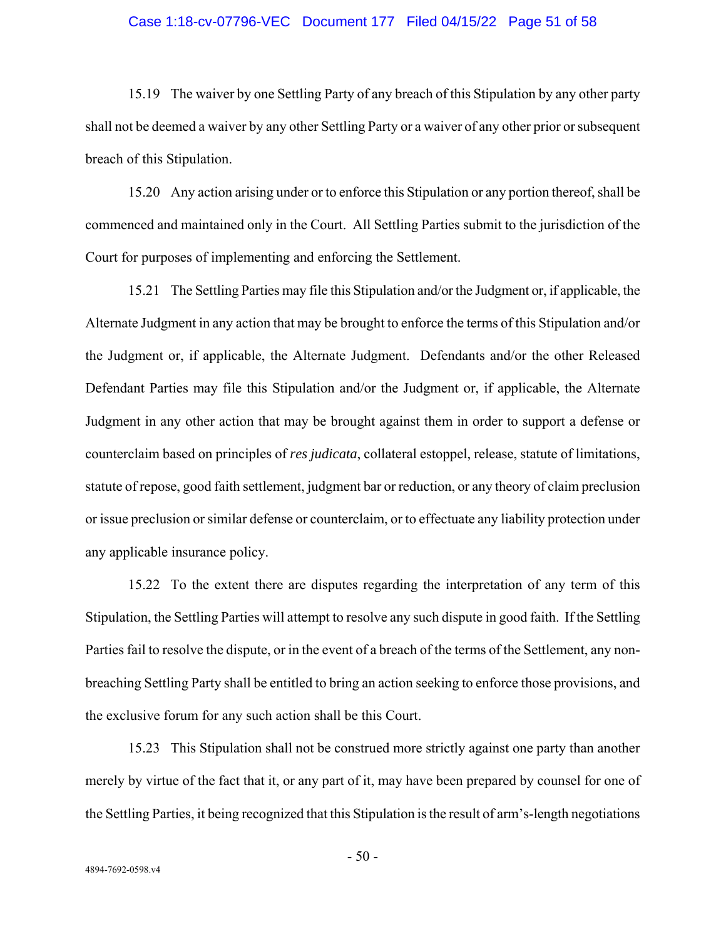#### Case 1:18-cv-07796-VEC Document 177 Filed 04/15/22 Page 51 of 58

15.19 The waiver by one Settling Party of any breach of this Stipulation by any other party shall not be deemed a waiver by any other Settling Party or a waiver of any other prior or subsequent breach of this Stipulation.

15.20 Any action arising under or to enforce this Stipulation or any portion thereof, shall be commenced and maintained only in the Court. All Settling Parties submit to the jurisdiction of the Court for purposes of implementing and enforcing the Settlement.

15.21 The Settling Parties may file this Stipulation and/or the Judgment or, if applicable, the Alternate Judgment in any action that may be brought to enforce the terms of this Stipulation and/or the Judgment or, if applicable, the Alternate Judgment. Defendants and/or the other Released Defendant Parties may file this Stipulation and/or the Judgment or, if applicable, the Alternate Judgment in any other action that may be brought against them in order to support a defense or counterclaim based on principles of *res judicata*, collateral estoppel, release, statute of limitations, statute of repose, good faith settlement, judgment bar or reduction, or any theory of claim preclusion or issue preclusion or similar defense or counterclaim, or to effectuate any liability protection under any applicable insurance policy.

15.22 To the extent there are disputes regarding the interpretation of any term of this Stipulation, the Settling Parties will attempt to resolve any such dispute in good faith. If the Settling Parties fail to resolve the dispute, or in the event of a breach of the terms of the Settlement, any nonbreaching Settling Party shall be entitled to bring an action seeking to enforce those provisions, and the exclusive forum for any such action shall be this Court.

15.23 This Stipulation shall not be construed more strictly against one party than another merely by virtue of the fact that it, or any part of it, may have been prepared by counsel for one of the Settling Parties, it being recognized that this Stipulation is the result of arm's-length negotiations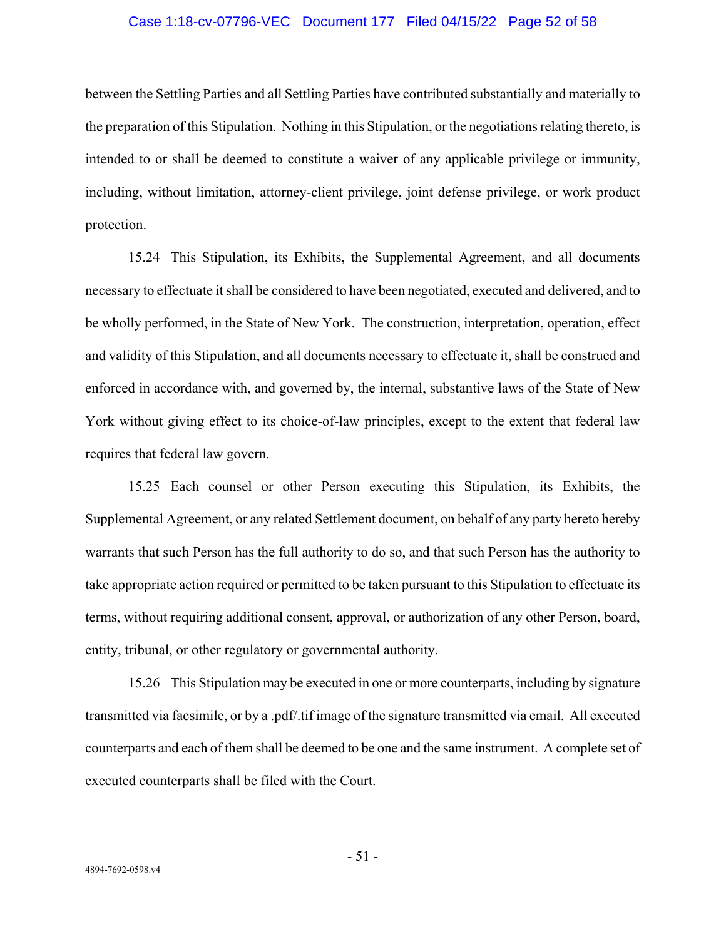### Case 1:18-cv-07796-VEC Document 177 Filed 04/15/22 Page 52 of 58

between the Settling Parties and all Settling Parties have contributed substantially and materially to the preparation of this Stipulation. Nothing in this Stipulation, or the negotiations relating thereto, is intended to or shall be deemed to constitute a waiver of any applicable privilege or immunity, including, without limitation, attorney-client privilege, joint defense privilege, or work product protection.

15.24 This Stipulation, its Exhibits, the Supplemental Agreement, and all documents necessary to effectuate it shall be considered to have been negotiated, executed and delivered, and to be wholly performed, in the State of New York. The construction, interpretation, operation, effect and validity of this Stipulation, and all documents necessary to effectuate it, shall be construed and enforced in accordance with, and governed by, the internal, substantive laws of the State of New York without giving effect to its choice-of-law principles, except to the extent that federal law requires that federal law govern.

15.25 Each counsel or other Person executing this Stipulation, its Exhibits, the Supplemental Agreement, or any related Settlement document, on behalf of any party hereto hereby warrants that such Person has the full authority to do so, and that such Person has the authority to take appropriate action required or permitted to be taken pursuant to this Stipulation to effectuate its terms, without requiring additional consent, approval, or authorization of any other Person, board, entity, tribunal, or other regulatory or governmental authority.

15.26 This Stipulation may be executed in one or more counterparts, including by signature transmitted via facsimile, or by a .pdf/.tif image of the signature transmitted via email. All executed counterparts and each of them shall be deemed to be one and the same instrument. A complete set of executed counterparts shall be filed with the Court.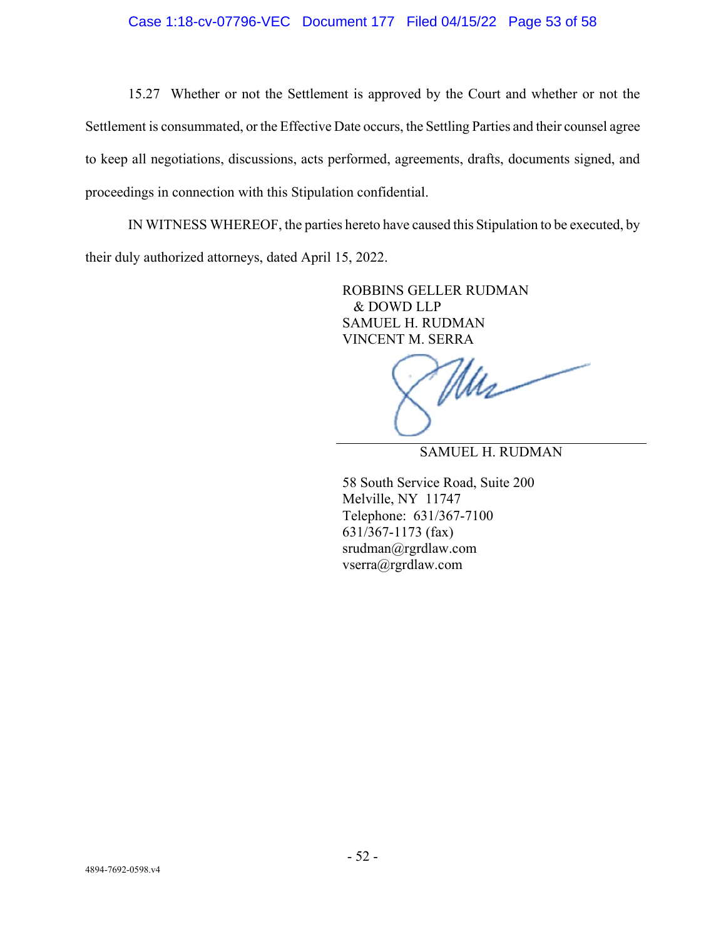15.27 Whether or not the Settlement is approved by the Court and whether or not the Settlement is consummated, or the Effective Date occurs, the Settling Parties and their counsel agree to keep all negotiations, discussions, acts performed, agreements, drafts, documents signed, and proceedings in connection with this Stipulation confidential.

IN WITNESS WHEREOF, the parties hereto have caused this Stipulation to be executed, by their duly authorized attorneys, dated April 15, 2022.

> ROBBINS GELLER RUDMAN & DOWD LLP SAMUEL H. RUDMAN VINCENT M. SERRA

Mus

SAMUEL H. RUDMAN

58 South Service Road, Suite 200 Melville, NY 11747 Telephone: 631/367-7100 631/367-1173 (fax) srudman@rgrdlaw.com vserra@rgrdlaw.com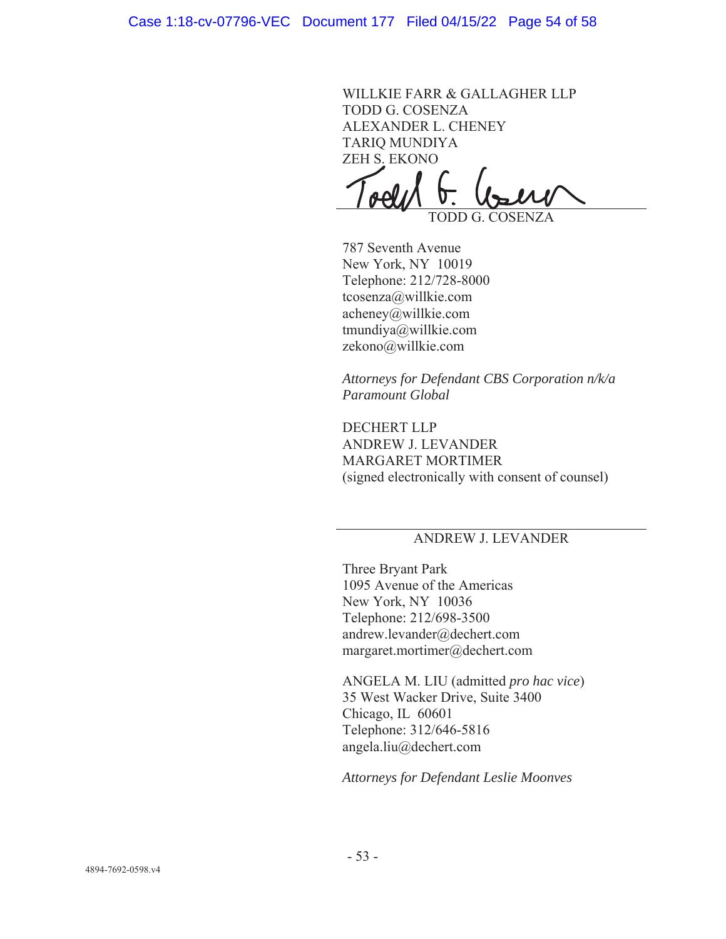WILLKIE FARR & GALLAGHER LLP TODD G. COSENZA ALEXANDER L. CHENEY TARIQ MUNDIYA ZEH S. EKONO

TODD G. COSENZA

787 Seventh Avenue New York, NY 10019 Telephone: 212/728-8000 tcosenza@willkie.com  $acheney@willkie.com$ tmundiya $@$ willkie.com zekono@willkie.com

*Attorneys for Defendant CBS Corporation n/k/a Paramount Global* 

DECHERT LLP ANDREW J. LEVANDER MARGARET MORTIMER (signed electronically with consent of counsel)

# ANDREW J. LEVANDER

Three Bryant Park 1095 Avenue of the Americas New York, NY 10036 Telephone: 212/698-3500 andrew.levander@dechert.com  $margaret.mortimer@decenter.com$ 

ANGELA M. LIU (admitted *pro hac vice*) 35 West Wacker Drive, Suite 3400 Chicago, IL 60601 Telephone: 312/646-5816 angela.liu@dechert.com

*Attorneys for Defendant Leslie Moonves*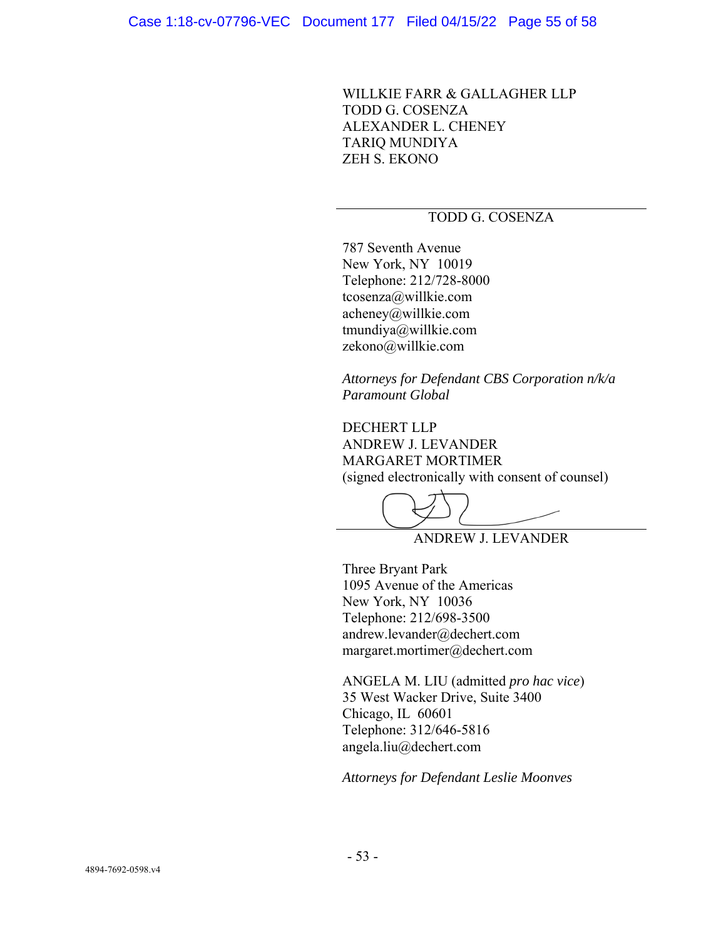WILLKIE FARR & GALLAGHER LLP TODD G. COSENZA ALEXANDER L. CHENEY TARIQ MUNDIYA ZEH S. EKONO

## TODD G. COSENZA

787 Seventh Avenue New York, NY 10019 Telephone: 212/728-8000 tcosenza@willkie.com acheney@willkie.com tmundiya@willkie.com zekono@willkie.com

*Attorneys for Defendant CBS Corporation n/k/a Paramount Global* 

 DECHERT LLP ANDREW J. LEVANDER MARGARET MORTIMER (signed electronically with consent of counsel)

ANDREW J. LEVANDER

Three Bryant Park 1095 Avenue of the Americas New York, NY 10036 Telephone: 212/698-3500 andrew.levander@dechert.com margaret.mortimer@dechert.com

ANGELA M. LIU (admitted *pro hac vice*) 35 West Wacker Drive, Suite 3400 Chicago, IL 60601 Telephone: 312/646-5816 angela.liu@dechert.com

*Attorneys for Defendant Leslie Moonves*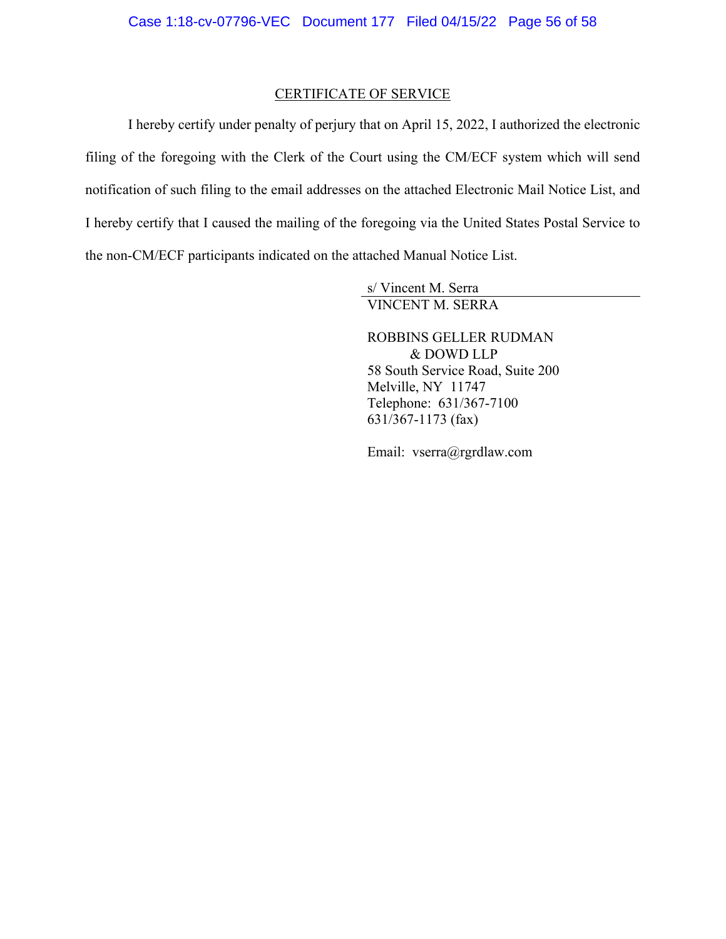## CERTIFICATE OF SERVICE

I hereby certify under penalty of perjury that on April 15, 2022, I authorized the electronic filing of the foregoing with the Clerk of the Court using the CM/ECF system which will send notification of such filing to the email addresses on the attached Electronic Mail Notice List, and I hereby certify that I caused the mailing of the foregoing via the United States Postal Service to the non-CM/ECF participants indicated on the attached Manual Notice List.

> s/ Vincent M. Serra VINCENT M. SERRA

ROBBINS GELLER RUDMAN & DOWD LLP 58 South Service Road, Suite 200 Melville, NY 11747 Telephone: 631/367-7100 631/367-1173 (fax)

Email: vserra@rgrdlaw.com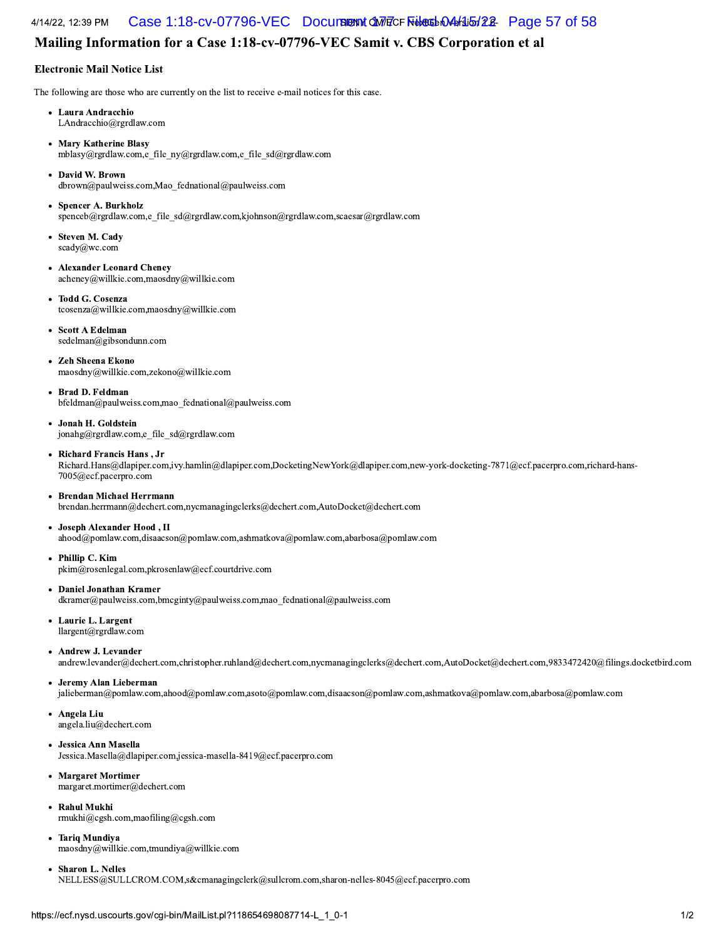#### 4/14/22, 12:39 PM 
- Case 1:18-cv-07796-VEC Document 177 Filed 04/15/22 Page 57 of 58

## Mailing Information for a Case 1:18-cv-07796-VEC Samit v. CBS Corporation et al

#### Electronic Mail Notice List

The following are those who are currently on the list to receive e-mail notices for this case.

- Laura Andracchio LAndracchio@rgrdlaw.com
- Mary Katherine Blasy mblasy@rgrdlaw.com,e file ny@rgrdlaw.com,e file sd@rgrdlaw.com
- David W. Brown  $dbrown@paulweiss.com, Mao\_fednational@paulweiss.com$
- Spencer A. Burkholz spenceb@rgrdlaw.com,e\_file\_sd@rgrdlaw.com,kjohnson@rgrdlaw.com,scaesar@rgrdlaw.com
- Steven M. Cady scady@wc.com
- Alexander Leonard Cheney acheney@willkie.com,maosdny@willkie.com
- Todd G. Cosenza  $t\cosenza@$ willkie.com,maosdny $@$ willkie.com
- Scott A Edelman sedelman@gibsondunn.com
- **Zeh Sheena Ekono** maosdny@willkie.com,zekono@willkie.com
- Brad D. Feldman bfeldman@paulweiss.com,mao\_fednational@paulweiss.com
- Jonah H. Goldstein jonahg@rgrdlaw.com,e\_file\_sd@rgrdlaw.com
- Richard Francis Hans, Jr  $Richard.Hans@dlapiper.com, ivy.hamlin@dlapiper.com, DoketingNewYork@dlapiper.com,new-vork-docketing-7871@ecf.pacerpro.com,richard-hans-$ 7005@ecf.pacerpro.com
- Brendan Michael Herrmann brendan.herrmann@dechert.com,nycmanagingclerks@dechert.com,AutoDocket@dechert.com
- Joseph Alexander Hood, II ahood@pomlaw.com,disaacson@pomlaw.com,ashmatkova@pomlaw.com,abarbosa@pomlaw.com
- Phillip C. Kim pkim@rosenlegal.com,pkrosenlaw@ecf.courtdrive.com
- Daniel Jonathan Kramer dkramer@paulweiss.com,bmcginty@paulweiss.com,mao\_fednational@paulweiss.com
- Laurie L. Largent llargent@rgrdlaw.com
- Andrew J. Levander

andrew.levander@dechert.com,christopher.ruhland@dechert.com,nycmanagingclerks@dechert.com,AutoDocket@dechert.com,9833472420@filings.docketbird.com

• Jeremy Alan Lieberman

jalieberman@pomlaw.com,ahood@pomlaw.com,asoto@pomlaw.com,disaacson@pomlaw.com,ashmatkova@pomlaw.com,abarbosa@pomlaw.com

- Angela Liu angela.liu@dechert.com
- Jessica Ann Masella Jessica.Masella@dlapiper.com.jessica-masella-8419@ecf.pacerpro.com
- Margaret Mortimer margaret.mortimer@dechert.com
- Rahul Mukhi rmukhi@cgsh.com,maofiling@cgsh.com
- Tariq Mundiya<br>
maosdny@willkie.com,tmundiya@willkie.cc<br>
 Sharon L. Nelles<br>
NELLESS@SULLCROM.COM,s&cmanagi<br>
rps://ecf.nysd.uscourts.gov/cgi-bin/MailList.pl? ariq Mundiya<br>aaosdny@willkie.com,tmundiya@willkie.com<br>haron L. Nelles<br>ELLESS@SULLCROM.COM,s&cmanagingcler<br>ecf.nysd.uscourts.gov/cgi-bin/MailList.pl?1186 Tariq Mundiya maosdny@willkie.com,tmundiya@willkie.com
- Sharon L. Nelles

 $NELLES\&@SULLCROM.COM$ ,s&cmanagingclerk@sullcrom.com,sharon-nelles-8045@ecf.pacerpro.com